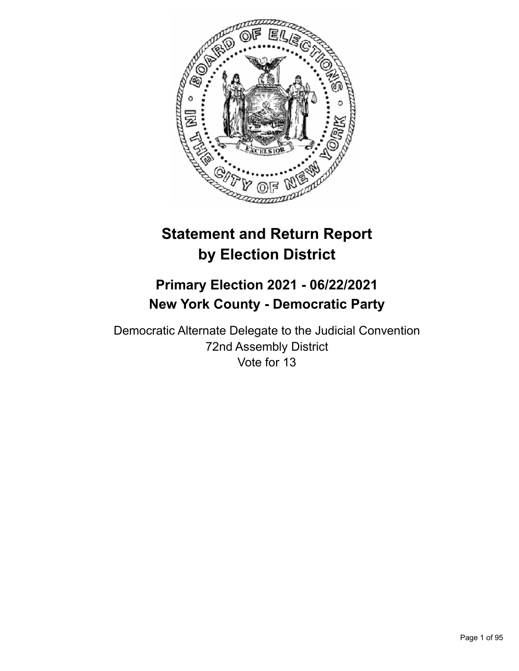

# **Statement and Return Report by Election District**

## **Primary Election 2021 - 06/22/2021 New York County - Democratic Party**

Democratic Alternate Delegate to the Judicial Convention 72nd Assembly District Vote for 13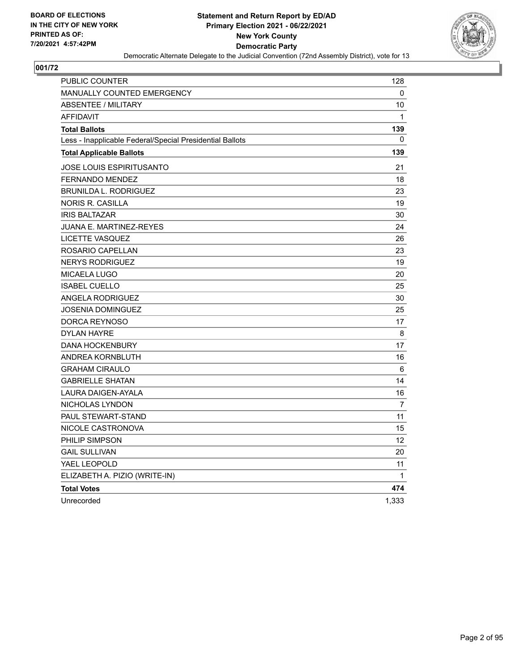

| PUBLIC COUNTER                                           | 128            |
|----------------------------------------------------------|----------------|
| <b>MANUALLY COUNTED EMERGENCY</b>                        | 0              |
| <b>ABSENTEE / MILITARY</b>                               | 10             |
| <b>AFFIDAVIT</b>                                         | $\mathbf{1}$   |
| <b>Total Ballots</b>                                     | 139            |
| Less - Inapplicable Federal/Special Presidential Ballots | 0              |
| <b>Total Applicable Ballots</b>                          | 139            |
| <b>JOSE LOUIS ESPIRITUSANTO</b>                          | 21             |
| <b>FERNANDO MENDEZ</b>                                   | 18             |
| <b>BRUNILDA L. RODRIGUEZ</b>                             | 23             |
| NORIS R. CASILLA                                         | 19             |
| <b>IRIS BALTAZAR</b>                                     | 30             |
| <b>JUANA E. MARTINEZ-REYES</b>                           | 24             |
| LICETTE VASQUEZ                                          | 26             |
| ROSARIO CAPELLAN                                         | 23             |
| <b>NERYS RODRIGUEZ</b>                                   | 19             |
| <b>MICAELA LUGO</b>                                      | 20             |
| <b>ISABEL CUELLO</b>                                     | 25             |
| ANGELA RODRIGUEZ                                         | 30             |
| <b>JOSENIA DOMINGUEZ</b>                                 | 25             |
| DORCA REYNOSO                                            | 17             |
| <b>DYLAN HAYRE</b>                                       | 8              |
| <b>DANA HOCKENBURY</b>                                   | 17             |
| ANDREA KORNBLUTH                                         | 16             |
| <b>GRAHAM CIRAULO</b>                                    | 6              |
| <b>GABRIELLE SHATAN</b>                                  | 14             |
| LAURA DAIGEN-AYALA                                       | 16             |
| NICHOLAS LYNDON                                          | $\overline{7}$ |
| PAUL STEWART-STAND                                       | 11             |
| NICOLE CASTRONOVA                                        | 15             |
| PHILIP SIMPSON                                           | 12             |
| <b>GAIL SULLIVAN</b>                                     | 20             |
| YAEL LEOPOLD                                             | 11             |
| ELIZABETH A. PIZIO (WRITE-IN)                            | $\mathbf{1}$   |
| <b>Total Votes</b>                                       | 474            |
| Unrecorded                                               | 1,333          |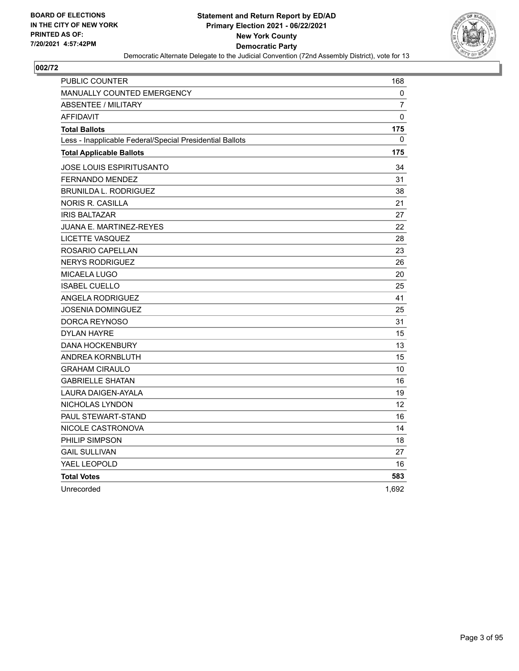

| PUBLIC COUNTER                                           | 168               |
|----------------------------------------------------------|-------------------|
| <b>MANUALLY COUNTED EMERGENCY</b>                        | 0                 |
| <b>ABSENTEE / MILITARY</b>                               | $\overline{7}$    |
| <b>AFFIDAVIT</b>                                         | $\Omega$          |
| <b>Total Ballots</b>                                     | 175               |
| Less - Inapplicable Federal/Special Presidential Ballots | $\mathbf{0}$      |
| <b>Total Applicable Ballots</b>                          | 175               |
| JOSE LOUIS ESPIRITUSANTO                                 | 34                |
| <b>FERNANDO MENDEZ</b>                                   | 31                |
| <b>BRUNILDA L. RODRIGUEZ</b>                             | 38                |
| <b>NORIS R. CASILLA</b>                                  | 21                |
| <b>IRIS BALTAZAR</b>                                     | 27                |
| JUANA E. MARTINEZ-REYES                                  | 22                |
| <b>LICETTE VASQUEZ</b>                                   | 28                |
| ROSARIO CAPELLAN                                         | 23                |
| <b>NERYS RODRIGUEZ</b>                                   | 26                |
| MICAELA LUGO                                             | 20                |
| <b>ISABEL CUELLO</b>                                     | 25                |
| <b>ANGELA RODRIGUEZ</b>                                  | 41                |
| <b>JOSENIA DOMINGUEZ</b>                                 | 25                |
| DORCA REYNOSO                                            | 31                |
| <b>DYLAN HAYRE</b>                                       | 15                |
| <b>DANA HOCKENBURY</b>                                   | 13                |
| <b>ANDREA KORNBLUTH</b>                                  | 15                |
| <b>GRAHAM CIRAULO</b>                                    | 10                |
| <b>GABRIELLE SHATAN</b>                                  | 16                |
| LAURA DAIGEN-AYALA                                       | 19                |
| NICHOLAS LYNDON                                          | $12 \overline{ }$ |
| PAUL STEWART-STAND                                       | 16                |
| NICOLE CASTRONOVA                                        | 14                |
| PHILIP SIMPSON                                           | 18                |
| <b>GAIL SULLIVAN</b>                                     | 27                |
| YAEL LEOPOLD                                             | 16                |
| <b>Total Votes</b>                                       | 583               |
| Unrecorded                                               | 1,692             |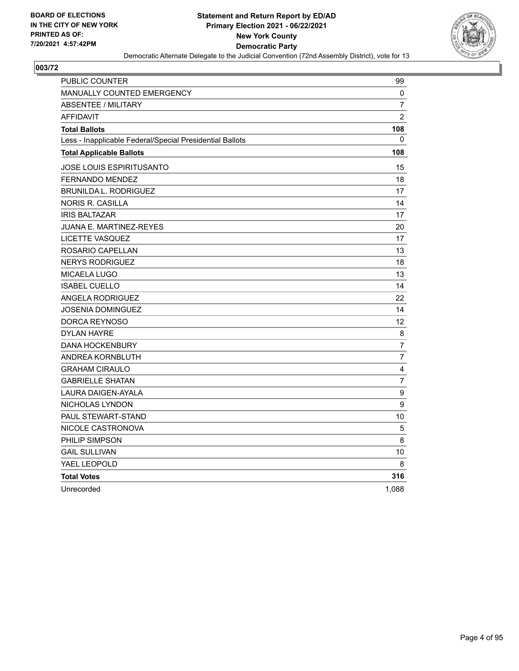

| <b>PUBLIC COUNTER</b>                                    | 99             |
|----------------------------------------------------------|----------------|
| <b>MANUALLY COUNTED EMERGENCY</b>                        | 0              |
| <b>ABSENTEE / MILITARY</b>                               | $\overline{7}$ |
| <b>AFFIDAVIT</b>                                         | $\overline{2}$ |
| <b>Total Ballots</b>                                     | 108            |
| Less - Inapplicable Federal/Special Presidential Ballots | 0              |
| <b>Total Applicable Ballots</b>                          | 108            |
| JOSE LOUIS ESPIRITUSANTO                                 | 15             |
| <b>FERNANDO MENDEZ</b>                                   | 18             |
| <b>BRUNILDA L. RODRIGUEZ</b>                             | 17             |
| <b>NORIS R. CASILLA</b>                                  | 14             |
| <b>IRIS BALTAZAR</b>                                     | 17             |
| JUANA E. MARTINEZ-REYES                                  | 20             |
| <b>LICETTE VASQUEZ</b>                                   | 17             |
| ROSARIO CAPELLAN                                         | 13             |
| <b>NERYS RODRIGUEZ</b>                                   | 18             |
| MICAELA LUGO                                             | 13             |
| <b>ISABEL CUELLO</b>                                     | 14             |
| <b>ANGELA RODRIGUEZ</b>                                  | 22             |
| JOSENIA DOMINGUEZ                                        | 14             |
| DORCA REYNOSO                                            | 12             |
| <b>DYLAN HAYRE</b>                                       | 8              |
| <b>DANA HOCKENBURY</b>                                   | 7              |
| ANDREA KORNBLUTH                                         | $\overline{7}$ |
| <b>GRAHAM CIRAULO</b>                                    | 4              |
| <b>GABRIELLE SHATAN</b>                                  | 7              |
| LAURA DAIGEN-AYALA                                       | 9              |
| NICHOLAS LYNDON                                          | 9              |
| <b>PAUL STEWART-STAND</b>                                | 10             |
| NICOLE CASTRONOVA                                        | 5              |
| PHILIP SIMPSON                                           | 8              |
| <b>GAIL SULLIVAN</b>                                     | 10             |
| YAEL LEOPOLD                                             | 8              |
| <b>Total Votes</b>                                       | 316            |
| Unrecorded                                               | 1,088          |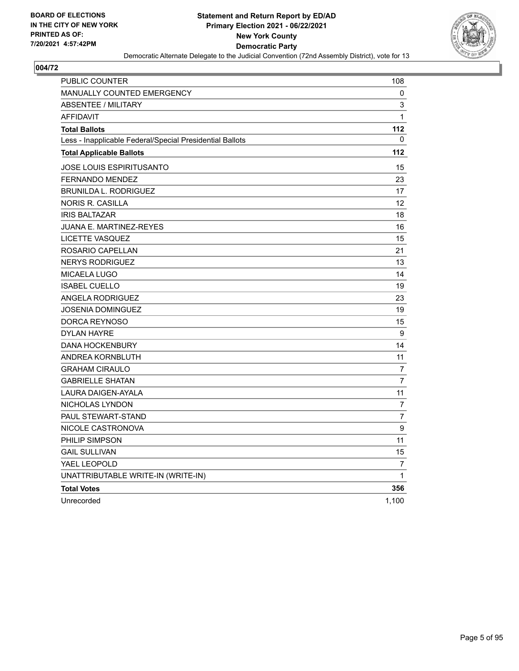

| PUBLIC COUNTER                                           | 108            |
|----------------------------------------------------------|----------------|
| <b>MANUALLY COUNTED EMERGENCY</b>                        | 0              |
| <b>ABSENTEE / MILITARY</b>                               | 3              |
| <b>AFFIDAVIT</b>                                         | $\mathbf{1}$   |
| <b>Total Ballots</b>                                     | 112            |
| Less - Inapplicable Federal/Special Presidential Ballots | 0              |
| <b>Total Applicable Ballots</b>                          | 112            |
| <b>JOSE LOUIS ESPIRITUSANTO</b>                          | 15             |
| <b>FERNANDO MENDEZ</b>                                   | 23             |
| <b>BRUNILDA L. RODRIGUEZ</b>                             | 17             |
| NORIS R. CASILLA                                         | 12             |
| <b>IRIS BALTAZAR</b>                                     | 18             |
| <b>JUANA E. MARTINEZ-REYES</b>                           | 16             |
| LICETTE VASQUEZ                                          | 15             |
| ROSARIO CAPELLAN                                         | 21             |
| <b>NERYS RODRIGUEZ</b>                                   | 13             |
| <b>MICAELA LUGO</b>                                      | 14             |
| <b>ISABEL CUELLO</b>                                     | 19             |
| ANGELA RODRIGUEZ                                         | 23             |
| <b>JOSENIA DOMINGUEZ</b>                                 | 19             |
| DORCA REYNOSO                                            | 15             |
| <b>DYLAN HAYRE</b>                                       | 9              |
| <b>DANA HOCKENBURY</b>                                   | 14             |
| ANDREA KORNBLUTH                                         | 11             |
| <b>GRAHAM CIRAULO</b>                                    | 7              |
| <b>GABRIELLE SHATAN</b>                                  | $\overline{7}$ |
| LAURA DAIGEN-AYALA                                       | 11             |
| NICHOLAS LYNDON                                          | $\overline{7}$ |
| PAUL STEWART-STAND                                       | 7              |
| NICOLE CASTRONOVA                                        | 9              |
| PHILIP SIMPSON                                           | 11             |
| <b>GAIL SULLIVAN</b>                                     | 15             |
| YAEL LEOPOLD                                             | 7              |
| UNATTRIBUTABLE WRITE-IN (WRITE-IN)                       | $\mathbf{1}$   |
| <b>Total Votes</b>                                       | 356            |
| Unrecorded                                               | 1,100          |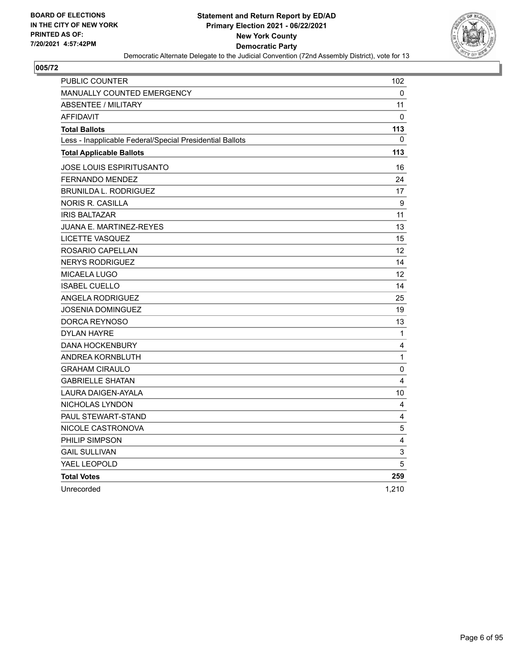

| PUBLIC COUNTER                                           | 102                     |
|----------------------------------------------------------|-------------------------|
| <b>MANUALLY COUNTED EMERGENCY</b>                        | 0                       |
| <b>ABSENTEE / MILITARY</b>                               | 11                      |
| <b>AFFIDAVIT</b>                                         | $\Omega$                |
| <b>Total Ballots</b>                                     | 113                     |
| Less - Inapplicable Federal/Special Presidential Ballots | $\mathbf{0}$            |
| <b>Total Applicable Ballots</b>                          | 113                     |
| JOSE LOUIS ESPIRITUSANTO                                 | 16                      |
| <b>FERNANDO MENDEZ</b>                                   | 24                      |
| <b>BRUNILDA L. RODRIGUEZ</b>                             | 17                      |
| <b>NORIS R. CASILLA</b>                                  | 9                       |
| <b>IRIS BALTAZAR</b>                                     | 11                      |
| JUANA E. MARTINEZ-REYES                                  | 13                      |
| LICETTE VASQUEZ                                          | 15                      |
| ROSARIO CAPELLAN                                         | 12 <sup>2</sup>         |
| <b>NERYS RODRIGUEZ</b>                                   | 14                      |
| <b>MICAELA LUGO</b>                                      | 12                      |
| <b>ISABEL CUELLO</b>                                     | 14                      |
| <b>ANGELA RODRIGUEZ</b>                                  | 25                      |
| JOSENIA DOMINGUEZ                                        | 19                      |
| DORCA REYNOSO                                            | 13                      |
| <b>DYLAN HAYRE</b>                                       | 1                       |
| <b>DANA HOCKENBURY</b>                                   | $\overline{\mathbf{4}}$ |
| ANDREA KORNBLUTH                                         | 1                       |
| <b>GRAHAM CIRAULO</b>                                    | $\mathbf 0$             |
| <b>GABRIELLE SHATAN</b>                                  | 4                       |
| <b>LAURA DAIGEN-AYALA</b>                                | 10                      |
| NICHOLAS LYNDON                                          | 4                       |
| <b>PAUL STEWART-STAND</b>                                | 4                       |
| NICOLE CASTRONOVA                                        | 5                       |
| PHILIP SIMPSON                                           | 4                       |
| <b>GAIL SULLIVAN</b>                                     | $\mathsf 3$             |
| YAEL LEOPOLD                                             | 5                       |
| <b>Total Votes</b>                                       | 259                     |
| Unrecorded                                               | 1,210                   |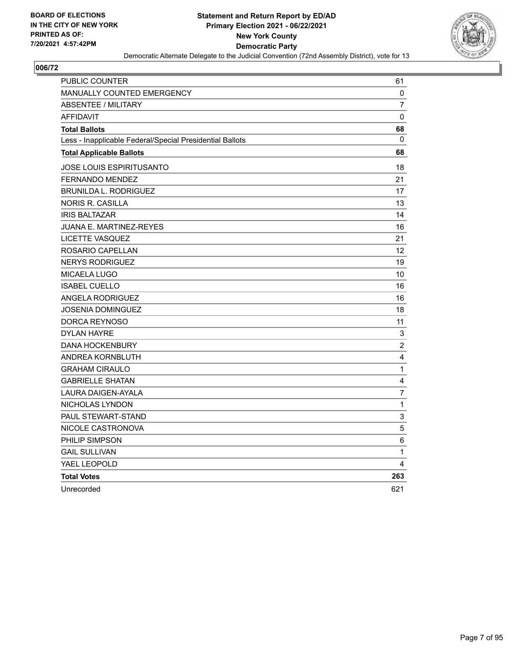

| <b>PUBLIC COUNTER</b>                                    | 61                      |
|----------------------------------------------------------|-------------------------|
| <b>MANUALLY COUNTED EMERGENCY</b>                        | 0                       |
| <b>ABSENTEE / MILITARY</b>                               | $\overline{7}$          |
| <b>AFFIDAVIT</b>                                         | 0                       |
| <b>Total Ballots</b>                                     | 68                      |
| Less - Inapplicable Federal/Special Presidential Ballots | $\mathbf{0}$            |
| <b>Total Applicable Ballots</b>                          | 68                      |
| JOSE LOUIS ESPIRITUSANTO                                 | 18                      |
| <b>FERNANDO MENDEZ</b>                                   | 21                      |
| <b>BRUNILDA L. RODRIGUEZ</b>                             | 17                      |
| <b>NORIS R. CASILLA</b>                                  | 13                      |
| <b>IRIS BALTAZAR</b>                                     | 14                      |
| <b>JUANA E. MARTINEZ-REYES</b>                           | 16                      |
| LICETTE VASQUEZ                                          | 21                      |
| ROSARIO CAPELLAN                                         | 12 <sup>2</sup>         |
| <b>NERYS RODRIGUEZ</b>                                   | 19                      |
| MICAELA LUGO                                             | 10                      |
| <b>ISABEL CUELLO</b>                                     | 16                      |
| <b>ANGELA RODRIGUEZ</b>                                  | 16                      |
| JOSENIA DOMINGUEZ                                        | 18                      |
| DORCA REYNOSO                                            | 11                      |
| <b>DYLAN HAYRE</b>                                       | 3                       |
| <b>DANA HOCKENBURY</b>                                   | $\overline{c}$          |
| ANDREA KORNBLUTH                                         | $\overline{\mathbf{4}}$ |
| <b>GRAHAM CIRAULO</b>                                    | $\mathbf{1}$            |
| <b>GABRIELLE SHATAN</b>                                  | 4                       |
| <b>LAURA DAIGEN-AYALA</b>                                | $\overline{7}$          |
| NICHOLAS LYNDON                                          | $\mathbf{1}$            |
| PAUL STEWART-STAND                                       | 3                       |
| NICOLE CASTRONOVA                                        | 5                       |
| PHILIP SIMPSON                                           | 6                       |
| <b>GAIL SULLIVAN</b>                                     | $\mathbf{1}$            |
| YAEL LEOPOLD                                             | 4                       |
| <b>Total Votes</b>                                       | 263                     |
| Unrecorded                                               | 621                     |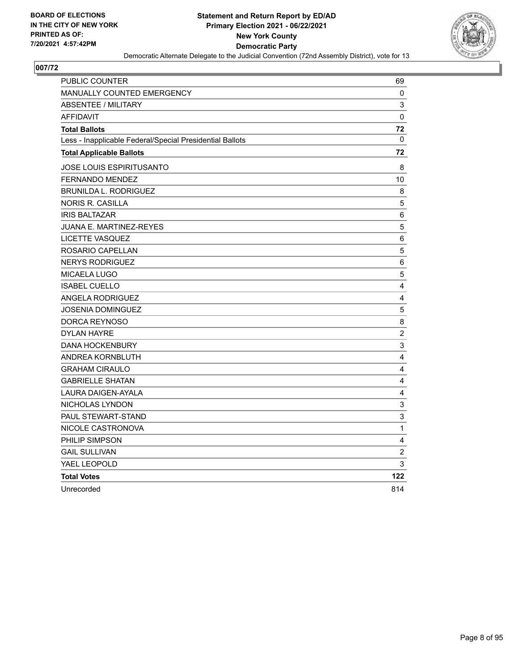

| PUBLIC COUNTER                                           | 69             |
|----------------------------------------------------------|----------------|
| <b>MANUALLY COUNTED EMERGENCY</b>                        | 0              |
| <b>ABSENTEE / MILITARY</b>                               | 3              |
| <b>AFFIDAVIT</b>                                         | $\mathbf 0$    |
| <b>Total Ballots</b>                                     | 72             |
| Less - Inapplicable Federal/Special Presidential Ballots | 0              |
| <b>Total Applicable Ballots</b>                          | 72             |
| JOSE LOUIS ESPIRITUSANTO                                 | 8              |
| <b>FERNANDO MENDEZ</b>                                   | 10             |
| <b>BRUNILDA L. RODRIGUEZ</b>                             | 8              |
| <b>NORIS R. CASILLA</b>                                  | 5              |
| <b>IRIS BALTAZAR</b>                                     | $\,6$          |
| JUANA E. MARTINEZ-REYES                                  | 5              |
| <b>LICETTE VASQUEZ</b>                                   | 6              |
| ROSARIO CAPELLAN                                         | 5              |
| <b>NERYS RODRIGUEZ</b>                                   | $\,6$          |
| MICAELA LUGO                                             | 5              |
| <b>ISABEL CUELLO</b>                                     | 4              |
| <b>ANGELA RODRIGUEZ</b>                                  | 4              |
| JOSENIA DOMINGUEZ                                        | 5              |
| DORCA REYNOSO                                            | 8              |
| <b>DYLAN HAYRE</b>                                       | $\overline{c}$ |
| <b>DANA HOCKENBURY</b>                                   | 3              |
| ANDREA KORNBLUTH                                         | 4              |
| <b>GRAHAM CIRAULO</b>                                    | 4              |
| <b>GABRIELLE SHATAN</b>                                  | 4              |
| <b>LAURA DAIGEN-AYALA</b>                                | 4              |
| NICHOLAS LYNDON                                          | 3              |
| <b>PAUL STEWART-STAND</b>                                | 3              |
| NICOLE CASTRONOVA                                        | $\mathbf{1}$   |
| PHILIP SIMPSON                                           | 4              |
| <b>GAIL SULLIVAN</b>                                     | $\overline{c}$ |
| YAEL LEOPOLD                                             | 3              |
| <b>Total Votes</b>                                       | 122            |
| Unrecorded                                               | 814            |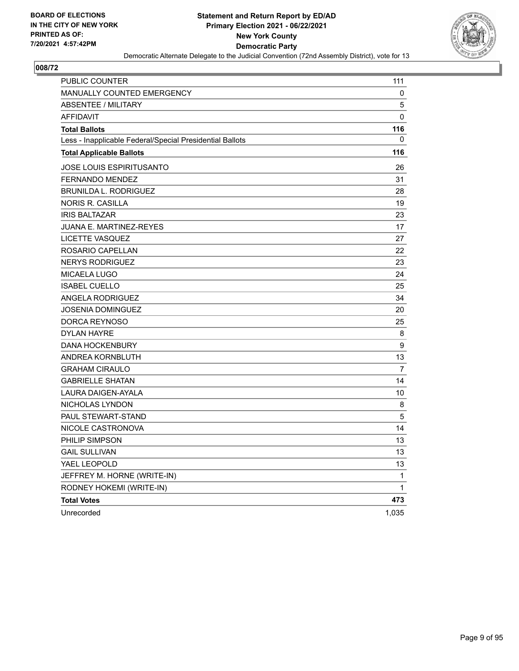

| <b>PUBLIC COUNTER</b>                                    | 111         |
|----------------------------------------------------------|-------------|
| MANUALLY COUNTED EMERGENCY                               | $\mathbf 0$ |
| <b>ABSENTEE / MILITARY</b>                               | 5           |
| <b>AFFIDAVIT</b>                                         | $\mathbf 0$ |
| <b>Total Ballots</b>                                     | 116         |
| Less - Inapplicable Federal/Special Presidential Ballots | 0           |
| <b>Total Applicable Ballots</b>                          | 116         |
| <b>JOSE LOUIS ESPIRITUSANTO</b>                          | 26          |
| FERNANDO MENDEZ                                          | 31          |
| <b>BRUNILDA L. RODRIGUEZ</b>                             | 28          |
| <b>NORIS R. CASILLA</b>                                  | 19          |
| <b>IRIS BALTAZAR</b>                                     | 23          |
| <b>JUANA E. MARTINEZ-REYES</b>                           | 17          |
| LICETTE VASQUEZ                                          | 27          |
| ROSARIO CAPELLAN                                         | 22          |
| <b>NERYS RODRIGUEZ</b>                                   | 23          |
| MICAELA LUGO                                             | 24          |
| <b>ISABEL CUELLO</b>                                     | 25          |
| <b>ANGELA RODRIGUEZ</b>                                  | 34          |
| <b>JOSENIA DOMINGUEZ</b>                                 | 20          |
| DORCA REYNOSO                                            | 25          |
| <b>DYLAN HAYRE</b>                                       | 8           |
| <b>DANA HOCKENBURY</b>                                   | 9           |
| ANDREA KORNBLUTH                                         | 13          |
| <b>GRAHAM CIRAULO</b>                                    | 7           |
| <b>GABRIELLE SHATAN</b>                                  | 14          |
| LAURA DAIGEN-AYALA                                       | 10          |
| NICHOLAS LYNDON                                          | 8           |
| PAUL STEWART-STAND                                       | 5           |
| NICOLE CASTRONOVA                                        | 14          |
| PHILIP SIMPSON                                           | 13          |
| <b>GAIL SULLIVAN</b>                                     | 13          |
| YAEL LEOPOLD                                             | 13          |
| JEFFREY M. HORNE (WRITE-IN)                              | 1           |
| RODNEY HOKEMI (WRITE-IN)                                 | 1           |
| <b>Total Votes</b>                                       | 473         |
| Unrecorded                                               | 1,035       |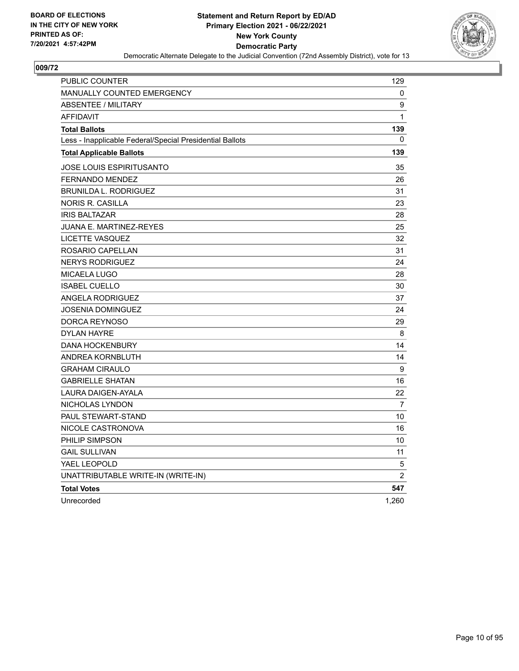

| PUBLIC COUNTER                                           | 129            |
|----------------------------------------------------------|----------------|
| <b>MANUALLY COUNTED EMERGENCY</b>                        | 0              |
| <b>ABSENTEE / MILITARY</b>                               | 9              |
| <b>AFFIDAVIT</b>                                         | 1              |
| <b>Total Ballots</b>                                     | 139            |
| Less - Inapplicable Federal/Special Presidential Ballots | 0              |
| <b>Total Applicable Ballots</b>                          | 139            |
| JOSE LOUIS ESPIRITUSANTO                                 | 35             |
| <b>FERNANDO MENDEZ</b>                                   | 26             |
| <b>BRUNILDA L. RODRIGUEZ</b>                             | 31             |
| <b>NORIS R. CASILLA</b>                                  | 23             |
| <b>IRIS BALTAZAR</b>                                     | 28             |
| JUANA E. MARTINEZ-REYES                                  | 25             |
| LICETTE VASQUEZ                                          | 32             |
| ROSARIO CAPELLAN                                         | 31             |
| <b>NERYS RODRIGUEZ</b>                                   | 24             |
| MICAELA LUGO                                             | 28             |
| <b>ISABEL CUELLO</b>                                     | 30             |
| <b>ANGELA RODRIGUEZ</b>                                  | 37             |
| <b>JOSENIA DOMINGUEZ</b>                                 | 24             |
| DORCA REYNOSO                                            | 29             |
| <b>DYLAN HAYRE</b>                                       | 8              |
| <b>DANA HOCKENBURY</b>                                   | 14             |
| ANDREA KORNBLUTH                                         | 14             |
| <b>GRAHAM CIRAULO</b>                                    | 9              |
| <b>GABRIELLE SHATAN</b>                                  | 16             |
| <b>LAURA DAIGEN-AYALA</b>                                | 22             |
| NICHOLAS LYNDON                                          | 7              |
| PAUL STEWART-STAND                                       | 10             |
| NICOLE CASTRONOVA                                        | 16             |
| PHILIP SIMPSON                                           | 10             |
| <b>GAIL SULLIVAN</b>                                     | 11             |
| YAEL LEOPOLD                                             | 5              |
| UNATTRIBUTABLE WRITE-IN (WRITE-IN)                       | $\overline{2}$ |
| <b>Total Votes</b>                                       | 547            |
| Unrecorded                                               | 1,260          |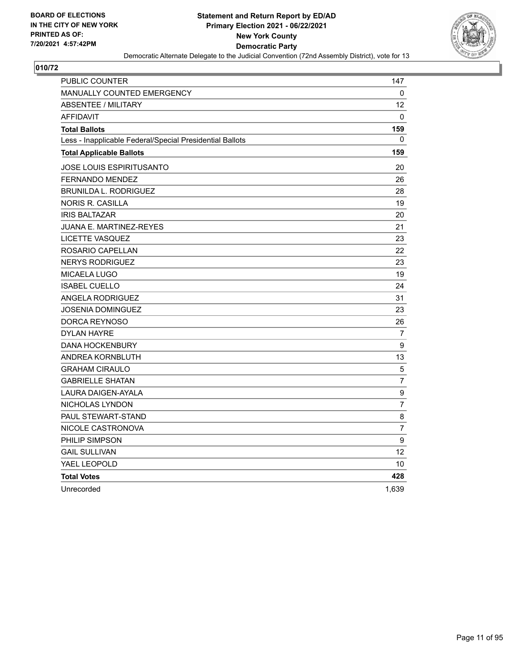

| PUBLIC COUNTER                                           | 147              |
|----------------------------------------------------------|------------------|
| <b>MANUALLY COUNTED EMERGENCY</b>                        | 0                |
| <b>ABSENTEE / MILITARY</b>                               | 12               |
| <b>AFFIDAVIT</b>                                         | $\Omega$         |
| <b>Total Ballots</b>                                     | 159              |
| Less - Inapplicable Federal/Special Presidential Ballots | $\mathbf{0}$     |
| <b>Total Applicable Ballots</b>                          | 159              |
| JOSE LOUIS ESPIRITUSANTO                                 | 20               |
| <b>FERNANDO MENDEZ</b>                                   | 26               |
| <b>BRUNILDA L. RODRIGUEZ</b>                             | 28               |
| NORIS R. CASILLA                                         | 19               |
| <b>IRIS BALTAZAR</b>                                     | 20               |
| <b>JUANA E. MARTINEZ-REYES</b>                           | 21               |
| LICETTE VASQUEZ                                          | 23               |
| ROSARIO CAPELLAN                                         | 22               |
| <b>NERYS RODRIGUEZ</b>                                   | 23               |
| <b>MICAELA LUGO</b>                                      | 19               |
| <b>ISABEL CUELLO</b>                                     | 24               |
| <b>ANGELA RODRIGUEZ</b>                                  | 31               |
| JOSENIA DOMINGUEZ                                        | 23               |
| DORCA REYNOSO                                            | 26               |
| <b>DYLAN HAYRE</b>                                       | 7                |
| <b>DANA HOCKENBURY</b>                                   | 9                |
| ANDREA KORNBLUTH                                         | 13               |
| <b>GRAHAM CIRAULO</b>                                    | $\sqrt{5}$       |
| <b>GABRIELLE SHATAN</b>                                  | $\overline{7}$   |
| LAURA DAIGEN-AYALA                                       | $\boldsymbol{9}$ |
| NICHOLAS LYNDON                                          | 7                |
| PAUL STEWART-STAND                                       | 8                |
| NICOLE CASTRONOVA                                        | $\overline{7}$   |
| PHILIP SIMPSON                                           | 9                |
| <b>GAIL SULLIVAN</b>                                     | 12               |
| YAEL LEOPOLD                                             | 10               |
| <b>Total Votes</b>                                       | 428              |
| Unrecorded                                               | 1,639            |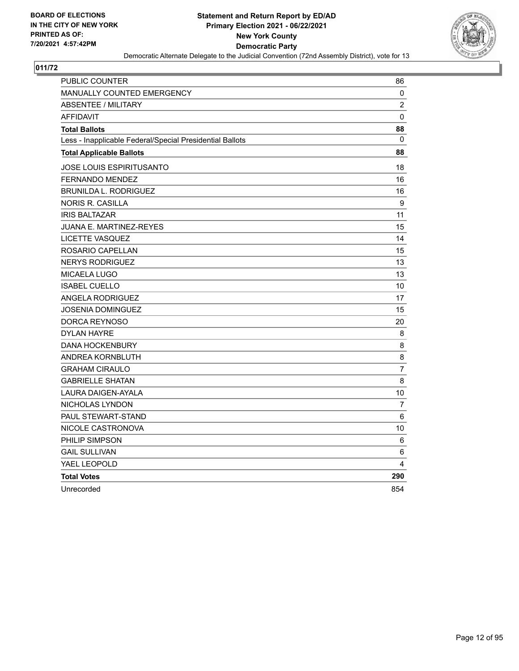

| PUBLIC COUNTER                                           | 86             |
|----------------------------------------------------------|----------------|
| <b>MANUALLY COUNTED EMERGENCY</b>                        | 0              |
| <b>ABSENTEE / MILITARY</b>                               | $\overline{c}$ |
| <b>AFFIDAVIT</b>                                         | 0              |
| <b>Total Ballots</b>                                     | 88             |
| Less - Inapplicable Federal/Special Presidential Ballots | 0              |
| <b>Total Applicable Ballots</b>                          | 88             |
| JOSE LOUIS ESPIRITUSANTO                                 | 18             |
| FERNANDO MENDEZ                                          | 16             |
| <b>BRUNILDA L. RODRIGUEZ</b>                             | 16             |
| <b>NORIS R. CASILLA</b>                                  | 9              |
| <b>IRIS BALTAZAR</b>                                     | 11             |
| JUANA E. MARTINEZ-REYES                                  | 15             |
| <b>LICETTE VASQUEZ</b>                                   | 14             |
| ROSARIO CAPELLAN                                         | 15             |
| <b>NERYS RODRIGUEZ</b>                                   | 13             |
| MICAELA LUGO                                             | 13             |
| <b>ISABEL CUELLO</b>                                     | 10             |
| <b>ANGELA RODRIGUEZ</b>                                  | 17             |
| JOSENIA DOMINGUEZ                                        | 15             |
| DORCA REYNOSO                                            | 20             |
| DYLAN HAYRE                                              | 8              |
| <b>DANA HOCKENBURY</b>                                   | 8              |
| <b>ANDREA KORNBLUTH</b>                                  | 8              |
| <b>GRAHAM CIRAULO</b>                                    | $\overline{7}$ |
| <b>GABRIELLE SHATAN</b>                                  | 8              |
| <b>LAURA DAIGEN-AYALA</b>                                | 10             |
| NICHOLAS LYNDON                                          | 7              |
| PAUL STEWART-STAND                                       | 6              |
| NICOLE CASTRONOVA                                        | 10             |
| PHILIP SIMPSON                                           | 6              |
| <b>GAIL SULLIVAN</b>                                     | 6              |
| YAEL LEOPOLD                                             | 4              |
| <b>Total Votes</b>                                       | 290            |
| Unrecorded                                               | 854            |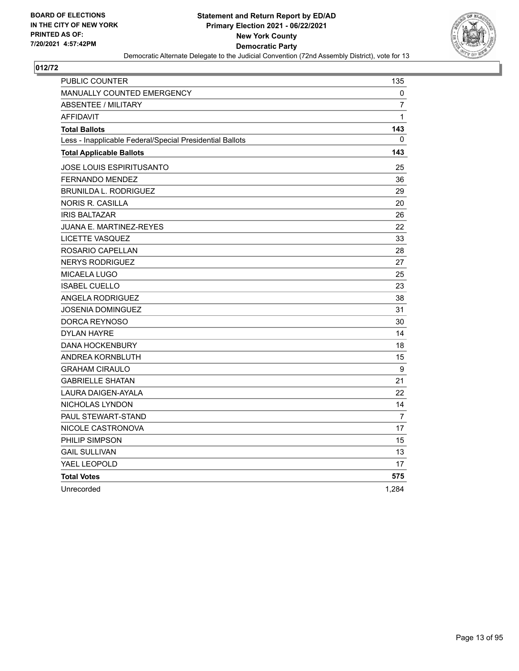

| <b>PUBLIC COUNTER</b>                                    | 135              |
|----------------------------------------------------------|------------------|
| <b>MANUALLY COUNTED EMERGENCY</b>                        | 0                |
| <b>ABSENTEE / MILITARY</b>                               | $\overline{7}$   |
| <b>AFFIDAVIT</b>                                         | $\mathbf{1}$     |
| <b>Total Ballots</b>                                     | 143              |
| Less - Inapplicable Federal/Special Presidential Ballots | 0                |
| <b>Total Applicable Ballots</b>                          | 143              |
| JOSE LOUIS ESPIRITUSANTO                                 | 25               |
| FERNANDO MENDEZ                                          | 36               |
| <b>BRUNILDA L. RODRIGUEZ</b>                             | 29               |
| <b>NORIS R. CASILLA</b>                                  | 20               |
| <b>IRIS BALTAZAR</b>                                     | 26               |
| JUANA E. MARTINEZ-REYES                                  | 22               |
| <b>LICETTE VASQUEZ</b>                                   | 33               |
| ROSARIO CAPELLAN                                         | 28               |
| <b>NERYS RODRIGUEZ</b>                                   | 27               |
| MICAELA LUGO                                             | 25               |
| <b>ISABEL CUELLO</b>                                     | 23               |
| <b>ANGELA RODRIGUEZ</b>                                  | 38               |
| JOSENIA DOMINGUEZ                                        | 31               |
| DORCA REYNOSO                                            | 30               |
| <b>DYLAN HAYRE</b>                                       | 14               |
| <b>DANA HOCKENBURY</b>                                   | 18               |
| ANDREA KORNBLUTH                                         | 15               |
| <b>GRAHAM CIRAULO</b>                                    | $\boldsymbol{9}$ |
| <b>GABRIELLE SHATAN</b>                                  | 21               |
| <b>LAURA DAIGEN-AYALA</b>                                | 22               |
| NICHOLAS LYNDON                                          | 14               |
| PAUL STEWART-STAND                                       | 7                |
| NICOLE CASTRONOVA                                        | 17               |
| PHILIP SIMPSON                                           | 15               |
| <b>GAIL SULLIVAN</b>                                     | 13               |
| YAEL LEOPOLD                                             | 17               |
| <b>Total Votes</b>                                       | 575              |
| Unrecorded                                               | 1,284            |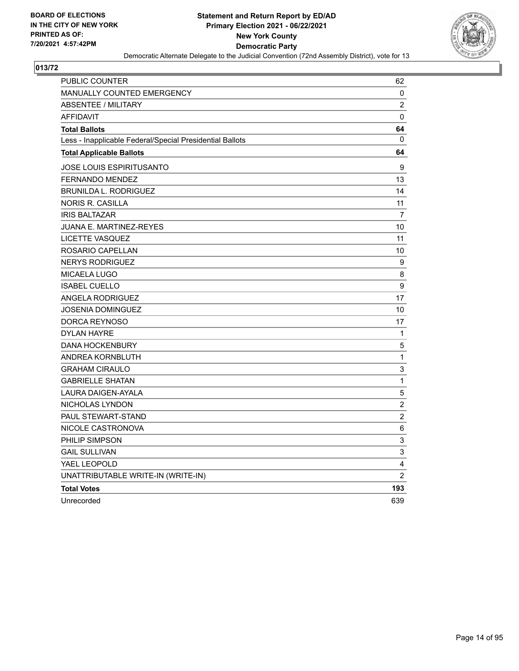

| <b>PUBLIC COUNTER</b>                                    | 62               |
|----------------------------------------------------------|------------------|
| <b>MANUALLY COUNTED EMERGENCY</b>                        | 0                |
| <b>ABSENTEE / MILITARY</b>                               | $\boldsymbol{2}$ |
| <b>AFFIDAVIT</b>                                         | 0                |
| <b>Total Ballots</b>                                     | 64               |
| Less - Inapplicable Federal/Special Presidential Ballots | 0                |
| <b>Total Applicable Ballots</b>                          | 64               |
| JOSE LOUIS ESPIRITUSANTO                                 | 9                |
| <b>FERNANDO MENDEZ</b>                                   | 13               |
| <b>BRUNILDA L. RODRIGUEZ</b>                             | 14               |
| <b>NORIS R. CASILLA</b>                                  | 11               |
| <b>IRIS BALTAZAR</b>                                     | $\overline{7}$   |
| <b>JUANA E. MARTINEZ-REYES</b>                           | 10               |
| <b>LICETTE VASQUEZ</b>                                   | 11               |
| ROSARIO CAPELLAN                                         | 10               |
| <b>NERYS RODRIGUEZ</b>                                   | 9                |
| <b>MICAELA LUGO</b>                                      | 8                |
| <b>ISABEL CUELLO</b>                                     | $\boldsymbol{9}$ |
| <b>ANGELA RODRIGUEZ</b>                                  | 17               |
| <b>JOSENIA DOMINGUEZ</b>                                 | 10               |
| DORCA REYNOSO                                            | 17               |
| <b>DYLAN HAYRE</b>                                       | 1                |
| <b>DANA HOCKENBURY</b>                                   | $\mathbf 5$      |
| ANDREA KORNBLUTH                                         | $\mathbf 1$      |
| <b>GRAHAM CIRAULO</b>                                    | 3                |
| <b>GABRIELLE SHATAN</b>                                  | $\mathbf{1}$     |
| LAURA DAIGEN-AYALA                                       | 5                |
| NICHOLAS LYNDON                                          | $\boldsymbol{2}$ |
| PAUL STEWART-STAND                                       | $\overline{2}$   |
| NICOLE CASTRONOVA                                        | $\,6$            |
| PHILIP SIMPSON                                           | 3                |
| <b>GAIL SULLIVAN</b>                                     | 3                |
| YAEL LEOPOLD                                             | 4                |
| UNATTRIBUTABLE WRITE-IN (WRITE-IN)                       | $\overline{2}$   |
| <b>Total Votes</b>                                       | 193              |
| Unrecorded                                               | 639              |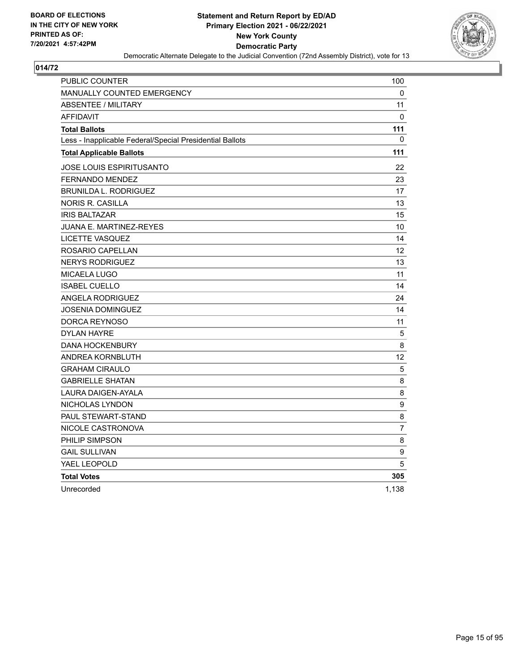

| <b>PUBLIC COUNTER</b>                                    | 100               |
|----------------------------------------------------------|-------------------|
| <b>MANUALLY COUNTED EMERGENCY</b>                        | 0                 |
| <b>ABSENTEE / MILITARY</b>                               | 11                |
| <b>AFFIDAVIT</b>                                         | 0                 |
| <b>Total Ballots</b>                                     | 111               |
| Less - Inapplicable Federal/Special Presidential Ballots | 0                 |
| <b>Total Applicable Ballots</b>                          | 111               |
| JOSE LOUIS ESPIRITUSANTO                                 | 22                |
| <b>FERNANDO MENDEZ</b>                                   | 23                |
| <b>BRUNILDA L. RODRIGUEZ</b>                             | 17                |
| <b>NORIS R. CASILLA</b>                                  | 13                |
| <b>IRIS BALTAZAR</b>                                     | 15                |
| JUANA E. MARTINEZ-REYES                                  | 10                |
| <b>LICETTE VASQUEZ</b>                                   | 14                |
| ROSARIO CAPELLAN                                         | $12 \overline{ }$ |
| <b>NERYS RODRIGUEZ</b>                                   | 13                |
| MICAELA LUGO                                             | 11                |
| <b>ISABEL CUELLO</b>                                     | 14                |
| ANGELA RODRIGUEZ                                         | 24                |
| <b>JOSENIA DOMINGUEZ</b>                                 | 14                |
| DORCA REYNOSO                                            | 11                |
| <b>DYLAN HAYRE</b>                                       | 5                 |
| <b>DANA HOCKENBURY</b>                                   | 8                 |
| <b>ANDREA KORNBLUTH</b>                                  | 12 <sup>2</sup>   |
| <b>GRAHAM CIRAULO</b>                                    | 5                 |
| <b>GABRIELLE SHATAN</b>                                  | 8                 |
| LAURA DAIGEN-AYALA                                       | 8                 |
| NICHOLAS LYNDON                                          | 9                 |
| <b>PAUL STEWART-STAND</b>                                | 8                 |
| NICOLE CASTRONOVA                                        | $\overline{7}$    |
| PHILIP SIMPSON                                           | 8                 |
| <b>GAIL SULLIVAN</b>                                     | 9                 |
| YAEL LEOPOLD                                             | 5                 |
| <b>Total Votes</b>                                       | 305               |
| Unrecorded                                               | 1,138             |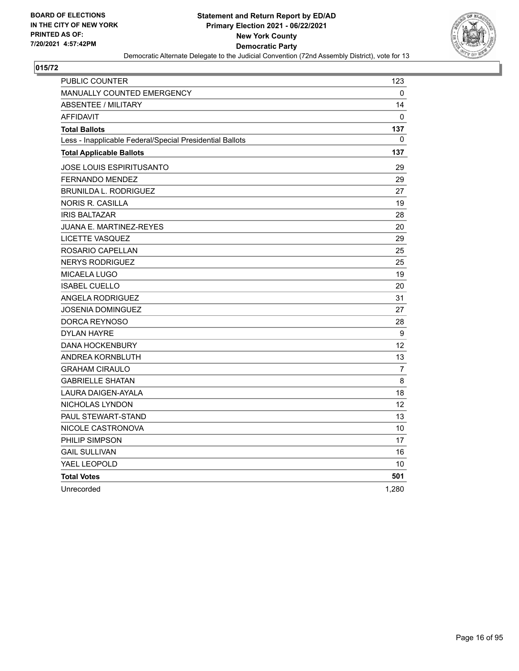

| <b>PUBLIC COUNTER</b>                                    | 123            |
|----------------------------------------------------------|----------------|
| <b>MANUALLY COUNTED EMERGENCY</b>                        | 0              |
| <b>ABSENTEE / MILITARY</b>                               | 14             |
| <b>AFFIDAVIT</b>                                         | $\Omega$       |
| <b>Total Ballots</b>                                     | 137            |
| Less - Inapplicable Federal/Special Presidential Ballots | $\mathbf{0}$   |
| <b>Total Applicable Ballots</b>                          | 137            |
| JOSE LOUIS ESPIRITUSANTO                                 | 29             |
| <b>FERNANDO MENDEZ</b>                                   | 29             |
| <b>BRUNILDA L. RODRIGUEZ</b>                             | 27             |
| <b>NORIS R. CASILLA</b>                                  | 19             |
| <b>IRIS BALTAZAR</b>                                     | 28             |
| JUANA E. MARTINEZ-REYES                                  | 20             |
| LICETTE VASQUEZ                                          | 29             |
| ROSARIO CAPELLAN                                         | 25             |
| <b>NERYS RODRIGUEZ</b>                                   | 25             |
| <b>MICAELA LUGO</b>                                      | 19             |
| <b>ISABEL CUELLO</b>                                     | 20             |
| <b>ANGELA RODRIGUEZ</b>                                  | 31             |
| <b>JOSENIA DOMINGUEZ</b>                                 | 27             |
| DORCA REYNOSO                                            | 28             |
| <b>DYLAN HAYRE</b>                                       | 9              |
| <b>DANA HOCKENBURY</b>                                   | 12             |
| ANDREA KORNBLUTH                                         | 13             |
| <b>GRAHAM CIRAULO</b>                                    | $\overline{7}$ |
| <b>GABRIELLE SHATAN</b>                                  | 8              |
| <b>LAURA DAIGEN-AYALA</b>                                | 18             |
| NICHOLAS LYNDON                                          | 12             |
| <b>PAUL STEWART-STAND</b>                                | 13             |
| NICOLE CASTRONOVA                                        | 10             |
| PHILIP SIMPSON                                           | 17             |
| <b>GAIL SULLIVAN</b>                                     | 16             |
| YAEL LEOPOLD                                             | 10             |
| <b>Total Votes</b>                                       | 501            |
| Unrecorded                                               | 1,280          |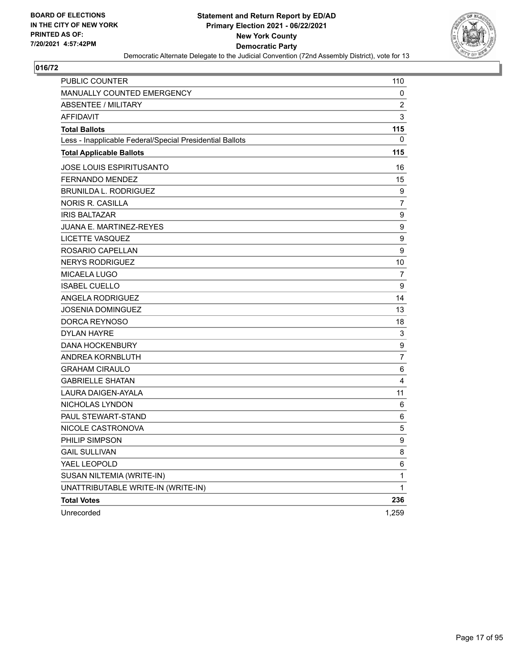

| PUBLIC COUNTER                                           | 110              |
|----------------------------------------------------------|------------------|
| MANUALLY COUNTED EMERGENCY                               | 0                |
| <b>ABSENTEE / MILITARY</b>                               | 2                |
| <b>AFFIDAVIT</b>                                         | 3                |
| <b>Total Ballots</b>                                     | 115              |
| Less - Inapplicable Federal/Special Presidential Ballots | 0                |
| <b>Total Applicable Ballots</b>                          | 115              |
| <b>JOSE LOUIS ESPIRITUSANTO</b>                          | 16               |
| FERNANDO MENDEZ                                          | 15               |
| <b>BRUNILDA L. RODRIGUEZ</b>                             | 9                |
| <b>NORIS R. CASILLA</b>                                  | 7                |
| <b>IRIS BALTAZAR</b>                                     | $\boldsymbol{9}$ |
| <b>JUANA E. MARTINEZ-REYES</b>                           | $\boldsymbol{9}$ |
| LICETTE VASQUEZ                                          | 9                |
| ROSARIO CAPELLAN                                         | 9                |
| <b>NERYS RODRIGUEZ</b>                                   | 10               |
| MICAELA LUGO                                             | 7                |
| <b>ISABEL CUELLO</b>                                     | 9                |
| <b>ANGELA RODRIGUEZ</b>                                  | 14               |
| <b>JOSENIA DOMINGUEZ</b>                                 | 13               |
| DORCA REYNOSO                                            | 18               |
| <b>DYLAN HAYRE</b>                                       | 3                |
| <b>DANA HOCKENBURY</b>                                   | 9                |
| ANDREA KORNBLUTH                                         | $\overline{7}$   |
| <b>GRAHAM CIRAULO</b>                                    | 6                |
| <b>GABRIELLE SHATAN</b>                                  | 4                |
| LAURA DAIGEN-AYALA                                       | 11               |
| NICHOLAS LYNDON                                          | 6                |
| PAUL STEWART-STAND                                       | 6                |
| NICOLE CASTRONOVA                                        | 5                |
| PHILIP SIMPSON                                           | 9                |
| <b>GAIL SULLIVAN</b>                                     | 8                |
| YAEL LEOPOLD                                             | 6                |
| SUSAN NILTEMIA (WRITE-IN)                                | 1                |
| UNATTRIBUTABLE WRITE-IN (WRITE-IN)                       | 1                |
| <b>Total Votes</b>                                       | 236              |
| Unrecorded                                               | 1,259            |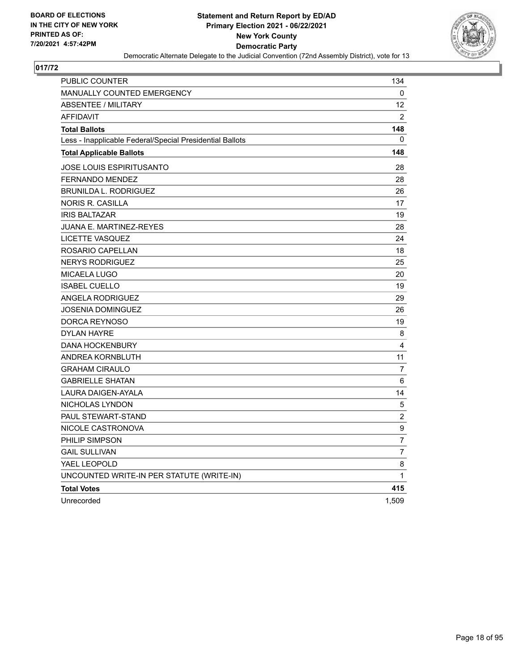

| PUBLIC COUNTER                                           | 134            |
|----------------------------------------------------------|----------------|
| <b>MANUALLY COUNTED EMERGENCY</b>                        | 0              |
| <b>ABSENTEE / MILITARY</b>                               | 12             |
| <b>AFFIDAVIT</b>                                         | $\overline{2}$ |
| <b>Total Ballots</b>                                     | 148            |
| Less - Inapplicable Federal/Special Presidential Ballots | 0              |
| <b>Total Applicable Ballots</b>                          | 148            |
| <b>JOSE LOUIS ESPIRITUSANTO</b>                          | 28             |
| <b>FERNANDO MENDEZ</b>                                   | 28             |
| BRUNILDA L. RODRIGUEZ                                    | 26             |
| NORIS R. CASILLA                                         | 17             |
| <b>IRIS BALTAZAR</b>                                     | 19             |
| <b>JUANA E. MARTINEZ-REYES</b>                           | 28             |
| LICETTE VASQUEZ                                          | 24             |
| ROSARIO CAPELLAN                                         | 18             |
| <b>NERYS RODRIGUEZ</b>                                   | 25             |
| MICAELA LUGO                                             | 20             |
| <b>ISABEL CUELLO</b>                                     | 19             |
| ANGELA RODRIGUEZ                                         | 29             |
| JOSENIA DOMINGUEZ                                        | 26             |
| DORCA REYNOSO                                            | 19             |
| <b>DYLAN HAYRE</b>                                       | 8              |
| <b>DANA HOCKENBURY</b>                                   | 4              |
| ANDREA KORNBLUTH                                         | 11             |
| <b>GRAHAM CIRAULO</b>                                    | 7              |
| <b>GABRIELLE SHATAN</b>                                  | 6              |
| LAURA DAIGEN-AYALA                                       | 14             |
| NICHOLAS LYNDON                                          | 5              |
| PAUL STEWART-STAND                                       | 2              |
| NICOLE CASTRONOVA                                        | 9              |
| PHILIP SIMPSON                                           | $\overline{7}$ |
| <b>GAIL SULLIVAN</b>                                     | $\overline{7}$ |
| YAEL LEOPOLD                                             | 8              |
| UNCOUNTED WRITE-IN PER STATUTE (WRITE-IN)                | $\mathbf{1}$   |
| <b>Total Votes</b>                                       | 415            |
| Unrecorded                                               | 1,509          |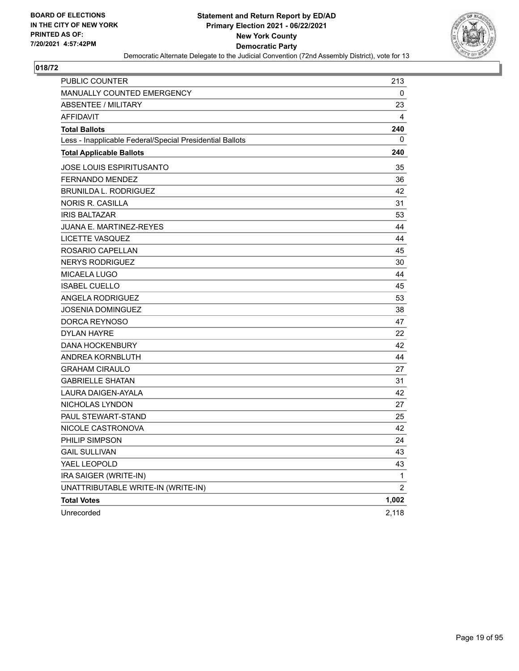

| PUBLIC COUNTER                                           | 213            |
|----------------------------------------------------------|----------------|
| MANUALLY COUNTED EMERGENCY                               | 0              |
| <b>ABSENTEE / MILITARY</b>                               | 23             |
| <b>AFFIDAVIT</b>                                         | 4              |
| <b>Total Ballots</b>                                     | 240            |
| Less - Inapplicable Federal/Special Presidential Ballots | 0              |
| <b>Total Applicable Ballots</b>                          | 240            |
| <b>JOSE LOUIS ESPIRITUSANTO</b>                          | 35             |
| <b>FERNANDO MENDEZ</b>                                   | 36             |
| <b>BRUNILDA L. RODRIGUEZ</b>                             | 42             |
| <b>NORIS R. CASILLA</b>                                  | 31             |
| <b>IRIS BALTAZAR</b>                                     | 53             |
| <b>JUANA E. MARTINEZ-REYES</b>                           | 44             |
| LICETTE VASQUEZ                                          | 44             |
| ROSARIO CAPELLAN                                         | 45             |
| <b>NERYS RODRIGUEZ</b>                                   | 30             |
| <b>MICAELA LUGO</b>                                      | 44             |
| <b>ISABEL CUELLO</b>                                     | 45             |
| <b>ANGELA RODRIGUEZ</b>                                  | 53             |
| JOSENIA DOMINGUEZ                                        | 38             |
| DORCA REYNOSO                                            | 47             |
| <b>DYLAN HAYRE</b>                                       | 22             |
| <b>DANA HOCKENBURY</b>                                   | 42             |
| ANDREA KORNBLUTH                                         | 44             |
| <b>GRAHAM CIRAULO</b>                                    | 27             |
| <b>GABRIELLE SHATAN</b>                                  | 31             |
| LAURA DAIGEN-AYALA                                       | 42             |
| NICHOLAS LYNDON                                          | 27             |
| PAUL STEWART-STAND                                       | 25             |
| NICOLE CASTRONOVA                                        | 42             |
| PHILIP SIMPSON                                           | 24             |
| <b>GAIL SULLIVAN</b>                                     | 43             |
| YAEL LEOPOLD                                             | 43             |
| IRA SAIGER (WRITE-IN)                                    | 1              |
| UNATTRIBUTABLE WRITE-IN (WRITE-IN)                       | $\overline{2}$ |
| <b>Total Votes</b>                                       | 1,002          |
| Unrecorded                                               | 2,118          |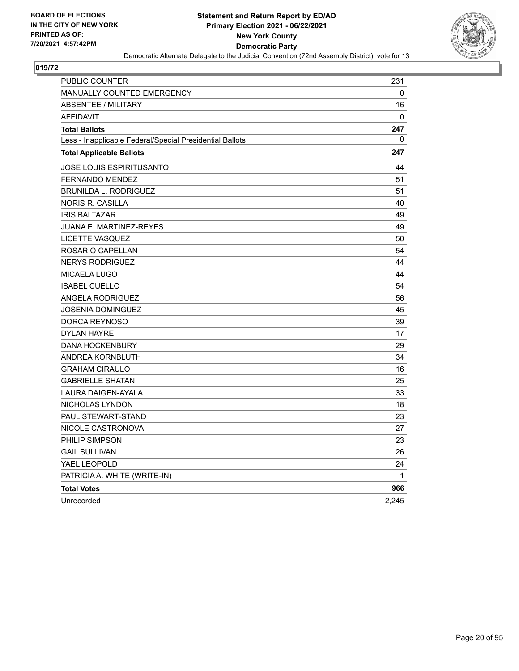

| PUBLIC COUNTER                                           | 231          |
|----------------------------------------------------------|--------------|
| <b>MANUALLY COUNTED EMERGENCY</b>                        | 0            |
| <b>ABSENTEE / MILITARY</b>                               | 16           |
| <b>AFFIDAVIT</b>                                         | $\mathbf{0}$ |
| <b>Total Ballots</b>                                     | 247          |
| Less - Inapplicable Federal/Special Presidential Ballots | 0            |
| <b>Total Applicable Ballots</b>                          | 247          |
| <b>JOSE LOUIS ESPIRITUSANTO</b>                          | 44           |
| FERNANDO MENDEZ                                          | 51           |
| <b>BRUNILDA L. RODRIGUEZ</b>                             | 51           |
| NORIS R. CASILLA                                         | 40           |
| <b>IRIS BALTAZAR</b>                                     | 49           |
| JUANA E. MARTINEZ-REYES                                  | 49           |
| LICETTE VASQUEZ                                          | 50           |
| ROSARIO CAPELLAN                                         | 54           |
| <b>NERYS RODRIGUEZ</b>                                   | 44           |
| <b>MICAELA LUGO</b>                                      | 44           |
| <b>ISABEL CUELLO</b>                                     | 54           |
| ANGELA RODRIGUEZ                                         | 56           |
| JOSENIA DOMINGUEZ                                        | 45           |
| DORCA REYNOSO                                            | 39           |
| <b>DYLAN HAYRE</b>                                       | 17           |
| <b>DANA HOCKENBURY</b>                                   | 29           |
| ANDREA KORNBLUTH                                         | 34           |
| <b>GRAHAM CIRAULO</b>                                    | 16           |
| <b>GABRIELLE SHATAN</b>                                  | 25           |
| LAURA DAIGEN-AYALA                                       | 33           |
| NICHOLAS LYNDON                                          | 18           |
| PAUL STEWART-STAND                                       | 23           |
| NICOLE CASTRONOVA                                        | 27           |
| PHILIP SIMPSON                                           | 23           |
| <b>GAIL SULLIVAN</b>                                     | 26           |
| YAEL LEOPOLD                                             | 24           |
| PATRICIA A. WHITE (WRITE-IN)                             | 1            |
| <b>Total Votes</b>                                       | 966          |
| Unrecorded                                               | 2,245        |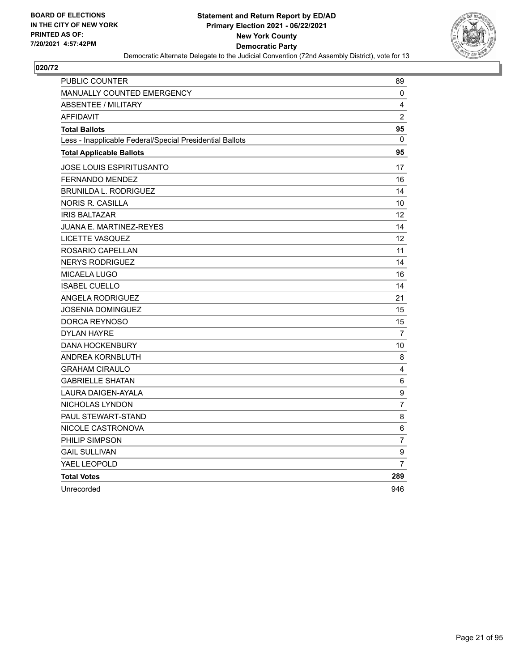

| PUBLIC COUNTER                                           | 89             |
|----------------------------------------------------------|----------------|
| <b>MANUALLY COUNTED EMERGENCY</b>                        | 0              |
| <b>ABSENTEE / MILITARY</b>                               | 4              |
| <b>AFFIDAVIT</b>                                         | $\overline{2}$ |
| <b>Total Ballots</b>                                     | 95             |
| Less - Inapplicable Federal/Special Presidential Ballots | $\mathbf{0}$   |
| <b>Total Applicable Ballots</b>                          | 95             |
| JOSE LOUIS ESPIRITUSANTO                                 | 17             |
| <b>FERNANDO MENDEZ</b>                                   | 16             |
| <b>BRUNILDA L. RODRIGUEZ</b>                             | 14             |
| NORIS R. CASILLA                                         | 10             |
| <b>IRIS BALTAZAR</b>                                     | 12             |
| <b>JUANA E. MARTINEZ-REYES</b>                           | 14             |
| <b>LICETTE VASQUEZ</b>                                   | 12             |
| ROSARIO CAPELLAN                                         | 11             |
| <b>NERYS RODRIGUEZ</b>                                   | 14             |
| <b>MICAELA LUGO</b>                                      | 16             |
| <b>ISABEL CUELLO</b>                                     | 14             |
| <b>ANGELA RODRIGUEZ</b>                                  | 21             |
| <b>JOSENIA DOMINGUEZ</b>                                 | 15             |
| DORCA REYNOSO                                            | 15             |
| <b>DYLAN HAYRE</b>                                       | 7              |
| <b>DANA HOCKENBURY</b>                                   | 10             |
| ANDREA KORNBLUTH                                         | 8              |
| <b>GRAHAM CIRAULO</b>                                    | 4              |
| <b>GABRIELLE SHATAN</b>                                  | 6              |
| <b>LAURA DAIGEN-AYALA</b>                                | 9              |
| NICHOLAS LYNDON                                          | $\overline{7}$ |
| PAUL STEWART-STAND                                       | 8              |
| NICOLE CASTRONOVA                                        | $\,6$          |
| PHILIP SIMPSON                                           | $\overline{7}$ |
| <b>GAIL SULLIVAN</b>                                     | 9              |
| YAEL LEOPOLD                                             | $\overline{7}$ |
| <b>Total Votes</b>                                       | 289            |
| Unrecorded                                               | 946            |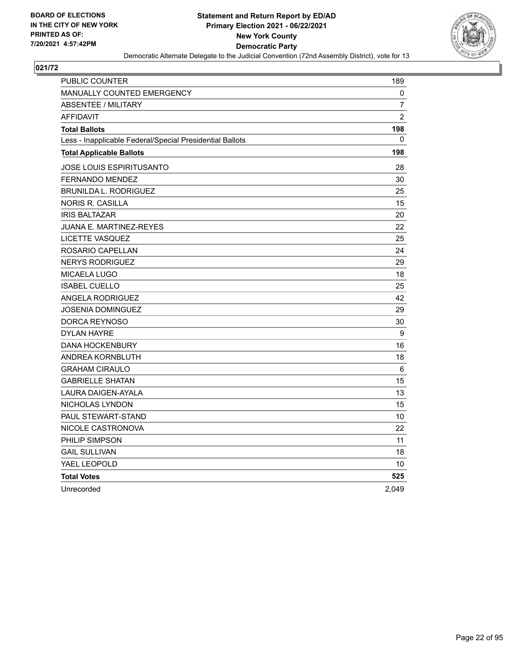

| PUBLIC COUNTER                                           | 189            |
|----------------------------------------------------------|----------------|
| <b>MANUALLY COUNTED EMERGENCY</b>                        | 0              |
| <b>ABSENTEE / MILITARY</b>                               | $\overline{7}$ |
| <b>AFFIDAVIT</b>                                         | $\overline{2}$ |
| <b>Total Ballots</b>                                     | 198            |
| Less - Inapplicable Federal/Special Presidential Ballots | 0              |
| <b>Total Applicable Ballots</b>                          | 198            |
| JOSE LOUIS ESPIRITUSANTO                                 | 28             |
| FERNANDO MENDEZ                                          | 30             |
| <b>BRUNILDA L. RODRIGUEZ</b>                             | 25             |
| <b>NORIS R. CASILLA</b>                                  | 15             |
| <b>IRIS BALTAZAR</b>                                     | 20             |
| JUANA E. MARTINEZ-REYES                                  | 22             |
| <b>LICETTE VASQUEZ</b>                                   | 25             |
| ROSARIO CAPELLAN                                         | 24             |
| <b>NERYS RODRIGUEZ</b>                                   | 29             |
| MICAELA LUGO                                             | 18             |
| <b>ISABEL CUELLO</b>                                     | 25             |
| <b>ANGELA RODRIGUEZ</b>                                  | 42             |
| JOSENIA DOMINGUEZ                                        | 29             |
| DORCA REYNOSO                                            | 30             |
| <b>DYLAN HAYRE</b>                                       | 9              |
| <b>DANA HOCKENBURY</b>                                   | 16             |
| ANDREA KORNBLUTH                                         | 18             |
| <b>GRAHAM CIRAULO</b>                                    | 6              |
| <b>GABRIELLE SHATAN</b>                                  | 15             |
| <b>LAURA DAIGEN-AYALA</b>                                | 13             |
| NICHOLAS LYNDON                                          | 15             |
| PAUL STEWART-STAND                                       | 10             |
| NICOLE CASTRONOVA                                        | 22             |
| PHILIP SIMPSON                                           | 11             |
| <b>GAIL SULLIVAN</b>                                     | 18             |
| YAEL LEOPOLD                                             | 10             |
| <b>Total Votes</b>                                       | 525            |
| Unrecorded                                               | 2,049          |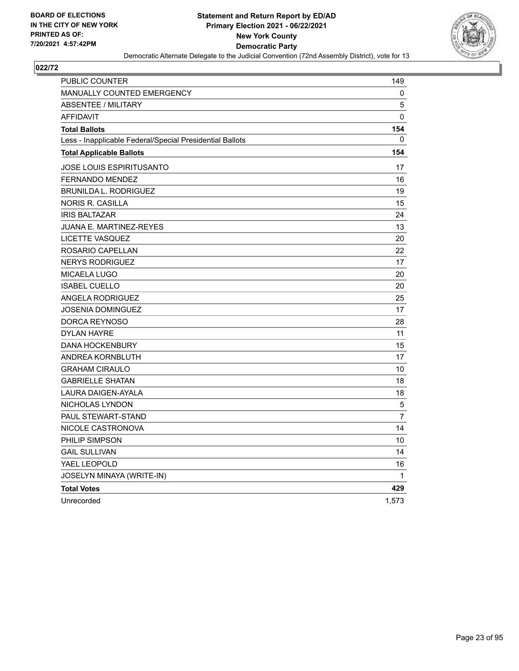

| <b>PUBLIC COUNTER</b>                                    | 149            |
|----------------------------------------------------------|----------------|
| <b>MANUALLY COUNTED EMERGENCY</b>                        | 0              |
| <b>ABSENTEE / MILITARY</b>                               | 5              |
| <b>AFFIDAVIT</b>                                         | 0              |
| <b>Total Ballots</b>                                     | 154            |
| Less - Inapplicable Federal/Special Presidential Ballots | 0              |
| <b>Total Applicable Ballots</b>                          | 154            |
| JOSE LOUIS ESPIRITUSANTO                                 | 17             |
| <b>FERNANDO MENDEZ</b>                                   | 16             |
| <b>BRUNILDA L. RODRIGUEZ</b>                             | 19             |
| <b>NORIS R. CASILLA</b>                                  | 15             |
| <b>IRIS BALTAZAR</b>                                     | 24             |
| JUANA E. MARTINEZ-REYES                                  | 13             |
| <b>LICETTE VASQUEZ</b>                                   | 20             |
| ROSARIO CAPELLAN                                         | 22             |
| <b>NERYS RODRIGUEZ</b>                                   | 17             |
| <b>MICAELA LUGO</b>                                      | 20             |
| <b>ISABEL CUELLO</b>                                     | 20             |
| <b>ANGELA RODRIGUEZ</b>                                  | 25             |
| JOSENIA DOMINGUEZ                                        | 17             |
| DORCA REYNOSO                                            | 28             |
| <b>DYLAN HAYRE</b>                                       | 11             |
| <b>DANA HOCKENBURY</b>                                   | 15             |
| ANDREA KORNBLUTH                                         | 17             |
| <b>GRAHAM CIRAULO</b>                                    | 10             |
| <b>GABRIELLE SHATAN</b>                                  | 18             |
| LAURA DAIGEN-AYALA                                       | 18             |
| NICHOLAS LYNDON                                          | 5              |
| PAUL STEWART-STAND                                       | $\overline{7}$ |
| NICOLE CASTRONOVA                                        | 14             |
| PHILIP SIMPSON                                           | 10             |
| <b>GAIL SULLIVAN</b>                                     | 14             |
| YAEL LEOPOLD                                             | 16             |
| JOSELYN MINAYA (WRITE-IN)                                | $\mathbf{1}$   |
| <b>Total Votes</b>                                       | 429            |
| Unrecorded                                               | 1,573          |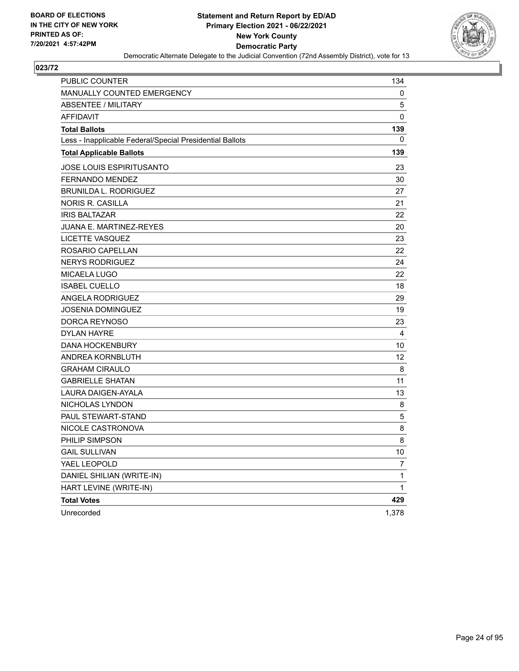

| <b>PUBLIC COUNTER</b>                                    | 134         |
|----------------------------------------------------------|-------------|
| MANUALLY COUNTED EMERGENCY                               | 0           |
| ABSENTEE / MILITARY                                      | 5           |
| <b>AFFIDAVIT</b>                                         | $\mathbf 0$ |
| <b>Total Ballots</b>                                     | 139         |
| Less - Inapplicable Federal/Special Presidential Ballots | 0           |
| <b>Total Applicable Ballots</b>                          | 139         |
| <b>JOSE LOUIS ESPIRITUSANTO</b>                          | 23          |
| FERNANDO MENDEZ                                          | 30          |
| <b>BRUNILDA L. RODRIGUEZ</b>                             | 27          |
| <b>NORIS R. CASILLA</b>                                  | 21          |
| <b>IRIS BALTAZAR</b>                                     | 22          |
| <b>JUANA E. MARTINEZ-REYES</b>                           | 20          |
| LICETTE VASQUEZ                                          | 23          |
| ROSARIO CAPELLAN                                         | 22          |
| <b>NERYS RODRIGUEZ</b>                                   | 24          |
| <b>MICAELA LUGO</b>                                      | 22          |
| <b>ISABEL CUELLO</b>                                     | 18          |
| <b>ANGELA RODRIGUEZ</b>                                  | 29          |
| <b>JOSENIA DOMINGUEZ</b>                                 | 19          |
| DORCA REYNOSO                                            | 23          |
| <b>DYLAN HAYRE</b>                                       | 4           |
| <b>DANA HOCKENBURY</b>                                   | 10          |
| ANDREA KORNBLUTH                                         | 12          |
| <b>GRAHAM CIRAULO</b>                                    | 8           |
| <b>GABRIELLE SHATAN</b>                                  | 11          |
| LAURA DAIGEN-AYALA                                       | 13          |
| NICHOLAS LYNDON                                          | 8           |
| PAUL STEWART-STAND                                       | 5           |
| NICOLE CASTRONOVA                                        | 8           |
| PHILIP SIMPSON                                           | 8           |
| <b>GAIL SULLIVAN</b>                                     | 10          |
| YAEL LEOPOLD                                             | 7           |
| DANIEL SHILIAN (WRITE-IN)                                | 1           |
| HART LEVINE (WRITE-IN)                                   | 1           |
| <b>Total Votes</b>                                       | 429         |
| Unrecorded                                               | 1,378       |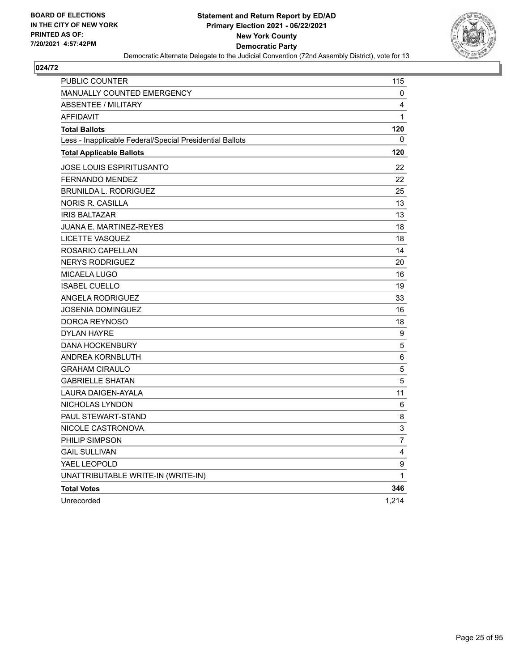

| <b>PUBLIC COUNTER</b>                                    | 115            |
|----------------------------------------------------------|----------------|
| <b>MANUALLY COUNTED EMERGENCY</b>                        | 0              |
| <b>ABSENTEE / MILITARY</b>                               | 4              |
| <b>AFFIDAVIT</b>                                         | $\mathbf 1$    |
| <b>Total Ballots</b>                                     | 120            |
| Less - Inapplicable Federal/Special Presidential Ballots | 0              |
| <b>Total Applicable Ballots</b>                          | 120            |
| <b>JOSE LOUIS ESPIRITUSANTO</b>                          | 22             |
| <b>FERNANDO MENDEZ</b>                                   | 22             |
| <b>BRUNILDA L. RODRIGUEZ</b>                             | 25             |
| NORIS R. CASILLA                                         | 13             |
| <b>IRIS BALTAZAR</b>                                     | 13             |
| <b>JUANA E. MARTINEZ-REYES</b>                           | 18             |
| LICETTE VASQUEZ                                          | 18             |
| ROSARIO CAPELLAN                                         | 14             |
| <b>NERYS RODRIGUEZ</b>                                   | 20             |
| <b>MICAELA LUGO</b>                                      | 16             |
| <b>ISABEL CUELLO</b>                                     | 19             |
| ANGELA RODRIGUEZ                                         | 33             |
| <b>JOSENIA DOMINGUEZ</b>                                 | 16             |
| DORCA REYNOSO                                            | 18             |
| <b>DYLAN HAYRE</b>                                       | 9              |
| <b>DANA HOCKENBURY</b>                                   | $\mathbf 5$    |
| ANDREA KORNBLUTH                                         | 6              |
| <b>GRAHAM CIRAULO</b>                                    | 5              |
| <b>GABRIELLE SHATAN</b>                                  | 5              |
| LAURA DAIGEN-AYALA                                       | 11             |
| NICHOLAS LYNDON                                          | 6              |
| PAUL STEWART-STAND                                       | 8              |
| NICOLE CASTRONOVA                                        | 3              |
| PHILIP SIMPSON                                           | $\overline{7}$ |
| <b>GAIL SULLIVAN</b>                                     | 4              |
| YAEL LEOPOLD                                             | 9              |
| UNATTRIBUTABLE WRITE-IN (WRITE-IN)                       | $\mathbf{1}$   |
| <b>Total Votes</b>                                       | 346            |
| Unrecorded                                               | 1,214          |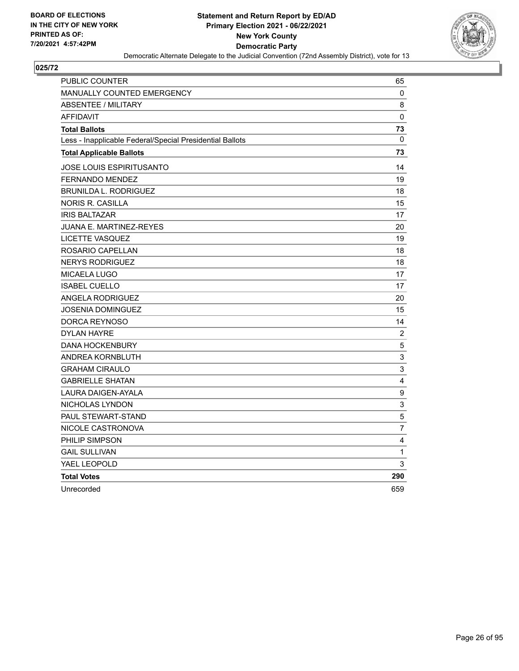

| PUBLIC COUNTER                                           | 65                      |
|----------------------------------------------------------|-------------------------|
| <b>MANUALLY COUNTED EMERGENCY</b>                        | 0                       |
| <b>ABSENTEE / MILITARY</b>                               | 8                       |
| <b>AFFIDAVIT</b>                                         | 0                       |
| <b>Total Ballots</b>                                     | 73                      |
| Less - Inapplicable Federal/Special Presidential Ballots | $\Omega$                |
| <b>Total Applicable Ballots</b>                          | 73                      |
| JOSE LOUIS ESPIRITUSANTO                                 | 14                      |
| <b>FERNANDO MENDEZ</b>                                   | 19                      |
| <b>BRUNILDA L. RODRIGUEZ</b>                             | 18                      |
| <b>NORIS R. CASILLA</b>                                  | 15                      |
| <b>IRIS BALTAZAR</b>                                     | 17                      |
| JUANA E. MARTINEZ-REYES                                  | 20                      |
| <b>LICETTE VASQUEZ</b>                                   | 19                      |
| ROSARIO CAPELLAN                                         | 18                      |
| <b>NERYS RODRIGUEZ</b>                                   | 18                      |
| <b>MICAELA LUGO</b>                                      | 17                      |
| <b>ISABEL CUELLO</b>                                     | 17                      |
| <b>ANGELA RODRIGUEZ</b>                                  | 20                      |
| <b>JOSENIA DOMINGUEZ</b>                                 | 15                      |
| DORCA REYNOSO                                            | 14                      |
| <b>DYLAN HAYRE</b>                                       | $\boldsymbol{2}$        |
| <b>DANA HOCKENBURY</b>                                   | $\mathbf 5$             |
| ANDREA KORNBLUTH                                         | 3                       |
| <b>GRAHAM CIRAULO</b>                                    | 3                       |
| <b>GABRIELLE SHATAN</b>                                  | 4                       |
| <b>LAURA DAIGEN-AYALA</b>                                | $\boldsymbol{9}$        |
| NICHOLAS LYNDON                                          | 3                       |
| PAUL STEWART-STAND                                       | 5                       |
| NICOLE CASTRONOVA                                        | $\overline{7}$          |
| PHILIP SIMPSON                                           | $\overline{\mathbf{4}}$ |
| <b>GAIL SULLIVAN</b>                                     | 1                       |
| YAEL LEOPOLD                                             | 3                       |
| <b>Total Votes</b>                                       | 290                     |
| Unrecorded                                               | 659                     |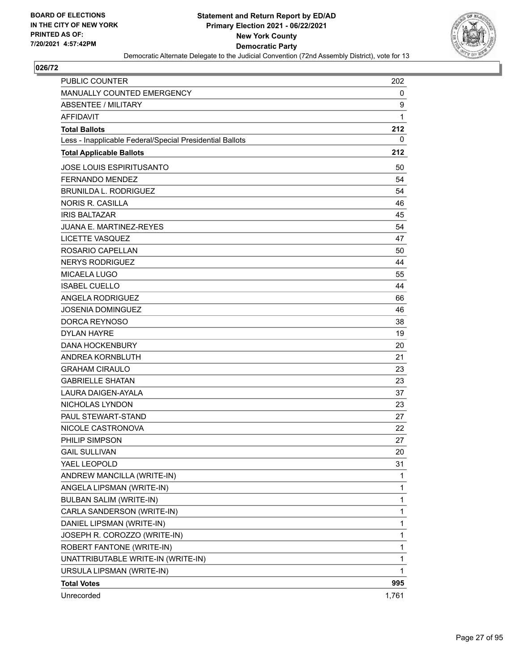

| <b>PUBLIC COUNTER</b>                                    | 202   |
|----------------------------------------------------------|-------|
| MANUALLY COUNTED EMERGENCY                               | 0     |
| <b>ABSENTEE / MILITARY</b>                               | 9     |
| <b>AFFIDAVIT</b>                                         | 1     |
| <b>Total Ballots</b>                                     | 212   |
| Less - Inapplicable Federal/Special Presidential Ballots | 0     |
| <b>Total Applicable Ballots</b>                          | 212   |
| JOSE LOUIS ESPIRITUSANTO                                 | 50    |
| <b>FERNANDO MENDEZ</b>                                   | 54    |
| <b>BRUNILDA L. RODRIGUEZ</b>                             | 54    |
| <b>NORIS R. CASILLA</b>                                  | 46    |
| <b>IRIS BALTAZAR</b>                                     | 45    |
| <b>JUANA E. MARTINEZ-REYES</b>                           | 54    |
| LICETTE VASQUEZ                                          | 47    |
| ROSARIO CAPELLAN                                         | 50    |
| <b>NERYS RODRIGUEZ</b>                                   | 44    |
| <b>MICAELA LUGO</b>                                      | 55    |
| <b>ISABEL CUELLO</b>                                     | 44    |
| <b>ANGELA RODRIGUEZ</b>                                  | 66    |
| <b>JOSENIA DOMINGUEZ</b>                                 | 46    |
| DORCA REYNOSO                                            | 38    |
| <b>DYLAN HAYRE</b>                                       | 19    |
| <b>DANA HOCKENBURY</b>                                   | 20    |
| ANDREA KORNBLUTH                                         | 21    |
| <b>GRAHAM CIRAULO</b>                                    | 23    |
| <b>GABRIELLE SHATAN</b>                                  | 23    |
| LAURA DAIGEN-AYALA                                       | 37    |
| NICHOLAS LYNDON                                          | 23    |
| PAUL STEWART-STAND                                       | 27    |
| NICOLE CASTRONOVA                                        | 22    |
| PHILIP SIMPSON                                           | 27    |
| <b>GAIL SULLIVAN</b>                                     | 20    |
| YAEL LEOPOLD                                             | 31    |
| ANDREW MANCILLA (WRITE-IN)                               | 1     |
| ANGELA LIPSMAN (WRITE-IN)                                | 1     |
| <b>BULBAN SALIM (WRITE-IN)</b>                           | 1     |
| CARLA SANDERSON (WRITE-IN)                               | 1     |
| DANIEL LIPSMAN (WRITE-IN)                                | 1     |
| JOSEPH R. COROZZO (WRITE-IN)                             | 1     |
| ROBERT FANTONE (WRITE-IN)                                | 1     |
| UNATTRIBUTABLE WRITE-IN (WRITE-IN)                       | 1     |
| URSULA LIPSMAN (WRITE-IN)                                | 1     |
| <b>Total Votes</b>                                       | 995   |
| Unrecorded                                               | 1,761 |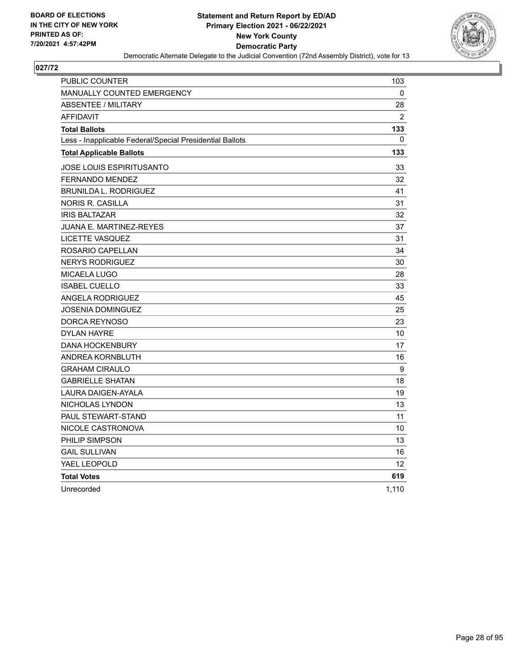

| <b>PUBLIC COUNTER</b>                                    | 103          |
|----------------------------------------------------------|--------------|
| <b>MANUALLY COUNTED EMERGENCY</b>                        | 0            |
| <b>ABSENTEE / MILITARY</b>                               | 28           |
| <b>AFFIDAVIT</b>                                         | 2            |
| <b>Total Ballots</b>                                     | 133          |
| Less - Inapplicable Federal/Special Presidential Ballots | $\mathbf{0}$ |
| <b>Total Applicable Ballots</b>                          | 133          |
| JOSE LOUIS ESPIRITUSANTO                                 | 33           |
| <b>FERNANDO MENDEZ</b>                                   | 32           |
| <b>BRUNILDA L. RODRIGUEZ</b>                             | 41           |
| <b>NORIS R. CASILLA</b>                                  | 31           |
| <b>IRIS BALTAZAR</b>                                     | 32           |
| JUANA E. MARTINEZ-REYES                                  | 37           |
| <b>LICETTE VASQUEZ</b>                                   | 31           |
| ROSARIO CAPELLAN                                         | 34           |
| <b>NERYS RODRIGUEZ</b>                                   | 30           |
| MICAELA LUGO                                             | 28           |
| <b>ISABEL CUELLO</b>                                     | 33           |
| <b>ANGELA RODRIGUEZ</b>                                  | 45           |
| <b>JOSENIA DOMINGUEZ</b>                                 | 25           |
| DORCA REYNOSO                                            | 23           |
| <b>DYLAN HAYRE</b>                                       | 10           |
| <b>DANA HOCKENBURY</b>                                   | 17           |
| ANDREA KORNBLUTH                                         | 16           |
| <b>GRAHAM CIRAULO</b>                                    | 9            |
| <b>GABRIELLE SHATAN</b>                                  | 18           |
| LAURA DAIGEN-AYALA                                       | 19           |
| NICHOLAS LYNDON                                          | 13           |
| PAUL STEWART-STAND                                       | 11           |
| NICOLE CASTRONOVA                                        | 10           |
| PHILIP SIMPSON                                           | 13           |
| <b>GAIL SULLIVAN</b>                                     | 16           |
| YAEL LEOPOLD                                             | 12           |
| <b>Total Votes</b>                                       | 619          |
| Unrecorded                                               | 1,110        |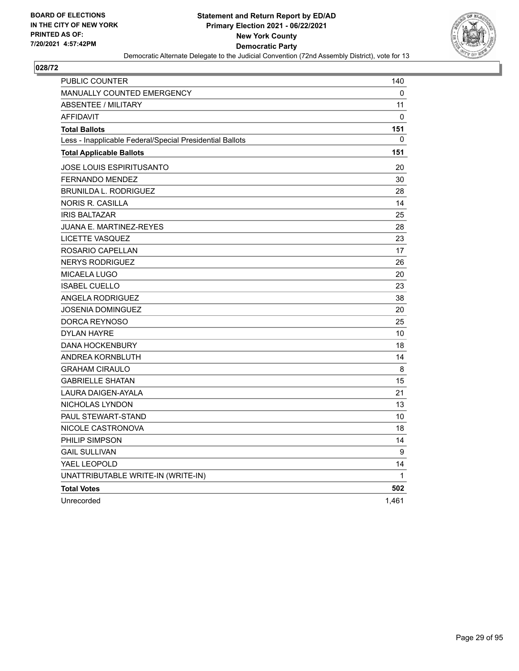

| <b>PUBLIC COUNTER</b>                                    | 140          |
|----------------------------------------------------------|--------------|
| <b>MANUALLY COUNTED EMERGENCY</b>                        | 0            |
| <b>ABSENTEE / MILITARY</b>                               | 11           |
| <b>AFFIDAVIT</b>                                         | 0            |
| <b>Total Ballots</b>                                     | 151          |
| Less - Inapplicable Federal/Special Presidential Ballots | 0            |
| <b>Total Applicable Ballots</b>                          | 151          |
| <b>JOSE LOUIS ESPIRITUSANTO</b>                          | 20           |
| <b>FERNANDO MENDEZ</b>                                   | 30           |
| <b>BRUNILDA L. RODRIGUEZ</b>                             | 28           |
| NORIS R. CASILLA                                         | 14           |
| <b>IRIS BALTAZAR</b>                                     | 25           |
| JUANA E. MARTINEZ-REYES                                  | 28           |
| LICETTE VASQUEZ                                          | 23           |
| ROSARIO CAPELLAN                                         | 17           |
| <b>NERYS RODRIGUEZ</b>                                   | 26           |
| MICAELA LUGO                                             | 20           |
| <b>ISABEL CUELLO</b>                                     | 23           |
| ANGELA RODRIGUEZ                                         | 38           |
| JOSENIA DOMINGUEZ                                        | 20           |
| DORCA REYNOSO                                            | 25           |
| <b>DYLAN HAYRE</b>                                       | 10           |
| <b>DANA HOCKENBURY</b>                                   | 18           |
| ANDREA KORNBLUTH                                         | 14           |
| <b>GRAHAM CIRAULO</b>                                    | 8            |
| <b>GABRIELLE SHATAN</b>                                  | 15           |
| LAURA DAIGEN-AYALA                                       | 21           |
| NICHOLAS LYNDON                                          | 13           |
| <b>PAUL STEWART-STAND</b>                                | 10           |
| NICOLE CASTRONOVA                                        | 18           |
| PHILIP SIMPSON                                           | 14           |
| <b>GAIL SULLIVAN</b>                                     | 9            |
| YAEL LEOPOLD                                             | 14           |
| UNATTRIBUTABLE WRITE-IN (WRITE-IN)                       | $\mathbf{1}$ |
| <b>Total Votes</b>                                       | 502          |
| Unrecorded                                               | 1,461        |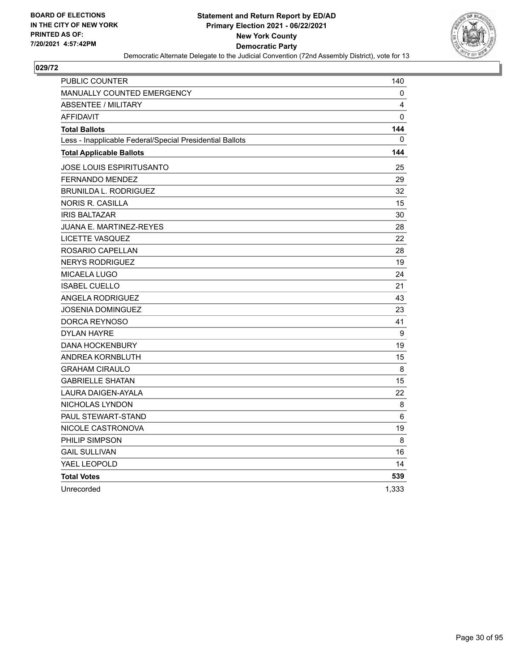

| PUBLIC COUNTER                                           | 140      |
|----------------------------------------------------------|----------|
| <b>MANUALLY COUNTED EMERGENCY</b>                        | 0        |
| <b>ABSENTEE / MILITARY</b>                               | 4        |
| <b>AFFIDAVIT</b>                                         | $\Omega$ |
| <b>Total Ballots</b>                                     | 144      |
| Less - Inapplicable Federal/Special Presidential Ballots | $\Omega$ |
| <b>Total Applicable Ballots</b>                          | 144      |
| JOSE LOUIS ESPIRITUSANTO                                 | 25       |
| <b>FERNANDO MENDEZ</b>                                   | 29       |
| <b>BRUNILDA L. RODRIGUEZ</b>                             | 32       |
| NORIS R. CASILLA                                         | 15       |
| <b>IRIS BALTAZAR</b>                                     | 30       |
| <b>JUANA E. MARTINEZ-REYES</b>                           | 28       |
| LICETTE VASQUEZ                                          | 22       |
| ROSARIO CAPELLAN                                         | 28       |
| <b>NERYS RODRIGUEZ</b>                                   | 19       |
| <b>MICAELA LUGO</b>                                      | 24       |
| <b>ISABEL CUELLO</b>                                     | 21       |
| <b>ANGELA RODRIGUEZ</b>                                  | 43       |
| JOSENIA DOMINGUEZ                                        | 23       |
| DORCA REYNOSO                                            | 41       |
| <b>DYLAN HAYRE</b>                                       | 9        |
| <b>DANA HOCKENBURY</b>                                   | 19       |
| ANDREA KORNBLUTH                                         | 15       |
| <b>GRAHAM CIRAULO</b>                                    | 8        |
| <b>GABRIELLE SHATAN</b>                                  | 15       |
| LAURA DAIGEN-AYALA                                       | 22       |
| NICHOLAS LYNDON                                          | 8        |
| PAUL STEWART-STAND                                       | 6        |
| NICOLE CASTRONOVA                                        | 19       |
| PHILIP SIMPSON                                           | 8        |
| <b>GAIL SULLIVAN</b>                                     | 16       |
| YAEL LEOPOLD                                             | 14       |
| <b>Total Votes</b>                                       | 539      |
| Unrecorded                                               | 1,333    |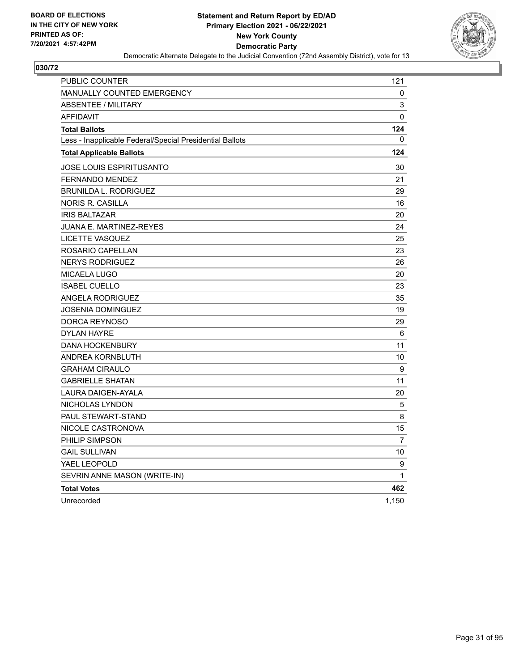

| PUBLIC COUNTER                                           | 121   |
|----------------------------------------------------------|-------|
| <b>MANUALLY COUNTED EMERGENCY</b>                        | 0     |
| <b>ABSENTEE / MILITARY</b>                               | 3     |
| <b>AFFIDAVIT</b>                                         | 0     |
| <b>Total Ballots</b>                                     | 124   |
| Less - Inapplicable Federal/Special Presidential Ballots | 0     |
| <b>Total Applicable Ballots</b>                          | 124   |
| JOSE LOUIS ESPIRITUSANTO                                 | 30    |
| FERNANDO MENDEZ                                          | 21    |
| <b>BRUNILDA L. RODRIGUEZ</b>                             | 29    |
| NORIS R. CASILLA                                         | 16    |
| <b>IRIS BALTAZAR</b>                                     | 20    |
| JUANA E. MARTINEZ-REYES                                  | 24    |
| LICETTE VASQUEZ                                          | 25    |
| ROSARIO CAPELLAN                                         | 23    |
| <b>NERYS RODRIGUEZ</b>                                   | 26    |
| <b>MICAELA LUGO</b>                                      | 20    |
| <b>ISABEL CUELLO</b>                                     | 23    |
| ANGELA RODRIGUEZ                                         | 35    |
| JOSENIA DOMINGUEZ                                        | 19    |
| DORCA REYNOSO                                            | 29    |
| <b>DYLAN HAYRE</b>                                       | 6     |
| <b>DANA HOCKENBURY</b>                                   | 11    |
| ANDREA KORNBLUTH                                         | 10    |
| <b>GRAHAM CIRAULO</b>                                    | 9     |
| <b>GABRIELLE SHATAN</b>                                  | 11    |
| LAURA DAIGEN-AYALA                                       | 20    |
| NICHOLAS LYNDON                                          | 5     |
| <b>PAUL STEWART-STAND</b>                                | 8     |
| NICOLE CASTRONOVA                                        | 15    |
| PHILIP SIMPSON                                           | 7     |
| <b>GAIL SULLIVAN</b>                                     | 10    |
| YAEL LEOPOLD                                             | 9     |
| SEVRIN ANNE MASON (WRITE-IN)                             | 1     |
| <b>Total Votes</b>                                       | 462   |
| Unrecorded                                               | 1,150 |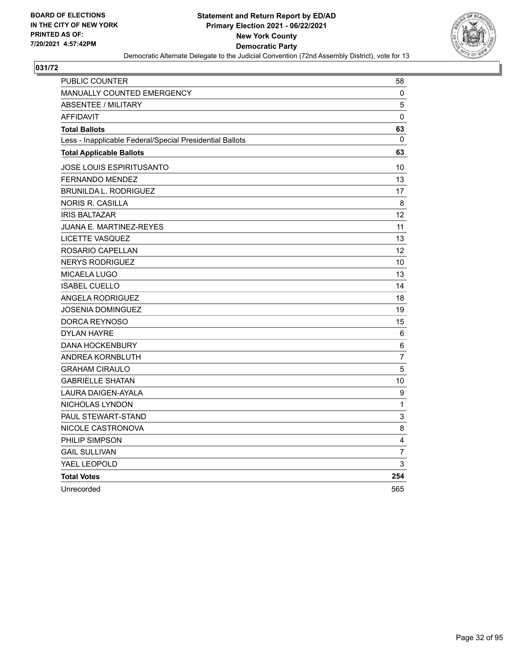

| <b>PUBLIC COUNTER</b>                                    | 58              |
|----------------------------------------------------------|-----------------|
| <b>MANUALLY COUNTED EMERGENCY</b>                        | 0               |
| <b>ABSENTEE / MILITARY</b>                               | 5               |
| <b>AFFIDAVIT</b>                                         | 0               |
| <b>Total Ballots</b>                                     | 63              |
| Less - Inapplicable Federal/Special Presidential Ballots | $\mathbf{0}$    |
| <b>Total Applicable Ballots</b>                          | 63              |
| JOSE LOUIS ESPIRITUSANTO                                 | 10              |
| FERNANDO MENDEZ                                          | 13              |
| <b>BRUNILDA L. RODRIGUEZ</b>                             | 17              |
| <b>NORIS R. CASILLA</b>                                  | 8               |
| <b>IRIS BALTAZAR</b>                                     | 12              |
| <b>JUANA E. MARTINEZ-REYES</b>                           | 11              |
| LICETTE VASQUEZ                                          | 13              |
| ROSARIO CAPELLAN                                         | 12 <sup>2</sup> |
| <b>NERYS RODRIGUEZ</b>                                   | 10              |
| MICAELA LUGO                                             | 13              |
| <b>ISABEL CUELLO</b>                                     | 14              |
| <b>ANGELA RODRIGUEZ</b>                                  | 18              |
| JOSENIA DOMINGUEZ                                        | 19              |
| DORCA REYNOSO                                            | 15              |
| <b>DYLAN HAYRE</b>                                       | 6               |
| <b>DANA HOCKENBURY</b>                                   | 6               |
| ANDREA KORNBLUTH                                         | $\overline{7}$  |
| <b>GRAHAM CIRAULO</b>                                    | 5               |
| <b>GABRIELLE SHATAN</b>                                  | 10              |
| <b>LAURA DAIGEN-AYALA</b>                                | 9               |
| NICHOLAS LYNDON                                          | $\mathbf{1}$    |
| PAUL STEWART-STAND                                       | 3               |
| NICOLE CASTRONOVA                                        | 8               |
| PHILIP SIMPSON                                           | 4               |
| <b>GAIL SULLIVAN</b>                                     | 7               |
| YAEL LEOPOLD                                             | 3               |
| <b>Total Votes</b>                                       | 254             |
| Unrecorded                                               | 565             |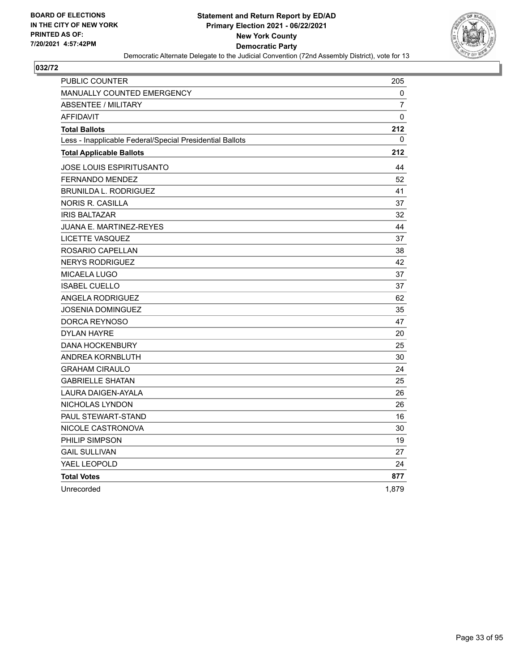

| PUBLIC COUNTER                                           | 205            |
|----------------------------------------------------------|----------------|
| <b>MANUALLY COUNTED EMERGENCY</b>                        | 0              |
| <b>ABSENTEE / MILITARY</b>                               | $\overline{7}$ |
| <b>AFFIDAVIT</b>                                         | 0              |
| <b>Total Ballots</b>                                     | 212            |
| Less - Inapplicable Federal/Special Presidential Ballots | 0              |
| <b>Total Applicable Ballots</b>                          | 212            |
| JOSE LOUIS ESPIRITUSANTO                                 | 44             |
| <b>FERNANDO MENDEZ</b>                                   | 52             |
| <b>BRUNILDA L. RODRIGUEZ</b>                             | 41             |
| <b>NORIS R. CASILLA</b>                                  | 37             |
| <b>IRIS BALTAZAR</b>                                     | 32             |
| <b>JUANA E. MARTINEZ-REYES</b>                           | 44             |
| LICETTE VASQUEZ                                          | 37             |
| ROSARIO CAPELLAN                                         | 38             |
| <b>NERYS RODRIGUEZ</b>                                   | 42             |
| <b>MICAELA LUGO</b>                                      | 37             |
| <b>ISABEL CUELLO</b>                                     | 37             |
| <b>ANGELA RODRIGUEZ</b>                                  | 62             |
| <b>JOSENIA DOMINGUEZ</b>                                 | 35             |
| DORCA REYNOSO                                            | 47             |
| <b>DYLAN HAYRE</b>                                       | 20             |
| <b>DANA HOCKENBURY</b>                                   | 25             |
| ANDREA KORNBLUTH                                         | 30             |
| <b>GRAHAM CIRAULO</b>                                    | 24             |
| <b>GABRIELLE SHATAN</b>                                  | 25             |
| <b>LAURA DAIGEN-AYALA</b>                                | 26             |
| NICHOLAS LYNDON                                          | 26             |
| <b>PAUL STEWART-STAND</b>                                | 16             |
| NICOLE CASTRONOVA                                        | 30             |
| PHILIP SIMPSON                                           | 19             |
| <b>GAIL SULLIVAN</b>                                     | 27             |
| YAEL LEOPOLD                                             | 24             |
| <b>Total Votes</b>                                       | 877            |
| Unrecorded                                               | 1,879          |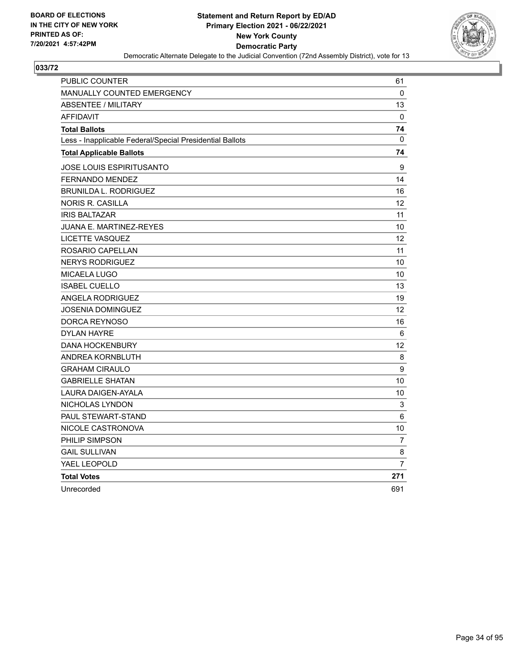

| PUBLIC COUNTER                                           | 61             |
|----------------------------------------------------------|----------------|
| <b>MANUALLY COUNTED EMERGENCY</b>                        | 0              |
| <b>ABSENTEE / MILITARY</b>                               | 13             |
| <b>AFFIDAVIT</b>                                         | $\Omega$       |
| <b>Total Ballots</b>                                     | 74             |
| Less - Inapplicable Federal/Special Presidential Ballots | $\Omega$       |
| <b>Total Applicable Ballots</b>                          | 74             |
| JOSE LOUIS ESPIRITUSANTO                                 | 9              |
| <b>FERNANDO MENDEZ</b>                                   | 14             |
| <b>BRUNILDA L. RODRIGUEZ</b>                             | 16             |
| NORIS R. CASILLA                                         | 12             |
| <b>IRIS BALTAZAR</b>                                     | 11             |
| <b>JUANA E. MARTINEZ-REYES</b>                           | 10             |
| <b>LICETTE VASQUEZ</b>                                   | 12             |
| ROSARIO CAPELLAN                                         | 11             |
| <b>NERYS RODRIGUEZ</b>                                   | 10             |
| <b>MICAELA LUGO</b>                                      | 10             |
| <b>ISABEL CUELLO</b>                                     | 13             |
| <b>ANGELA RODRIGUEZ</b>                                  | 19             |
| <b>JOSENIA DOMINGUEZ</b>                                 | 12             |
| DORCA REYNOSO                                            | 16             |
| <b>DYLAN HAYRE</b>                                       | 6              |
| <b>DANA HOCKENBURY</b>                                   | 12             |
| ANDREA KORNBLUTH                                         | 8              |
| <b>GRAHAM CIRAULO</b>                                    | 9              |
| <b>GABRIELLE SHATAN</b>                                  | 10             |
| <b>LAURA DAIGEN-AYALA</b>                                | 10             |
| NICHOLAS LYNDON                                          | 3              |
| PAUL STEWART-STAND                                       | 6              |
| NICOLE CASTRONOVA                                        | 10             |
| PHILIP SIMPSON                                           | $\overline{7}$ |
| <b>GAIL SULLIVAN</b>                                     | 8              |
| YAEL LEOPOLD                                             | $\overline{7}$ |
| <b>Total Votes</b>                                       | 271            |
| Unrecorded                                               | 691            |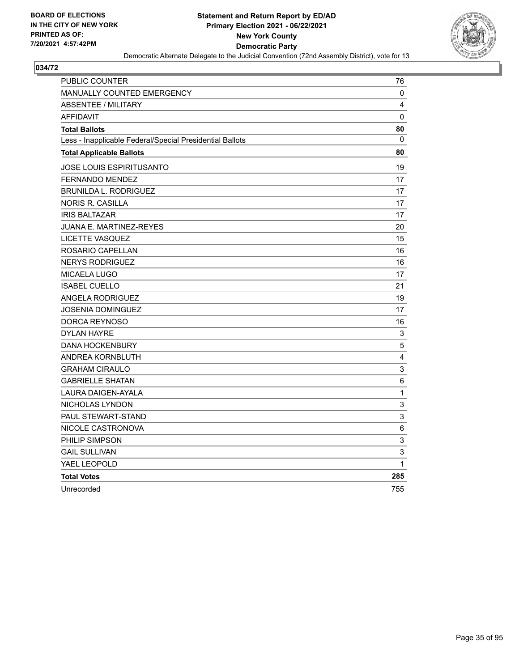

| <b>PUBLIC COUNTER</b>                                    | 76                        |
|----------------------------------------------------------|---------------------------|
| <b>MANUALLY COUNTED EMERGENCY</b>                        | 0                         |
| <b>ABSENTEE / MILITARY</b>                               | 4                         |
| <b>AFFIDAVIT</b>                                         | 0                         |
| <b>Total Ballots</b>                                     | 80                        |
| Less - Inapplicable Federal/Special Presidential Ballots | 0                         |
| <b>Total Applicable Ballots</b>                          | 80                        |
| JOSE LOUIS ESPIRITUSANTO                                 | 19                        |
| <b>FERNANDO MENDEZ</b>                                   | 17                        |
| <b>BRUNILDA L. RODRIGUEZ</b>                             | 17                        |
| <b>NORIS R. CASILLA</b>                                  | 17                        |
| <b>IRIS BALTAZAR</b>                                     | 17                        |
| JUANA E. MARTINEZ-REYES                                  | 20                        |
| <b>LICETTE VASQUEZ</b>                                   | 15                        |
| ROSARIO CAPELLAN                                         | 16                        |
| <b>NERYS RODRIGUEZ</b>                                   | 16                        |
| MICAELA LUGO                                             | 17                        |
| <b>ISABEL CUELLO</b>                                     | 21                        |
| <b>ANGELA RODRIGUEZ</b>                                  | 19                        |
| JOSENIA DOMINGUEZ                                        | 17                        |
| DORCA REYNOSO                                            | 16                        |
| <b>DYLAN HAYRE</b>                                       | 3                         |
| <b>DANA HOCKENBURY</b>                                   | 5                         |
| <b>ANDREA KORNBLUTH</b>                                  | 4                         |
| <b>GRAHAM CIRAULO</b>                                    | 3                         |
| <b>GABRIELLE SHATAN</b>                                  | 6                         |
| <b>LAURA DAIGEN-AYALA</b>                                | $\mathbf 1$               |
| NICHOLAS LYNDON                                          | $\ensuremath{\mathsf{3}}$ |
| <b>PAUL STEWART-STAND</b>                                | 3                         |
| NICOLE CASTRONOVA                                        | $\,6$                     |
| PHILIP SIMPSON                                           | $\ensuremath{\mathsf{3}}$ |
| <b>GAIL SULLIVAN</b>                                     | 3                         |
| YAEL LEOPOLD                                             | $\mathbf{1}$              |
| <b>Total Votes</b>                                       | 285                       |
| Unrecorded                                               | 755                       |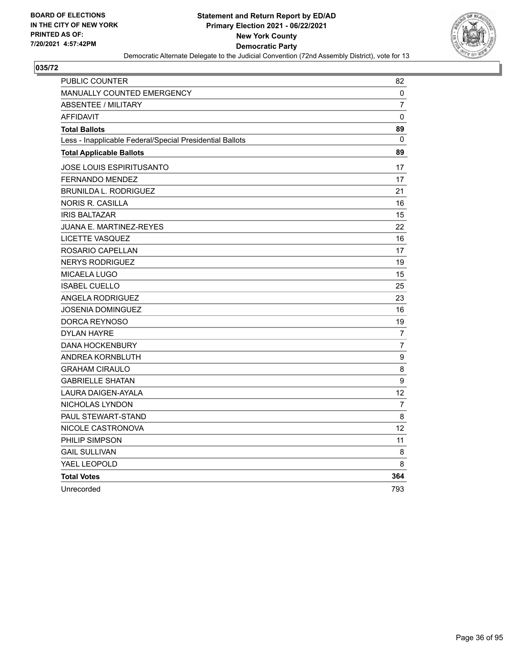

| PUBLIC COUNTER                                           | 82             |
|----------------------------------------------------------|----------------|
| <b>MANUALLY COUNTED EMERGENCY</b>                        | 0              |
| <b>ABSENTEE / MILITARY</b>                               | 7              |
| <b>AFFIDAVIT</b>                                         | $\Omega$       |
| <b>Total Ballots</b>                                     | 89             |
| Less - Inapplicable Federal/Special Presidential Ballots | 0              |
| <b>Total Applicable Ballots</b>                          | 89             |
| JOSE LOUIS ESPIRITUSANTO                                 | 17             |
| <b>FERNANDO MENDEZ</b>                                   | 17             |
| <b>BRUNILDA L. RODRIGUEZ</b>                             | 21             |
| <b>NORIS R. CASILLA</b>                                  | 16             |
| <b>IRIS BALTAZAR</b>                                     | 15             |
| JUANA E. MARTINEZ-REYES                                  | 22             |
| <b>LICETTE VASQUEZ</b>                                   | 16             |
| ROSARIO CAPELLAN                                         | 17             |
| <b>NERYS RODRIGUEZ</b>                                   | 19             |
| <b>MICAELA LUGO</b>                                      | 15             |
| <b>ISABEL CUELLO</b>                                     | 25             |
| <b>ANGELA RODRIGUEZ</b>                                  | 23             |
| <b>JOSENIA DOMINGUEZ</b>                                 | 16             |
| DORCA REYNOSO                                            | 19             |
| <b>DYLAN HAYRE</b>                                       | 7              |
| <b>DANA HOCKENBURY</b>                                   | $\overline{7}$ |
| <b>ANDREA KORNBLUTH</b>                                  | 9              |
| <b>GRAHAM CIRAULO</b>                                    | 8              |
| <b>GABRIELLE SHATAN</b>                                  | 9              |
| <b>LAURA DAIGEN-AYALA</b>                                | 12             |
| NICHOLAS LYNDON                                          | 7              |
| PAUL STEWART-STAND                                       | 8              |
| NICOLE CASTRONOVA                                        | 12             |
| PHILIP SIMPSON                                           | 11             |
| <b>GAIL SULLIVAN</b>                                     | 8              |
| YAEL LEOPOLD                                             | 8              |
| <b>Total Votes</b>                                       | 364            |
| Unrecorded                                               | 793            |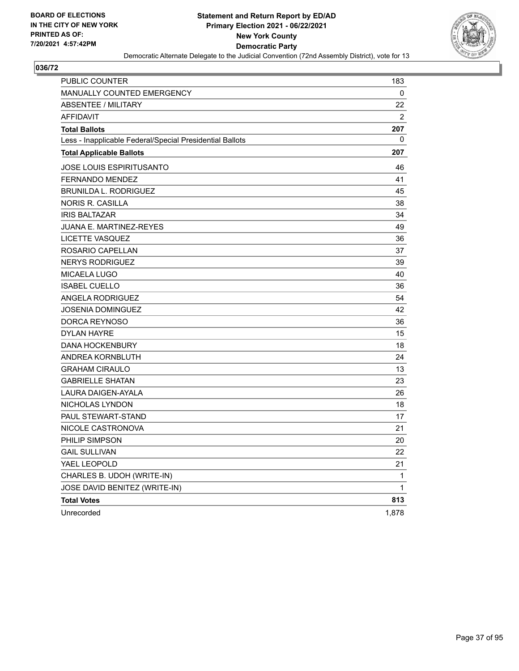

| <b>PUBLIC COUNTER</b>                                    | 183            |
|----------------------------------------------------------|----------------|
| MANUALLY COUNTED EMERGENCY                               | 0              |
| <b>ABSENTEE / MILITARY</b>                               | 22             |
| <b>AFFIDAVIT</b>                                         | $\overline{2}$ |
| <b>Total Ballots</b>                                     | 207            |
| Less - Inapplicable Federal/Special Presidential Ballots | 0              |
| <b>Total Applicable Ballots</b>                          | 207            |
| <b>JOSE LOUIS ESPIRITUSANTO</b>                          | 46             |
| <b>FERNANDO MENDEZ</b>                                   | 41             |
| <b>BRUNILDA L. RODRIGUEZ</b>                             | 45             |
| <b>NORIS R. CASILLA</b>                                  | 38             |
| <b>IRIS BALTAZAR</b>                                     | 34             |
| <b>JUANA E. MARTINEZ-REYES</b>                           | 49             |
| LICETTE VASQUEZ                                          | 36             |
| ROSARIO CAPELLAN                                         | 37             |
| <b>NERYS RODRIGUEZ</b>                                   | 39             |
| <b>MICAELA LUGO</b>                                      | 40             |
| <b>ISABEL CUELLO</b>                                     | 36             |
| <b>ANGELA RODRIGUEZ</b>                                  | 54             |
| <b>JOSENIA DOMINGUEZ</b>                                 | 42             |
| DORCA REYNOSO                                            | 36             |
| <b>DYLAN HAYRE</b>                                       | 15             |
| <b>DANA HOCKENBURY</b>                                   | 18             |
| ANDREA KORNBLUTH                                         | 24             |
| <b>GRAHAM CIRAULO</b>                                    | 13             |
| <b>GABRIELLE SHATAN</b>                                  | 23             |
| LAURA DAIGEN-AYALA                                       | 26             |
| NICHOLAS LYNDON                                          | 18             |
| PAUL STEWART-STAND                                       | 17             |
| NICOLE CASTRONOVA                                        | 21             |
| PHILIP SIMPSON                                           | 20             |
| <b>GAIL SULLIVAN</b>                                     | 22             |
| YAEL LEOPOLD                                             | 21             |
| CHARLES B. UDOH (WRITE-IN)                               | 1              |
| JOSE DAVID BENITEZ (WRITE-IN)                            | 1              |
| <b>Total Votes</b>                                       | 813            |
| Unrecorded                                               | 1,878          |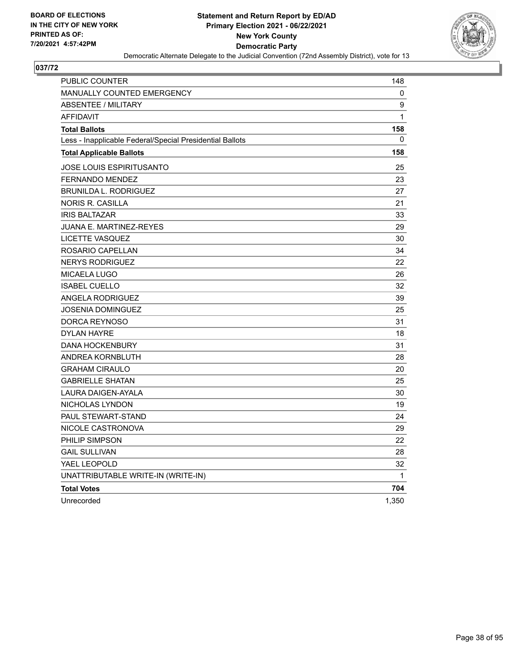

| PUBLIC COUNTER                                           | 148   |
|----------------------------------------------------------|-------|
| <b>MANUALLY COUNTED EMERGENCY</b>                        | 0     |
| <b>ABSENTEE / MILITARY</b>                               | 9     |
| <b>AFFIDAVIT</b>                                         | 1     |
| <b>Total Ballots</b>                                     | 158   |
| Less - Inapplicable Federal/Special Presidential Ballots | 0     |
| <b>Total Applicable Ballots</b>                          | 158   |
| JOSE LOUIS ESPIRITUSANTO                                 | 25    |
| <b>FERNANDO MENDEZ</b>                                   | 23    |
| <b>BRUNILDA L. RODRIGUEZ</b>                             | 27    |
| <b>NORIS R. CASILLA</b>                                  | 21    |
| <b>IRIS BALTAZAR</b>                                     | 33    |
| JUANA E. MARTINEZ-REYES                                  | 29    |
| LICETTE VASQUEZ                                          | 30    |
| ROSARIO CAPELLAN                                         | 34    |
| <b>NERYS RODRIGUEZ</b>                                   | 22    |
| MICAELA LUGO                                             | 26    |
| <b>ISABEL CUELLO</b>                                     | 32    |
| <b>ANGELA RODRIGUEZ</b>                                  | 39    |
| <b>JOSENIA DOMINGUEZ</b>                                 | 25    |
| DORCA REYNOSO                                            | 31    |
| <b>DYLAN HAYRE</b>                                       | 18    |
| <b>DANA HOCKENBURY</b>                                   | 31    |
| ANDREA KORNBLUTH                                         | 28    |
| <b>GRAHAM CIRAULO</b>                                    | 20    |
| <b>GABRIELLE SHATAN</b>                                  | 25    |
| <b>LAURA DAIGEN-AYALA</b>                                | 30    |
| NICHOLAS LYNDON                                          | 19    |
| PAUL STEWART-STAND                                       | 24    |
| NICOLE CASTRONOVA                                        | 29    |
| PHILIP SIMPSON                                           | 22    |
| <b>GAIL SULLIVAN</b>                                     | 28    |
| YAEL LEOPOLD                                             | 32    |
| UNATTRIBUTABLE WRITE-IN (WRITE-IN)                       | 1     |
| <b>Total Votes</b>                                       | 704   |
| Unrecorded                                               | 1,350 |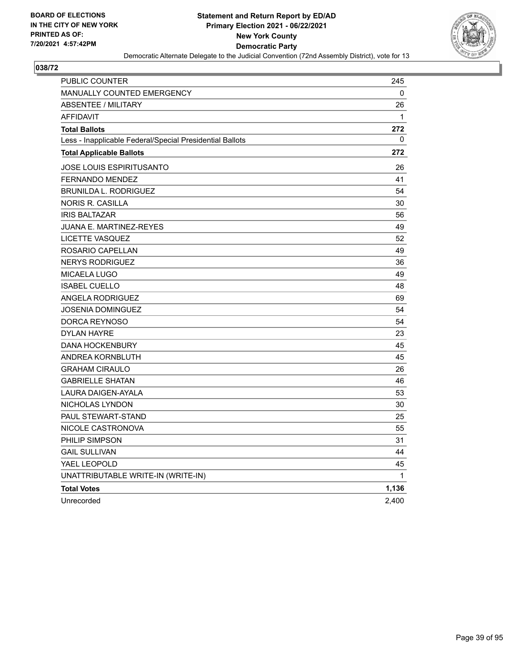

| <b>PUBLIC COUNTER</b>                                    | 245          |
|----------------------------------------------------------|--------------|
| <b>MANUALLY COUNTED EMERGENCY</b>                        | 0            |
| <b>ABSENTEE / MILITARY</b>                               | 26           |
| <b>AFFIDAVIT</b>                                         | $\mathbf{1}$ |
| <b>Total Ballots</b>                                     | 272          |
| Less - Inapplicable Federal/Special Presidential Ballots | 0            |
| <b>Total Applicable Ballots</b>                          | 272          |
| JOSE LOUIS ESPIRITUSANTO                                 | 26           |
| <b>FERNANDO MENDEZ</b>                                   | 41           |
| <b>BRUNILDA L. RODRIGUEZ</b>                             | 54           |
| NORIS R. CASILLA                                         | 30           |
| <b>IRIS BALTAZAR</b>                                     | 56           |
| <b>JUANA E. MARTINEZ-REYES</b>                           | 49           |
| LICETTE VASQUEZ                                          | 52           |
| ROSARIO CAPELLAN                                         | 49           |
| <b>NERYS RODRIGUEZ</b>                                   | 36           |
| MICAELA LUGO                                             | 49           |
| <b>ISABEL CUELLO</b>                                     | 48           |
| ANGELA RODRIGUEZ                                         | 69           |
| <b>JOSENIA DOMINGUEZ</b>                                 | 54           |
| DORCA REYNOSO                                            | 54           |
| <b>DYLAN HAYRE</b>                                       | 23           |
| <b>DANA HOCKENBURY</b>                                   | 45           |
| ANDREA KORNBLUTH                                         | 45           |
| <b>GRAHAM CIRAULO</b>                                    | 26           |
| <b>GABRIELLE SHATAN</b>                                  | 46           |
| LAURA DAIGEN-AYALA                                       | 53           |
| NICHOLAS LYNDON                                          | 30           |
| <b>PAUL STEWART-STAND</b>                                | 25           |
| NICOLE CASTRONOVA                                        | 55           |
| PHILIP SIMPSON                                           | 31           |
| <b>GAIL SULLIVAN</b>                                     | 44           |
| YAEL LEOPOLD                                             | 45           |
| UNATTRIBUTABLE WRITE-IN (WRITE-IN)                       | 1            |
| <b>Total Votes</b>                                       | 1,136        |
| Unrecorded                                               | 2,400        |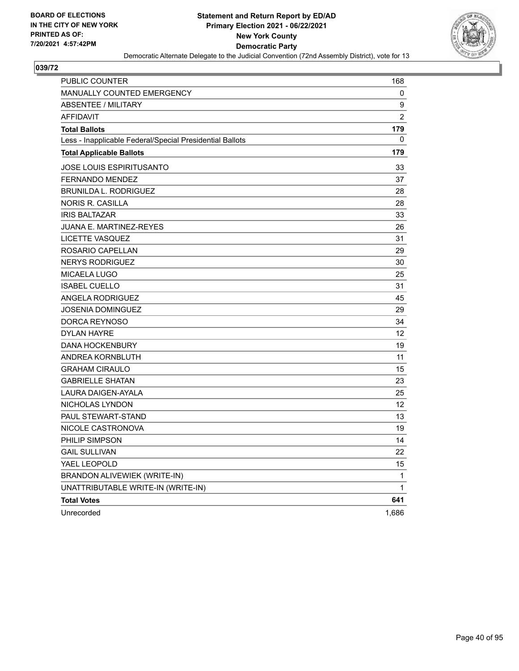

| <b>PUBLIC COUNTER</b>                                    | 168            |
|----------------------------------------------------------|----------------|
| MANUALLY COUNTED EMERGENCY                               | 0              |
| <b>ABSENTEE / MILITARY</b>                               | 9              |
| <b>AFFIDAVIT</b>                                         | $\overline{2}$ |
| <b>Total Ballots</b>                                     | 179            |
| Less - Inapplicable Federal/Special Presidential Ballots | 0              |
| <b>Total Applicable Ballots</b>                          | 179            |
| <b>JOSE LOUIS ESPIRITUSANTO</b>                          | 33             |
| <b>FERNANDO MENDEZ</b>                                   | 37             |
| <b>BRUNILDA L. RODRIGUEZ</b>                             | 28             |
| <b>NORIS R. CASILLA</b>                                  | 28             |
| <b>IRIS BALTAZAR</b>                                     | 33             |
| <b>JUANA E. MARTINEZ-REYES</b>                           | 26             |
| LICETTE VASQUEZ                                          | 31             |
| ROSARIO CAPELLAN                                         | 29             |
| <b>NERYS RODRIGUEZ</b>                                   | 30             |
| <b>MICAELA LUGO</b>                                      | 25             |
| <b>ISABEL CUELLO</b>                                     | 31             |
| <b>ANGELA RODRIGUEZ</b>                                  | 45             |
| <b>JOSENIA DOMINGUEZ</b>                                 | 29             |
| DORCA REYNOSO                                            | 34             |
| <b>DYLAN HAYRE</b>                                       | 12             |
| <b>DANA HOCKENBURY</b>                                   | 19             |
| ANDREA KORNBLUTH                                         | 11             |
| <b>GRAHAM CIRAULO</b>                                    | 15             |
| <b>GABRIELLE SHATAN</b>                                  | 23             |
| <b>LAURA DAIGEN-AYALA</b>                                | 25             |
| NICHOLAS LYNDON                                          | 12             |
| PAUL STEWART-STAND                                       | 13             |
| NICOLE CASTRONOVA                                        | 19             |
| PHILIP SIMPSON                                           | 14             |
| <b>GAIL SULLIVAN</b>                                     | 22             |
| YAEL LEOPOLD                                             | 15             |
| BRANDON ALIVEWIEK (WRITE-IN)                             | 1              |
| UNATTRIBUTABLE WRITE-IN (WRITE-IN)                       | 1              |
| <b>Total Votes</b>                                       | 641            |
| Unrecorded                                               | 1,686          |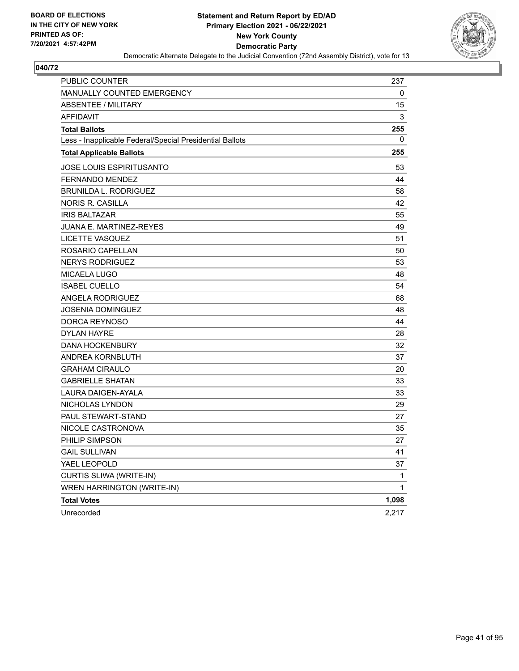

| <b>PUBLIC COUNTER</b>                                    | 237   |
|----------------------------------------------------------|-------|
| MANUALLY COUNTED EMERGENCY                               | 0     |
| <b>ABSENTEE / MILITARY</b>                               | 15    |
| <b>AFFIDAVIT</b>                                         | 3     |
| <b>Total Ballots</b>                                     | 255   |
| Less - Inapplicable Federal/Special Presidential Ballots | 0     |
| <b>Total Applicable Ballots</b>                          | 255   |
| <b>JOSE LOUIS ESPIRITUSANTO</b>                          | 53    |
| <b>FERNANDO MENDEZ</b>                                   | 44    |
| <b>BRUNILDA L. RODRIGUEZ</b>                             | 58    |
| <b>NORIS R. CASILLA</b>                                  | 42    |
| <b>IRIS BALTAZAR</b>                                     | 55    |
| <b>JUANA E. MARTINEZ-REYES</b>                           | 49    |
| <b>LICETTE VASQUEZ</b>                                   | 51    |
| ROSARIO CAPELLAN                                         | 50    |
| <b>NERYS RODRIGUEZ</b>                                   | 53    |
| <b>MICAELA LUGO</b>                                      | 48    |
| <b>ISABEL CUELLO</b>                                     | 54    |
| <b>ANGELA RODRIGUEZ</b>                                  | 68    |
| <b>JOSENIA DOMINGUEZ</b>                                 | 48    |
| DORCA REYNOSO                                            | 44    |
| <b>DYLAN HAYRE</b>                                       | 28    |
| <b>DANA HOCKENBURY</b>                                   | 32    |
| ANDREA KORNBLUTH                                         | 37    |
| <b>GRAHAM CIRAULO</b>                                    | 20    |
| <b>GABRIELLE SHATAN</b>                                  | 33    |
| <b>LAURA DAIGEN-AYALA</b>                                | 33    |
| <b>NICHOLAS LYNDON</b>                                   | 29    |
| PAUL STEWART-STAND                                       | 27    |
| NICOLE CASTRONOVA                                        | 35    |
| PHILIP SIMPSON                                           | 27    |
| <b>GAIL SULLIVAN</b>                                     | 41    |
| YAEL LEOPOLD                                             | 37    |
| CURTIS SLIWA (WRITE-IN)                                  | 1     |
| WREN HARRINGTON (WRITE-IN)                               | 1     |
| <b>Total Votes</b>                                       | 1,098 |
| Unrecorded                                               | 2,217 |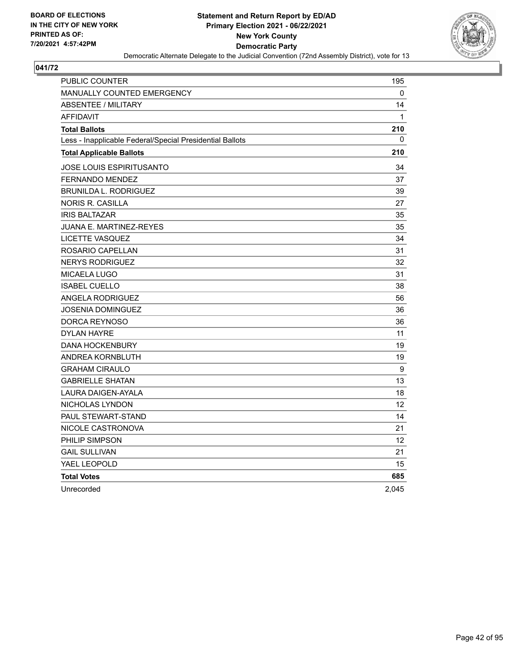

| PUBLIC COUNTER                                           | 195               |
|----------------------------------------------------------|-------------------|
| <b>MANUALLY COUNTED EMERGENCY</b>                        | 0                 |
| <b>ABSENTEE / MILITARY</b>                               | 14                |
| <b>AFFIDAVIT</b>                                         | $\mathbf{1}$      |
| <b>Total Ballots</b>                                     | 210               |
| Less - Inapplicable Federal/Special Presidential Ballots | 0                 |
| <b>Total Applicable Ballots</b>                          | 210               |
| JOSE LOUIS ESPIRITUSANTO                                 | 34                |
| <b>FERNANDO MENDEZ</b>                                   | 37                |
| <b>BRUNILDA L. RODRIGUEZ</b>                             | 39                |
| NORIS R. CASILLA                                         | 27                |
| <b>IRIS BALTAZAR</b>                                     | 35                |
| <b>JUANA E. MARTINEZ-REYES</b>                           | 35                |
| LICETTE VASQUEZ                                          | 34                |
| ROSARIO CAPELLAN                                         | 31                |
| <b>NERYS RODRIGUEZ</b>                                   | 32                |
| <b>MICAELA LUGO</b>                                      | 31                |
| <b>ISABEL CUELLO</b>                                     | 38                |
| <b>ANGELA RODRIGUEZ</b>                                  | 56                |
| JOSENIA DOMINGUEZ                                        | 36                |
| DORCA REYNOSO                                            | 36                |
| <b>DYLAN HAYRE</b>                                       | 11                |
| <b>DANA HOCKENBURY</b>                                   | 19                |
| ANDREA KORNBLUTH                                         | 19                |
| <b>GRAHAM CIRAULO</b>                                    | $\boldsymbol{9}$  |
| <b>GABRIELLE SHATAN</b>                                  | 13                |
| LAURA DAIGEN-AYALA                                       | 18                |
| NICHOLAS LYNDON                                          | 12                |
| PAUL STEWART-STAND                                       | 14                |
| NICOLE CASTRONOVA                                        | 21                |
| PHILIP SIMPSON                                           | $12 \overline{ }$ |
| <b>GAIL SULLIVAN</b>                                     | 21                |
| YAEL LEOPOLD                                             | 15                |
| <b>Total Votes</b>                                       | 685               |
| Unrecorded                                               | 2,045             |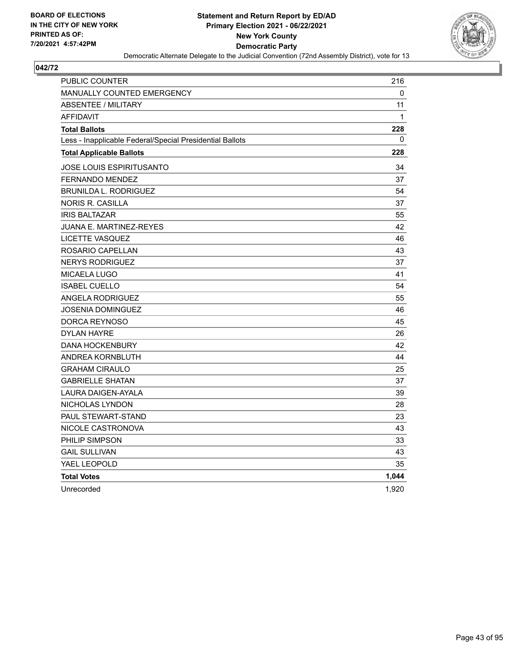

| <b>PUBLIC COUNTER</b>                                    | 216          |
|----------------------------------------------------------|--------------|
| <b>MANUALLY COUNTED EMERGENCY</b>                        | 0            |
| <b>ABSENTEE / MILITARY</b>                               | 11           |
| <b>AFFIDAVIT</b>                                         | $\mathbf{1}$ |
| <b>Total Ballots</b>                                     | 228          |
| Less - Inapplicable Federal/Special Presidential Ballots | 0            |
| <b>Total Applicable Ballots</b>                          | 228          |
| JOSE LOUIS ESPIRITUSANTO                                 | 34           |
| <b>FERNANDO MENDEZ</b>                                   | 37           |
| <b>BRUNILDA L. RODRIGUEZ</b>                             | 54           |
| NORIS R. CASILLA                                         | 37           |
| <b>IRIS BALTAZAR</b>                                     | 55           |
| JUANA E. MARTINEZ-REYES                                  | 42           |
| <b>LICETTE VASQUEZ</b>                                   | 46           |
| ROSARIO CAPELLAN                                         | 43           |
| <b>NERYS RODRIGUEZ</b>                                   | 37           |
| MICAELA LUGO                                             | 41           |
| <b>ISABEL CUELLO</b>                                     | 54           |
| <b>ANGELA RODRIGUEZ</b>                                  | 55           |
| JOSENIA DOMINGUEZ                                        | 46           |
| DORCA REYNOSO                                            | 45           |
| <b>DYLAN HAYRE</b>                                       | 26           |
| <b>DANA HOCKENBURY</b>                                   | 42           |
| <b>ANDREA KORNBLUTH</b>                                  | 44           |
| <b>GRAHAM CIRAULO</b>                                    | 25           |
| <b>GABRIELLE SHATAN</b>                                  | 37           |
| <b>LAURA DAIGEN-AYALA</b>                                | 39           |
| NICHOLAS LYNDON                                          | 28           |
| PAUL STEWART-STAND                                       | 23           |
| NICOLE CASTRONOVA                                        | 43           |
| PHILIP SIMPSON                                           | 33           |
| <b>GAIL SULLIVAN</b>                                     | 43           |
| YAEL LEOPOLD                                             | 35           |
| <b>Total Votes</b>                                       | 1,044        |
| Unrecorded                                               | 1,920        |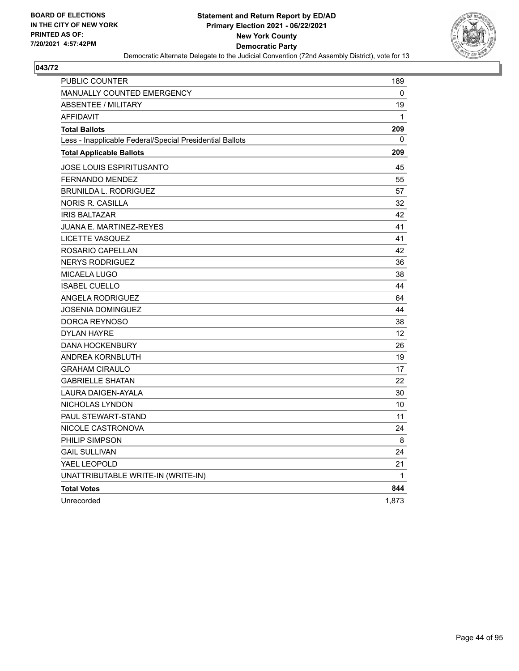

| <b>PUBLIC COUNTER</b>                                    | 189          |
|----------------------------------------------------------|--------------|
| <b>MANUALLY COUNTED EMERGENCY</b>                        | 0            |
| <b>ABSENTEE / MILITARY</b>                               | 19           |
| <b>AFFIDAVIT</b>                                         | $\mathbf{1}$ |
| <b>Total Ballots</b>                                     | 209          |
| Less - Inapplicable Federal/Special Presidential Ballots | 0            |
| <b>Total Applicable Ballots</b>                          | 209          |
| JOSE LOUIS ESPIRITUSANTO                                 | 45           |
| <b>FERNANDO MENDEZ</b>                                   | 55           |
| <b>BRUNILDA L. RODRIGUEZ</b>                             | 57           |
| NORIS R. CASILLA                                         | 32           |
| <b>IRIS BALTAZAR</b>                                     | 42           |
| JUANA E. MARTINEZ-REYES                                  | 41           |
| LICETTE VASQUEZ                                          | 41           |
| ROSARIO CAPELLAN                                         | 42           |
| <b>NERYS RODRIGUEZ</b>                                   | 36           |
| <b>MICAELA LUGO</b>                                      | 38           |
| <b>ISABEL CUELLO</b>                                     | 44           |
| ANGELA RODRIGUEZ                                         | 64           |
| JOSENIA DOMINGUEZ                                        | 44           |
| <b>DORCA REYNOSO</b>                                     | 38           |
| <b>DYLAN HAYRE</b>                                       | 12           |
| <b>DANA HOCKENBURY</b>                                   | 26           |
| ANDREA KORNBLUTH                                         | 19           |
| <b>GRAHAM CIRAULO</b>                                    | 17           |
| <b>GABRIELLE SHATAN</b>                                  | 22           |
| LAURA DAIGEN-AYALA                                       | 30           |
| NICHOLAS LYNDON                                          | 10           |
| <b>PAUL STEWART-STAND</b>                                | 11           |
| NICOLE CASTRONOVA                                        | 24           |
| PHILIP SIMPSON                                           | 8            |
| <b>GAIL SULLIVAN</b>                                     | 24           |
| YAEL LEOPOLD                                             | 21           |
| UNATTRIBUTABLE WRITE-IN (WRITE-IN)                       | 1            |
| <b>Total Votes</b>                                       | 844          |
| Unrecorded                                               | 1,873        |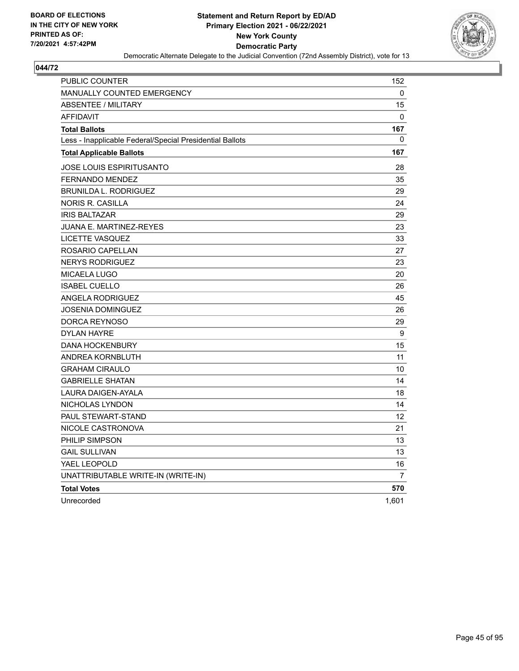

| <b>PUBLIC COUNTER</b>                                    | 152            |
|----------------------------------------------------------|----------------|
| <b>MANUALLY COUNTED EMERGENCY</b>                        | 0              |
| <b>ABSENTEE / MILITARY</b>                               | 15             |
| <b>AFFIDAVIT</b>                                         | 0              |
| <b>Total Ballots</b>                                     | 167            |
| Less - Inapplicable Federal/Special Presidential Ballots | 0              |
| <b>Total Applicable Ballots</b>                          | 167            |
| <b>JOSE LOUIS ESPIRITUSANTO</b>                          | 28             |
| <b>FERNANDO MENDEZ</b>                                   | 35             |
| <b>BRUNILDA L. RODRIGUEZ</b>                             | 29             |
| NORIS R. CASILLA                                         | 24             |
| <b>IRIS BALTAZAR</b>                                     | 29             |
| <b>JUANA E. MARTINEZ-REYES</b>                           | 23             |
| LICETTE VASQUEZ                                          | 33             |
| ROSARIO CAPELLAN                                         | 27             |
| <b>NERYS RODRIGUEZ</b>                                   | 23             |
| <b>MICAELA LUGO</b>                                      | 20             |
| <b>ISABEL CUELLO</b>                                     | 26             |
| ANGELA RODRIGUEZ                                         | 45             |
| <b>JOSENIA DOMINGUEZ</b>                                 | 26             |
| DORCA REYNOSO                                            | 29             |
| <b>DYLAN HAYRE</b>                                       | 9              |
| <b>DANA HOCKENBURY</b>                                   | 15             |
| ANDREA KORNBLUTH                                         | 11             |
| <b>GRAHAM CIRAULO</b>                                    | 10             |
| <b>GABRIELLE SHATAN</b>                                  | 14             |
| LAURA DAIGEN-AYALA                                       | 18             |
| NICHOLAS LYNDON                                          | 14             |
| PAUL STEWART-STAND                                       | 12             |
| NICOLE CASTRONOVA                                        | 21             |
| PHILIP SIMPSON                                           | 13             |
| <b>GAIL SULLIVAN</b>                                     | 13             |
| YAEL LEOPOLD                                             | 16             |
| UNATTRIBUTABLE WRITE-IN (WRITE-IN)                       | $\overline{7}$ |
| <b>Total Votes</b>                                       | 570            |
| Unrecorded                                               | 1,601          |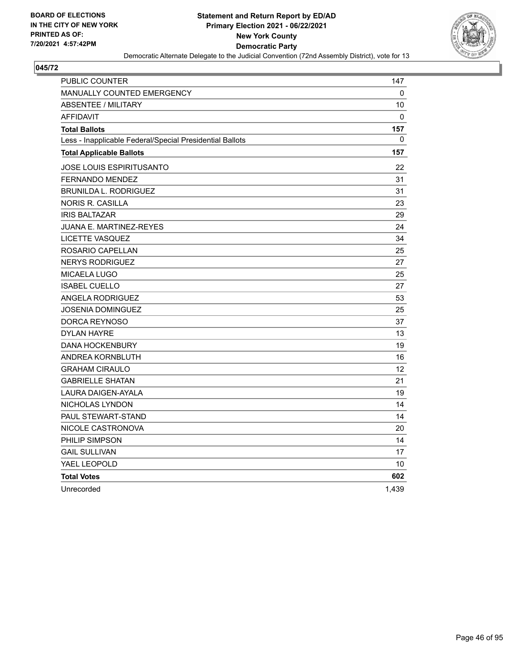

| PUBLIC COUNTER                                           | 147          |
|----------------------------------------------------------|--------------|
| <b>MANUALLY COUNTED EMERGENCY</b>                        | 0            |
| <b>ABSENTEE / MILITARY</b>                               | 10           |
| <b>AFFIDAVIT</b>                                         | $\mathbf{0}$ |
| <b>Total Ballots</b>                                     | 157          |
| Less - Inapplicable Federal/Special Presidential Ballots | 0            |
| <b>Total Applicable Ballots</b>                          | 157          |
| JOSE LOUIS ESPIRITUSANTO                                 | 22           |
| <b>FERNANDO MENDEZ</b>                                   | 31           |
| <b>BRUNILDA L. RODRIGUEZ</b>                             | 31           |
| <b>NORIS R. CASILLA</b>                                  | 23           |
| <b>IRIS BALTAZAR</b>                                     | 29           |
| <b>JUANA E. MARTINEZ-REYES</b>                           | 24           |
| LICETTE VASQUEZ                                          | 34           |
| ROSARIO CAPELLAN                                         | 25           |
| <b>NERYS RODRIGUEZ</b>                                   | 27           |
| <b>MICAELA LUGO</b>                                      | 25           |
| <b>ISABEL CUELLO</b>                                     | 27           |
| <b>ANGELA RODRIGUEZ</b>                                  | 53           |
| JOSENIA DOMINGUEZ                                        | 25           |
| DORCA REYNOSO                                            | 37           |
| <b>DYLAN HAYRE</b>                                       | 13           |
| <b>DANA HOCKENBURY</b>                                   | 19           |
| <b>ANDREA KORNBLUTH</b>                                  | 16           |
| <b>GRAHAM CIRAULO</b>                                    | 12           |
| <b>GABRIELLE SHATAN</b>                                  | 21           |
| LAURA DAIGEN-AYALA                                       | 19           |
| NICHOLAS LYNDON                                          | 14           |
| <b>PAUL STEWART-STAND</b>                                | 14           |
| NICOLE CASTRONOVA                                        | 20           |
| PHILIP SIMPSON                                           | 14           |
| <b>GAIL SULLIVAN</b>                                     | 17           |
| YAEL LEOPOLD                                             | 10           |
| <b>Total Votes</b>                                       | 602          |
| Unrecorded                                               | 1.439        |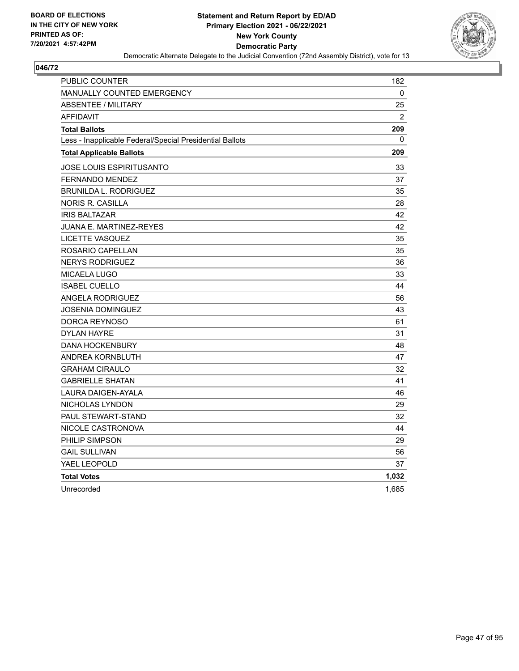

| PUBLIC COUNTER                                           | 182            |
|----------------------------------------------------------|----------------|
| <b>MANUALLY COUNTED EMERGENCY</b>                        | 0              |
| <b>ABSENTEE / MILITARY</b>                               | 25             |
| <b>AFFIDAVIT</b>                                         | $\overline{2}$ |
| <b>Total Ballots</b>                                     | 209            |
| Less - Inapplicable Federal/Special Presidential Ballots | $\mathbf{0}$   |
| <b>Total Applicable Ballots</b>                          | 209            |
| JOSE LOUIS ESPIRITUSANTO                                 | 33             |
| <b>FERNANDO MENDEZ</b>                                   | 37             |
| <b>BRUNILDA L. RODRIGUEZ</b>                             | 35             |
| <b>NORIS R. CASILLA</b>                                  | 28             |
| <b>IRIS BALTAZAR</b>                                     | 42             |
| JUANA E. MARTINEZ-REYES                                  | 42             |
| LICETTE VASQUEZ                                          | 35             |
| ROSARIO CAPELLAN                                         | 35             |
| <b>NERYS RODRIGUEZ</b>                                   | 36             |
| MICAELA LUGO                                             | 33             |
| <b>ISABEL CUELLO</b>                                     | 44             |
| <b>ANGELA RODRIGUEZ</b>                                  | 56             |
| JOSENIA DOMINGUEZ                                        | 43             |
| DORCA REYNOSO                                            | 61             |
| DYLAN HAYRE                                              | 31             |
| <b>DANA HOCKENBURY</b>                                   | 48             |
| ANDREA KORNBLUTH                                         | 47             |
| <b>GRAHAM CIRAULO</b>                                    | 32             |
| <b>GABRIELLE SHATAN</b>                                  | 41             |
| <b>LAURA DAIGEN-AYALA</b>                                | 46             |
| NICHOLAS LYNDON                                          | 29             |
| PAUL STEWART-STAND                                       | 32             |
| NICOLE CASTRONOVA                                        | 44             |
| PHILIP SIMPSON                                           | 29             |
| <b>GAIL SULLIVAN</b>                                     | 56             |
| YAEL LEOPOLD                                             | 37             |
| <b>Total Votes</b>                                       | 1,032          |
| Unrecorded                                               | 1,685          |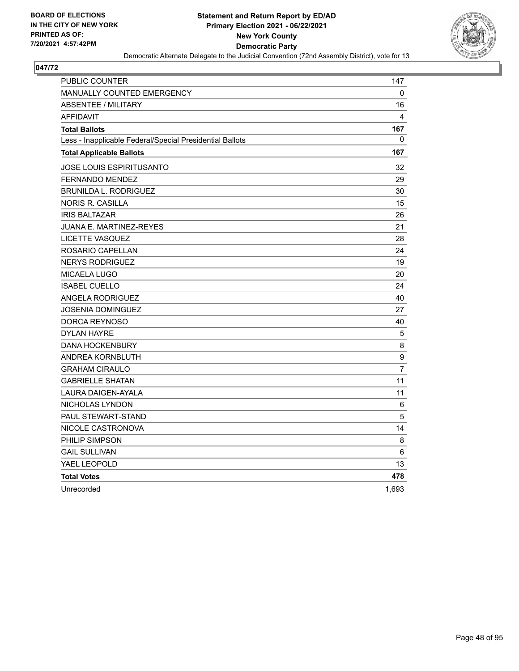

| PUBLIC COUNTER                                           | 147              |
|----------------------------------------------------------|------------------|
| <b>MANUALLY COUNTED EMERGENCY</b>                        | 0                |
| <b>ABSENTEE / MILITARY</b>                               | 16               |
| <b>AFFIDAVIT</b>                                         | 4                |
| <b>Total Ballots</b>                                     | 167              |
| Less - Inapplicable Federal/Special Presidential Ballots | $\mathbf{0}$     |
| <b>Total Applicable Ballots</b>                          | 167              |
| JOSE LOUIS ESPIRITUSANTO                                 | 32               |
| <b>FERNANDO MENDEZ</b>                                   | 29               |
| <b>BRUNILDA L. RODRIGUEZ</b>                             | 30               |
| <b>NORIS R. CASILLA</b>                                  | 15               |
| <b>IRIS BALTAZAR</b>                                     | 26               |
| JUANA E. MARTINEZ-REYES                                  | 21               |
| LICETTE VASQUEZ                                          | 28               |
| ROSARIO CAPELLAN                                         | 24               |
| <b>NERYS RODRIGUEZ</b>                                   | 19               |
| <b>MICAELA LUGO</b>                                      | 20               |
| <b>ISABEL CUELLO</b>                                     | 24               |
| <b>ANGELA RODRIGUEZ</b>                                  | 40               |
| JOSENIA DOMINGUEZ                                        | 27               |
| DORCA REYNOSO                                            | 40               |
| <b>DYLAN HAYRE</b>                                       | 5                |
| <b>DANA HOCKENBURY</b>                                   | $\,8\,$          |
| ANDREA KORNBLUTH                                         | $\boldsymbol{9}$ |
| <b>GRAHAM CIRAULO</b>                                    | $\overline{7}$   |
| <b>GABRIELLE SHATAN</b>                                  | 11               |
| <b>LAURA DAIGEN-AYALA</b>                                | 11               |
| NICHOLAS LYNDON                                          | 6                |
| <b>PAUL STEWART-STAND</b>                                | 5                |
| NICOLE CASTRONOVA                                        | 14               |
| PHILIP SIMPSON                                           | 8                |
| <b>GAIL SULLIVAN</b>                                     | 6                |
| YAEL LEOPOLD                                             | 13               |
| <b>Total Votes</b>                                       | 478              |
| Unrecorded                                               | 1,693            |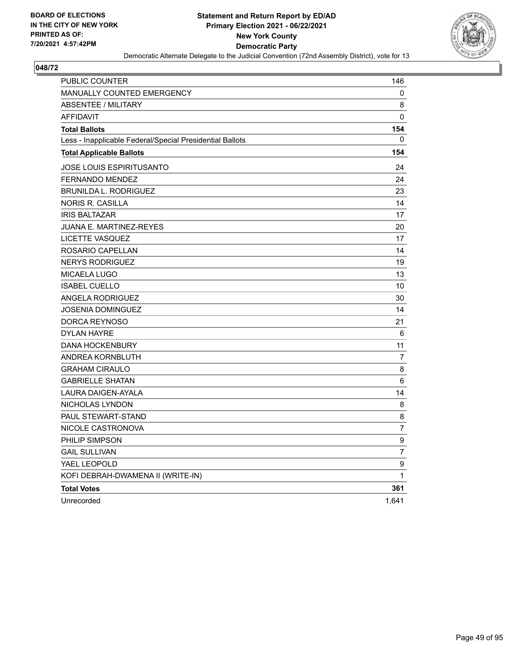

| PUBLIC COUNTER                                           | 146            |
|----------------------------------------------------------|----------------|
| <b>MANUALLY COUNTED EMERGENCY</b>                        | 0              |
| <b>ABSENTEE / MILITARY</b>                               | 8              |
| <b>AFFIDAVIT</b>                                         | 0              |
| <b>Total Ballots</b>                                     | 154            |
| Less - Inapplicable Federal/Special Presidential Ballots | 0              |
| <b>Total Applicable Ballots</b>                          | 154            |
| JOSE LOUIS ESPIRITUSANTO                                 | 24             |
| <b>FERNANDO MENDEZ</b>                                   | 24             |
| <b>BRUNILDA L. RODRIGUEZ</b>                             | 23             |
| NORIS R. CASILLA                                         | 14             |
| <b>IRIS BALTAZAR</b>                                     | 17             |
| JUANA E. MARTINEZ-REYES                                  | 20             |
| LICETTE VASQUEZ                                          | 17             |
| ROSARIO CAPELLAN                                         | 14             |
| <b>NERYS RODRIGUEZ</b>                                   | 19             |
| MICAELA LUGO                                             | 13             |
| <b>ISABEL CUELLO</b>                                     | 10             |
| ANGELA RODRIGUEZ                                         | 30             |
| JOSENIA DOMINGUEZ                                        | 14             |
| DORCA REYNOSO                                            | 21             |
| <b>DYLAN HAYRE</b>                                       | 6              |
| <b>DANA HOCKENBURY</b>                                   | 11             |
| ANDREA KORNBLUTH                                         | 7              |
| <b>GRAHAM CIRAULO</b>                                    | 8              |
| <b>GABRIELLE SHATAN</b>                                  | 6              |
| LAURA DAIGEN-AYALA                                       | 14             |
| NICHOLAS LYNDON                                          | 8              |
| <b>PAUL STEWART-STAND</b>                                | 8              |
| NICOLE CASTRONOVA                                        | $\overline{7}$ |
| PHILIP SIMPSON                                           | 9              |
| <b>GAIL SULLIVAN</b>                                     | $\overline{7}$ |
| YAEL LEOPOLD                                             | 9              |
| KOFI DEBRAH-DWAMENA II (WRITE-IN)                        | 1              |
| <b>Total Votes</b>                                       | 361            |
| Unrecorded                                               | 1,641          |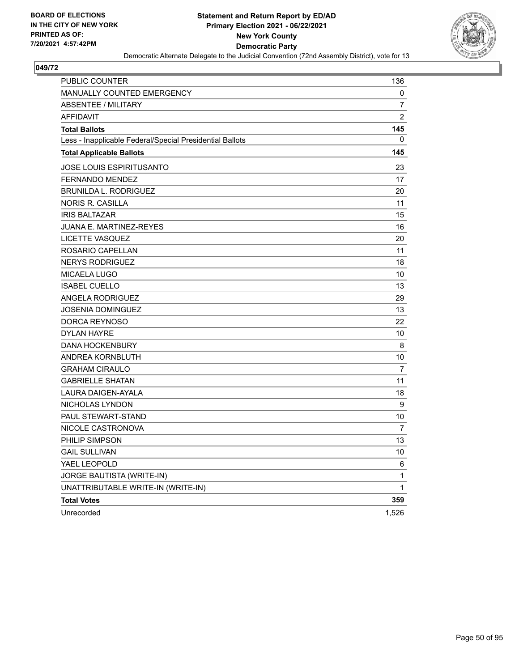

| PUBLIC COUNTER                                           | 136            |
|----------------------------------------------------------|----------------|
| <b>MANUALLY COUNTED EMERGENCY</b>                        | 0              |
| ABSENTEE / MILITARY                                      | 7              |
| <b>AFFIDAVIT</b>                                         | $\overline{2}$ |
| <b>Total Ballots</b>                                     | 145            |
| Less - Inapplicable Federal/Special Presidential Ballots | 0              |
| <b>Total Applicable Ballots</b>                          | 145            |
| JOSE LOUIS ESPIRITUSANTO                                 | 23             |
| <b>FERNANDO MENDEZ</b>                                   | 17             |
| <b>BRUNILDA L. RODRIGUEZ</b>                             | 20             |
| <b>NORIS R. CASILLA</b>                                  | 11             |
| <b>IRIS BALTAZAR</b>                                     | 15             |
| <b>JUANA E. MARTINEZ-REYES</b>                           | 16             |
| LICETTE VASQUEZ                                          | 20             |
| ROSARIO CAPELLAN                                         | 11             |
| <b>NERYS RODRIGUEZ</b>                                   | 18             |
| <b>MICAELA LUGO</b>                                      | 10             |
| <b>ISABEL CUELLO</b>                                     | 13             |
| <b>ANGELA RODRIGUEZ</b>                                  | 29             |
| JOSENIA DOMINGUEZ                                        | 13             |
| DORCA REYNOSO                                            | 22             |
| <b>DYLAN HAYRE</b>                                       | 10             |
| <b>DANA HOCKENBURY</b>                                   | 8              |
| ANDREA KORNBLUTH                                         | 10             |
| <b>GRAHAM CIRAULO</b>                                    | 7              |
| <b>GABRIELLE SHATAN</b>                                  | 11             |
| LAURA DAIGEN-AYALA                                       | 18             |
| NICHOLAS LYNDON                                          | 9              |
| <b>PAUL STEWART-STAND</b>                                | 10             |
| NICOLE CASTRONOVA                                        | 7              |
| PHILIP SIMPSON                                           | 13             |
| <b>GAIL SULLIVAN</b>                                     | 10             |
| YAEL LEOPOLD                                             | 6              |
| JORGE BAUTISTA (WRITE-IN)                                | 1              |
| UNATTRIBUTABLE WRITE-IN (WRITE-IN)                       | 1              |
| <b>Total Votes</b>                                       | 359            |
| Unrecorded                                               | 1,526          |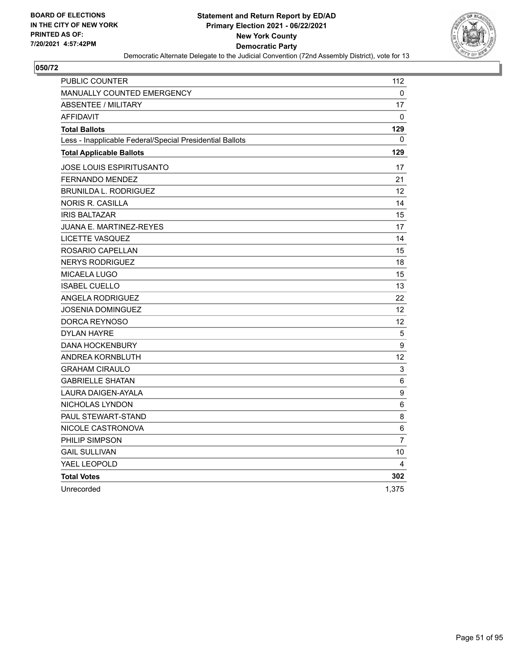

| PUBLIC COUNTER                                           | 112               |
|----------------------------------------------------------|-------------------|
| <b>MANUALLY COUNTED EMERGENCY</b>                        | 0                 |
| <b>ABSENTEE / MILITARY</b>                               | 17                |
| <b>AFFIDAVIT</b>                                         | $\Omega$          |
| <b>Total Ballots</b>                                     | 129               |
| Less - Inapplicable Federal/Special Presidential Ballots | $\Omega$          |
| <b>Total Applicable Ballots</b>                          | 129               |
| JOSE LOUIS ESPIRITUSANTO                                 | 17                |
| <b>FERNANDO MENDEZ</b>                                   | 21                |
| <b>BRUNILDA L. RODRIGUEZ</b>                             | 12                |
| NORIS R. CASILLA                                         | 14                |
| <b>IRIS BALTAZAR</b>                                     | 15                |
| <b>JUANA E. MARTINEZ-REYES</b>                           | 17                |
| <b>LICETTE VASQUEZ</b>                                   | 14                |
| ROSARIO CAPELLAN                                         | 15                |
| <b>NERYS RODRIGUEZ</b>                                   | 18                |
| <b>MICAELA LUGO</b>                                      | 15                |
| <b>ISABEL CUELLO</b>                                     | 13                |
| <b>ANGELA RODRIGUEZ</b>                                  | 22                |
| JOSENIA DOMINGUEZ                                        | 12                |
| DORCA REYNOSO                                            | 12                |
| <b>DYLAN HAYRE</b>                                       | 5                 |
| <b>DANA HOCKENBURY</b>                                   | 9                 |
| ANDREA KORNBLUTH                                         | $12 \overline{ }$ |
| <b>GRAHAM CIRAULO</b>                                    | $\mathbf{3}$      |
| <b>GABRIELLE SHATAN</b>                                  | 6                 |
| LAURA DAIGEN-AYALA                                       | 9                 |
| NICHOLAS LYNDON                                          | 6                 |
| PAUL STEWART-STAND                                       | 8                 |
| NICOLE CASTRONOVA                                        | 6                 |
| PHILIP SIMPSON                                           | 7                 |
| <b>GAIL SULLIVAN</b>                                     | 10                |
| YAEL LEOPOLD                                             | 4                 |
| <b>Total Votes</b>                                       | 302               |
| Unrecorded                                               | 1,375             |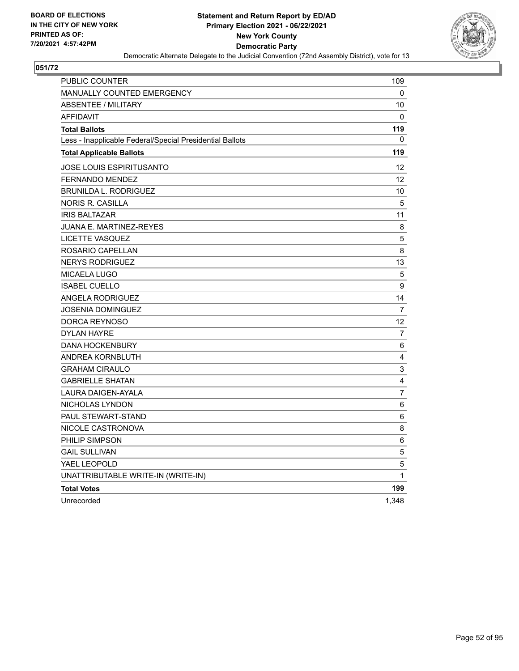

| PUBLIC COUNTER                                           | 109            |
|----------------------------------------------------------|----------------|
| <b>MANUALLY COUNTED EMERGENCY</b>                        | 0              |
| <b>ABSENTEE / MILITARY</b>                               | 10             |
| <b>AFFIDAVIT</b>                                         | $\mathbf{0}$   |
| <b>Total Ballots</b>                                     | 119            |
| Less - Inapplicable Federal/Special Presidential Ballots | 0              |
| <b>Total Applicable Ballots</b>                          | 119            |
| JOSE LOUIS ESPIRITUSANTO                                 | 12             |
| <b>FERNANDO MENDEZ</b>                                   | 12             |
| <b>BRUNILDA L. RODRIGUEZ</b>                             | 10             |
| <b>NORIS R. CASILLA</b>                                  | 5              |
| <b>IRIS BALTAZAR</b>                                     | 11             |
| <b>JUANA E. MARTINEZ-REYES</b>                           | 8              |
| <b>LICETTE VASQUEZ</b>                                   | $\mathbf 5$    |
| ROSARIO CAPELLAN                                         | 8              |
| <b>NERYS RODRIGUEZ</b>                                   | 13             |
| <b>MICAELA LUGO</b>                                      | 5              |
| <b>ISABEL CUELLO</b>                                     | 9              |
| <b>ANGELA RODRIGUEZ</b>                                  | 14             |
| <b>JOSENIA DOMINGUEZ</b>                                 | $\overline{7}$ |
| DORCA REYNOSO                                            | 12             |
| <b>DYLAN HAYRE</b>                                       | 7              |
| <b>DANA HOCKENBURY</b>                                   | 6              |
| ANDREA KORNBLUTH                                         | 4              |
| <b>GRAHAM CIRAULO</b>                                    | 3              |
| <b>GABRIELLE SHATAN</b>                                  | $\overline{4}$ |
| LAURA DAIGEN-AYALA                                       | $\overline{7}$ |
| NICHOLAS LYNDON                                          | 6              |
| PAUL STEWART-STAND                                       | 6              |
| NICOLE CASTRONOVA                                        | 8              |
| PHILIP SIMPSON                                           | 6              |
| <b>GAIL SULLIVAN</b>                                     | 5              |
| YAEL LEOPOLD                                             | 5              |
| UNATTRIBUTABLE WRITE-IN (WRITE-IN)                       | 1              |
| <b>Total Votes</b>                                       | 199            |
| Unrecorded                                               | 1,348          |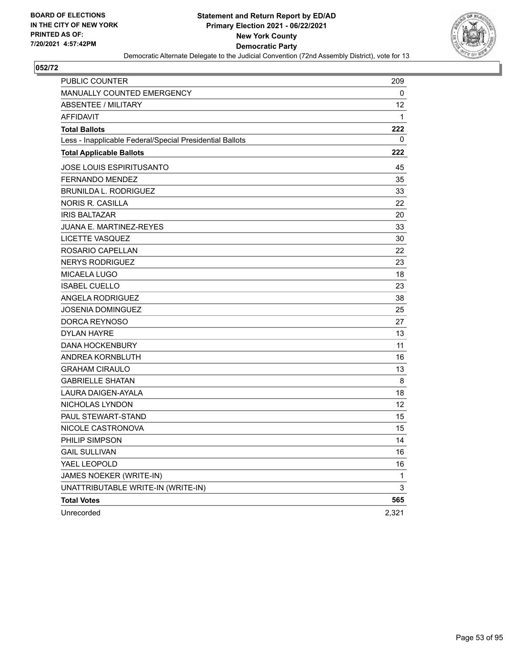

| PUBLIC COUNTER                                           | 209   |
|----------------------------------------------------------|-------|
| <b>MANUALLY COUNTED EMERGENCY</b>                        | 0     |
| <b>ABSENTEE / MILITARY</b>                               | 12    |
| <b>AFFIDAVIT</b>                                         | 1     |
| <b>Total Ballots</b>                                     | 222   |
| Less - Inapplicable Federal/Special Presidential Ballots | 0     |
| <b>Total Applicable Ballots</b>                          | 222   |
| JOSE LOUIS ESPIRITUSANTO                                 | 45    |
| <b>FERNANDO MENDEZ</b>                                   | 35    |
| <b>BRUNILDA L. RODRIGUEZ</b>                             | 33    |
| NORIS R. CASILLA                                         | 22    |
| <b>IRIS BALTAZAR</b>                                     | 20    |
| <b>JUANA E. MARTINEZ-REYES</b>                           | 33    |
| LICETTE VASQUEZ                                          | 30    |
| ROSARIO CAPELLAN                                         | 22    |
| <b>NERYS RODRIGUEZ</b>                                   | 23    |
| MICAELA LUGO                                             | 18    |
| <b>ISABEL CUELLO</b>                                     | 23    |
| ANGELA RODRIGUEZ                                         | 38    |
| JOSENIA DOMINGUEZ                                        | 25    |
| DORCA REYNOSO                                            | 27    |
| <b>DYLAN HAYRE</b>                                       | 13    |
| <b>DANA HOCKENBURY</b>                                   | 11    |
| ANDREA KORNBLUTH                                         | 16    |
| <b>GRAHAM CIRAULO</b>                                    | 13    |
| <b>GABRIELLE SHATAN</b>                                  | 8     |
| LAURA DAIGEN-AYALA                                       | 18    |
| NICHOLAS LYNDON                                          | 12    |
| <b>PAUL STEWART-STAND</b>                                | 15    |
| NICOLE CASTRONOVA                                        | 15    |
| PHILIP SIMPSON                                           | 14    |
| <b>GAIL SULLIVAN</b>                                     | 16    |
| YAEL LEOPOLD                                             | 16    |
| JAMES NOEKER (WRITE-IN)                                  | 1     |
| UNATTRIBUTABLE WRITE-IN (WRITE-IN)                       | 3     |
| <b>Total Votes</b>                                       | 565   |
| Unrecorded                                               | 2,321 |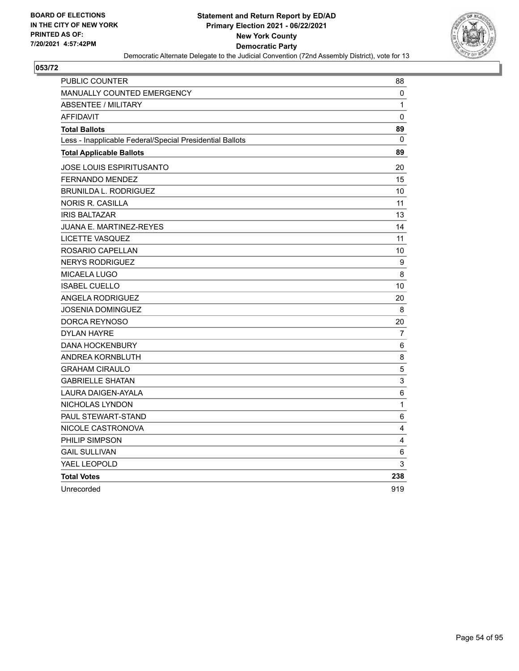

| <b>PUBLIC COUNTER</b>                                    | 88              |
|----------------------------------------------------------|-----------------|
| <b>MANUALLY COUNTED EMERGENCY</b>                        | 0               |
| <b>ABSENTEE / MILITARY</b>                               | $\mathbf{1}$    |
| <b>AFFIDAVIT</b>                                         | 0               |
| <b>Total Ballots</b>                                     | 89              |
| Less - Inapplicable Federal/Special Presidential Ballots | 0               |
| <b>Total Applicable Ballots</b>                          | 89              |
| JOSE LOUIS ESPIRITUSANTO                                 | 20              |
| FERNANDO MENDEZ                                          | 15              |
| <b>BRUNILDA L. RODRIGUEZ</b>                             | 10              |
| <b>NORIS R. CASILLA</b>                                  | 11              |
| <b>IRIS BALTAZAR</b>                                     | 13              |
| JUANA E. MARTINEZ-REYES                                  | 14              |
| <b>LICETTE VASQUEZ</b>                                   | 11              |
| ROSARIO CAPELLAN                                         | 10              |
| <b>NERYS RODRIGUEZ</b>                                   | 9               |
| MICAELA LUGO                                             | 8               |
| <b>ISABEL CUELLO</b>                                     | 10              |
| <b>ANGELA RODRIGUEZ</b>                                  | 20              |
| <b>JOSENIA DOMINGUEZ</b>                                 | 8               |
| DORCA REYNOSO                                            | 20              |
| <b>DYLAN HAYRE</b>                                       | 7               |
| <b>DANA HOCKENBURY</b>                                   | 6               |
| ANDREA KORNBLUTH                                         | 8               |
| <b>GRAHAM CIRAULO</b>                                    | 5               |
| <b>GABRIELLE SHATAN</b>                                  | 3               |
| <b>LAURA DAIGEN-AYALA</b>                                | 6               |
| NICHOLAS LYNDON                                          | $\mathbf{1}$    |
| PAUL STEWART-STAND                                       | $6\phantom{1}6$ |
| NICOLE CASTRONOVA                                        | 4               |
| PHILIP SIMPSON                                           | 4               |
| <b>GAIL SULLIVAN</b>                                     | 6               |
| YAEL LEOPOLD                                             | 3               |
| <b>Total Votes</b>                                       | 238             |
| Unrecorded                                               | 919             |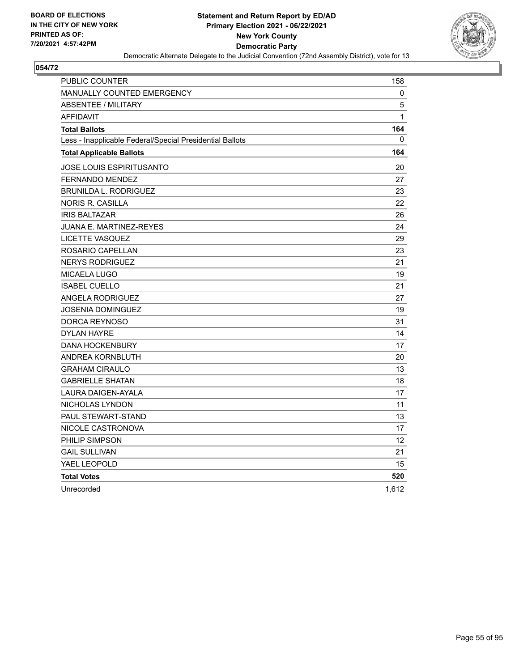

| PUBLIC COUNTER                                           | 158               |
|----------------------------------------------------------|-------------------|
| <b>MANUALLY COUNTED EMERGENCY</b>                        | 0                 |
| <b>ABSENTEE / MILITARY</b>                               | 5                 |
| <b>AFFIDAVIT</b>                                         | $\mathbf{1}$      |
| <b>Total Ballots</b>                                     | 164               |
| Less - Inapplicable Federal/Special Presidential Ballots | $\Omega$          |
| <b>Total Applicable Ballots</b>                          | 164               |
| JOSE LOUIS ESPIRITUSANTO                                 | 20                |
| <b>FERNANDO MENDEZ</b>                                   | 27                |
| <b>BRUNILDA L. RODRIGUEZ</b>                             | 23                |
| NORIS R. CASILLA                                         | 22                |
| <b>IRIS BALTAZAR</b>                                     | 26                |
| <b>JUANA E. MARTINEZ-REYES</b>                           | 24                |
| LICETTE VASQUEZ                                          | 29                |
| ROSARIO CAPELLAN                                         | 23                |
| <b>NERYS RODRIGUEZ</b>                                   | 21                |
| <b>MICAELA LUGO</b>                                      | 19                |
| <b>ISABEL CUELLO</b>                                     | 21                |
| <b>ANGELA RODRIGUEZ</b>                                  | 27                |
| JOSENIA DOMINGUEZ                                        | 19                |
| DORCA REYNOSO                                            | 31                |
| <b>DYLAN HAYRE</b>                                       | 14                |
| <b>DANA HOCKENBURY</b>                                   | 17                |
| ANDREA KORNBLUTH                                         | 20                |
| <b>GRAHAM CIRAULO</b>                                    | 13                |
| <b>GABRIELLE SHATAN</b>                                  | 18                |
| LAURA DAIGEN-AYALA                                       | 17                |
| NICHOLAS LYNDON                                          | 11                |
| PAUL STEWART-STAND                                       | 13                |
| NICOLE CASTRONOVA                                        | 17                |
| PHILIP SIMPSON                                           | $12 \overline{ }$ |
| <b>GAIL SULLIVAN</b>                                     | 21                |
| YAEL LEOPOLD                                             | 15                |
| <b>Total Votes</b>                                       | 520               |
| Unrecorded                                               | 1.612             |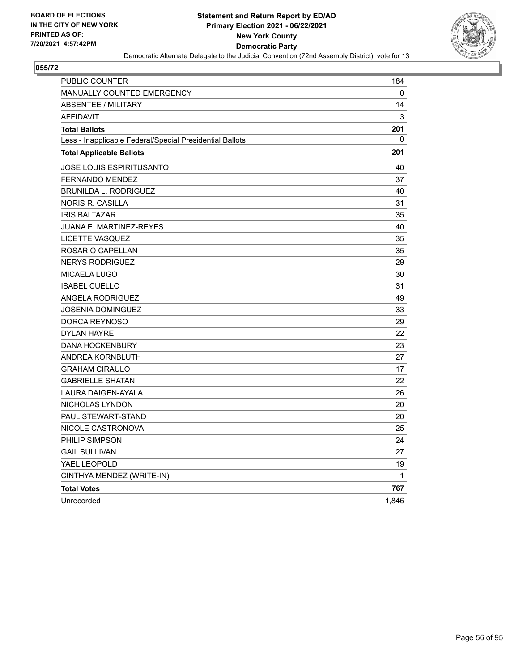

| <b>PUBLIC COUNTER</b>                                    | 184          |
|----------------------------------------------------------|--------------|
| <b>MANUALLY COUNTED EMERGENCY</b>                        | 0            |
| <b>ABSENTEE / MILITARY</b>                               | 14           |
| <b>AFFIDAVIT</b>                                         | 3            |
| <b>Total Ballots</b>                                     | 201          |
| Less - Inapplicable Federal/Special Presidential Ballots | 0            |
| <b>Total Applicable Ballots</b>                          | 201          |
| JOSE LOUIS ESPIRITUSANTO                                 | 40           |
| <b>FERNANDO MENDEZ</b>                                   | 37           |
| <b>BRUNILDA L. RODRIGUEZ</b>                             | 40           |
| NORIS R. CASILLA                                         | 31           |
| <b>IRIS BALTAZAR</b>                                     | 35           |
| JUANA E. MARTINEZ-REYES                                  | 40           |
| LICETTE VASQUEZ                                          | 35           |
| ROSARIO CAPELLAN                                         | 35           |
| <b>NERYS RODRIGUEZ</b>                                   | 29           |
| MICAELA LUGO                                             | 30           |
| <b>ISABEL CUELLO</b>                                     | 31           |
| ANGELA RODRIGUEZ                                         | 49           |
| JOSENIA DOMINGUEZ                                        | 33           |
| DORCA REYNOSO                                            | 29           |
| <b>DYLAN HAYRE</b>                                       | 22           |
| <b>DANA HOCKENBURY</b>                                   | 23           |
| ANDREA KORNBLUTH                                         | 27           |
| <b>GRAHAM CIRAULO</b>                                    | 17           |
| <b>GABRIELLE SHATAN</b>                                  | 22           |
| LAURA DAIGEN-AYALA                                       | 26           |
| NICHOLAS LYNDON                                          | 20           |
| <b>PAUL STEWART-STAND</b>                                | 20           |
| NICOLE CASTRONOVA                                        | 25           |
| PHILIP SIMPSON                                           | 24           |
| <b>GAIL SULLIVAN</b>                                     | 27           |
| YAEL LEOPOLD                                             | 19           |
| CINTHYA MENDEZ (WRITE-IN)                                | $\mathbf{1}$ |
| <b>Total Votes</b>                                       | 767          |
| Unrecorded                                               | 1,846        |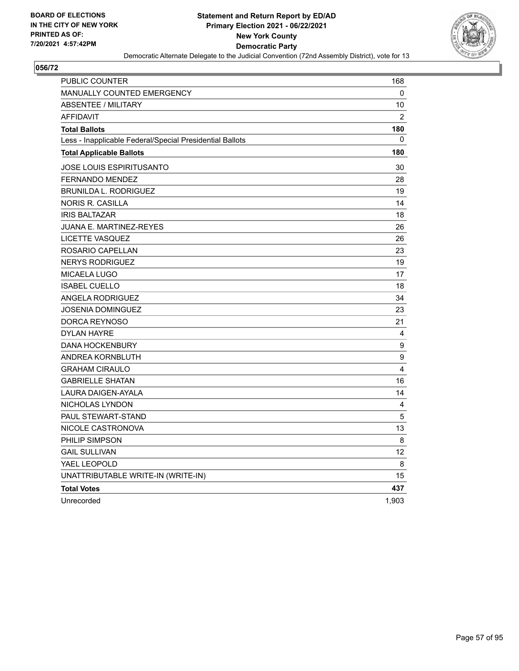

| PUBLIC COUNTER                                           | 168            |
|----------------------------------------------------------|----------------|
| <b>MANUALLY COUNTED EMERGENCY</b>                        | 0              |
| <b>ABSENTEE / MILITARY</b>                               | 10             |
| <b>AFFIDAVIT</b>                                         | $\overline{2}$ |
| <b>Total Ballots</b>                                     | 180            |
| Less - Inapplicable Federal/Special Presidential Ballots | 0              |
| <b>Total Applicable Ballots</b>                          | 180            |
| <b>JOSE LOUIS ESPIRITUSANTO</b>                          | 30             |
| <b>FERNANDO MENDEZ</b>                                   | 28             |
| <b>BRUNILDA L. RODRIGUEZ</b>                             | 19             |
| NORIS R. CASILLA                                         | 14             |
| <b>IRIS BALTAZAR</b>                                     | 18             |
| <b>JUANA E. MARTINEZ-REYES</b>                           | 26             |
| LICETTE VASQUEZ                                          | 26             |
| ROSARIO CAPELLAN                                         | 23             |
| <b>NERYS RODRIGUEZ</b>                                   | 19             |
| <b>MICAELA LUGO</b>                                      | 17             |
| <b>ISABEL CUELLO</b>                                     | 18             |
| ANGELA RODRIGUEZ                                         | 34             |
| <b>JOSENIA DOMINGUEZ</b>                                 | 23             |
| DORCA REYNOSO                                            | 21             |
| <b>DYLAN HAYRE</b>                                       | 4              |
| <b>DANA HOCKENBURY</b>                                   | 9              |
| ANDREA KORNBLUTH                                         | 9              |
| <b>GRAHAM CIRAULO</b>                                    | 4              |
| <b>GABRIELLE SHATAN</b>                                  | 16             |
| LAURA DAIGEN-AYALA                                       | 14             |
| NICHOLAS LYNDON                                          | 4              |
| PAUL STEWART-STAND                                       | 5              |
| NICOLE CASTRONOVA                                        | 13             |
| PHILIP SIMPSON                                           | 8              |
| <b>GAIL SULLIVAN</b>                                     | 12             |
| YAEL LEOPOLD                                             | 8              |
| UNATTRIBUTABLE WRITE-IN (WRITE-IN)                       | 15             |
| <b>Total Votes</b>                                       | 437            |
| Unrecorded                                               | 1,903          |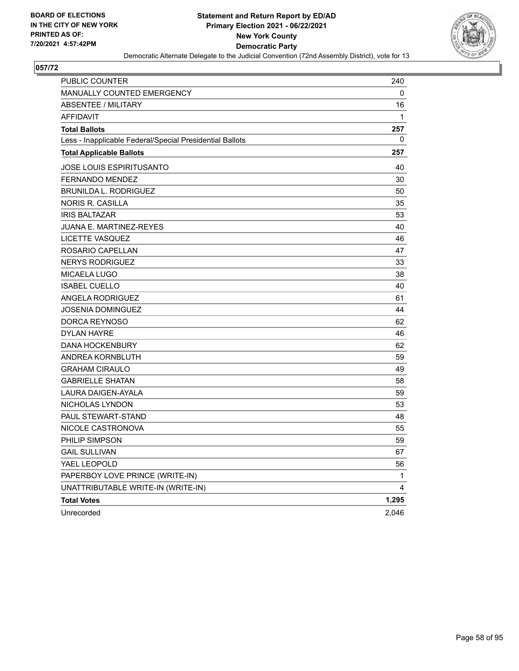

| PUBLIC COUNTER                                           | 240   |
|----------------------------------------------------------|-------|
| MANUALLY COUNTED EMERGENCY                               | 0     |
| ABSENTEE / MILITARY                                      | 16    |
| <b>AFFIDAVIT</b>                                         | 1     |
| <b>Total Ballots</b>                                     | 257   |
| Less - Inapplicable Federal/Special Presidential Ballots | 0     |
| <b>Total Applicable Ballots</b>                          | 257   |
| <b>JOSE LOUIS ESPIRITUSANTO</b>                          | 40    |
| <b>FERNANDO MENDEZ</b>                                   | 30    |
| <b>BRUNILDA L. RODRIGUEZ</b>                             | 50    |
| <b>NORIS R. CASILLA</b>                                  | 35    |
| <b>IRIS BALTAZAR</b>                                     | 53    |
| <b>JUANA E. MARTINEZ-REYES</b>                           | 40    |
| LICETTE VASQUEZ                                          | 46    |
| ROSARIO CAPELLAN                                         | 47    |
| <b>NERYS RODRIGUEZ</b>                                   | 33    |
| <b>MICAELA LUGO</b>                                      | 38    |
| <b>ISABEL CUELLO</b>                                     | 40    |
| <b>ANGELA RODRIGUEZ</b>                                  | 61    |
| <b>JOSENIA DOMINGUEZ</b>                                 | 44    |
| DORCA REYNOSO                                            | 62    |
| <b>DYLAN HAYRE</b>                                       | 46    |
| <b>DANA HOCKENBURY</b>                                   | 62    |
| ANDREA KORNBLUTH                                         | 59    |
| <b>GRAHAM CIRAULO</b>                                    | 49    |
| <b>GABRIELLE SHATAN</b>                                  | 58    |
| LAURA DAIGEN-AYALA                                       | 59    |
| NICHOLAS LYNDON                                          | 53    |
| PAUL STEWART-STAND                                       | 48    |
| NICOLE CASTRONOVA                                        | 55    |
| PHILIP SIMPSON                                           | 59    |
| <b>GAIL SULLIVAN</b>                                     | 67    |
| YAEL LEOPOLD                                             | 56    |
| PAPERBOY LOVE PRINCE (WRITE-IN)                          | 1     |
| UNATTRIBUTABLE WRITE-IN (WRITE-IN)                       | 4     |
| <b>Total Votes</b>                                       | 1,295 |
| Unrecorded                                               | 2,046 |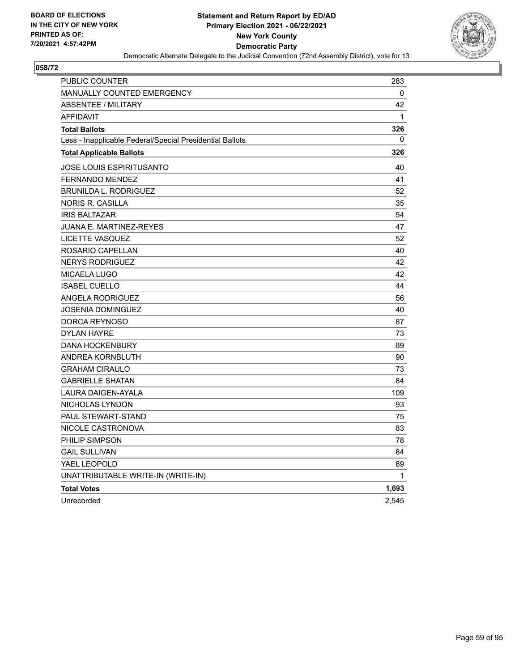

| PUBLIC COUNTER                                           | 283          |
|----------------------------------------------------------|--------------|
| <b>MANUALLY COUNTED EMERGENCY</b>                        | 0            |
| <b>ABSENTEE / MILITARY</b>                               | 42           |
| <b>AFFIDAVIT</b>                                         | $\mathbf{1}$ |
| <b>Total Ballots</b>                                     | 326          |
| Less - Inapplicable Federal/Special Presidential Ballots | 0            |
| <b>Total Applicable Ballots</b>                          | 326          |
| JOSE LOUIS ESPIRITUSANTO                                 | 40           |
| <b>FERNANDO MENDEZ</b>                                   | 41           |
| <b>BRUNILDA L. RODRIGUEZ</b>                             | 52           |
| <b>NORIS R. CASILLA</b>                                  | 35           |
| <b>IRIS BALTAZAR</b>                                     | 54           |
| JUANA E. MARTINEZ-REYES                                  | 47           |
| <b>LICETTE VASQUEZ</b>                                   | 52           |
| ROSARIO CAPELLAN                                         | 40           |
| <b>NERYS RODRIGUEZ</b>                                   | 42           |
| <b>MICAELA LUGO</b>                                      | 42           |
| <b>ISABEL CUELLO</b>                                     | 44           |
| <b>ANGELA RODRIGUEZ</b>                                  | 56           |
| <b>JOSENIA DOMINGUEZ</b>                                 | 40           |
| DORCA REYNOSO                                            | 87           |
| <b>DYLAN HAYRE</b>                                       | 73           |
| <b>DANA HOCKENBURY</b>                                   | 89           |
| ANDREA KORNBLUTH                                         | 90           |
| <b>GRAHAM CIRAULO</b>                                    | 73           |
| <b>GABRIELLE SHATAN</b>                                  | 84           |
| LAURA DAIGEN-AYALA                                       | 109          |
| NICHOLAS LYNDON                                          | 93           |
| PAUL STEWART-STAND                                       | 75           |
| NICOLE CASTRONOVA                                        | 83           |
| PHILIP SIMPSON                                           | 78           |
| <b>GAIL SULLIVAN</b>                                     | 84           |
| YAEL LEOPOLD                                             | 89           |
| UNATTRIBUTABLE WRITE-IN (WRITE-IN)                       | 1            |
| <b>Total Votes</b>                                       | 1,693        |
| Unrecorded                                               | 2,545        |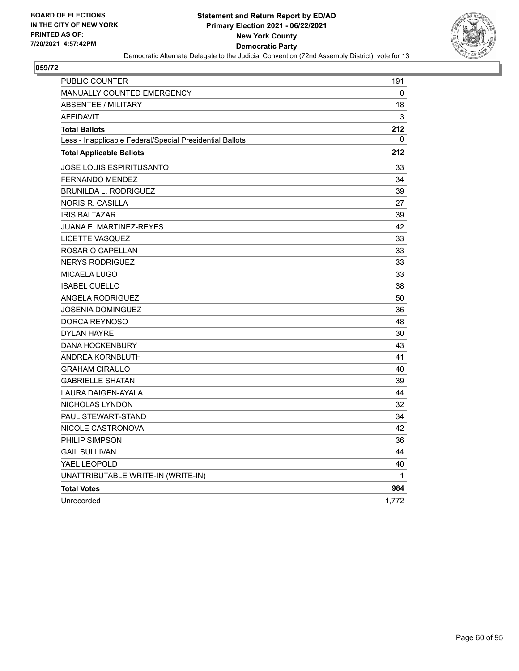

| PUBLIC COUNTER                                           | 191          |
|----------------------------------------------------------|--------------|
| <b>MANUALLY COUNTED EMERGENCY</b>                        | 0            |
| <b>ABSENTEE / MILITARY</b>                               | 18           |
| <b>AFFIDAVIT</b>                                         | 3            |
| <b>Total Ballots</b>                                     | 212          |
| Less - Inapplicable Federal/Special Presidential Ballots | 0            |
| <b>Total Applicable Ballots</b>                          | 212          |
| <b>JOSE LOUIS ESPIRITUSANTO</b>                          | 33           |
| <b>FERNANDO MENDEZ</b>                                   | 34           |
| <b>BRUNILDA L. RODRIGUEZ</b>                             | 39           |
| NORIS R. CASILLA                                         | 27           |
| <b>IRIS BALTAZAR</b>                                     | 39           |
| <b>JUANA E. MARTINEZ-REYES</b>                           | 42           |
| LICETTE VASQUEZ                                          | 33           |
| ROSARIO CAPELLAN                                         | 33           |
| <b>NERYS RODRIGUEZ</b>                                   | 33           |
| <b>MICAELA LUGO</b>                                      | 33           |
| <b>ISABEL CUELLO</b>                                     | 38           |
| ANGELA RODRIGUEZ                                         | 50           |
| <b>JOSENIA DOMINGUEZ</b>                                 | 36           |
| DORCA REYNOSO                                            | 48           |
| <b>DYLAN HAYRE</b>                                       | 30           |
| <b>DANA HOCKENBURY</b>                                   | 43           |
| ANDREA KORNBLUTH                                         | 41           |
| <b>GRAHAM CIRAULO</b>                                    | 40           |
| <b>GABRIELLE SHATAN</b>                                  | 39           |
| LAURA DAIGEN-AYALA                                       | 44           |
| NICHOLAS LYNDON                                          | 32           |
| PAUL STEWART-STAND                                       | 34           |
| NICOLE CASTRONOVA                                        | 42           |
| PHILIP SIMPSON                                           | 36           |
| <b>GAIL SULLIVAN</b>                                     | 44           |
| YAEL LEOPOLD                                             | 40           |
| UNATTRIBUTABLE WRITE-IN (WRITE-IN)                       | $\mathbf{1}$ |
| <b>Total Votes</b>                                       | 984          |
| Unrecorded                                               | 1,772        |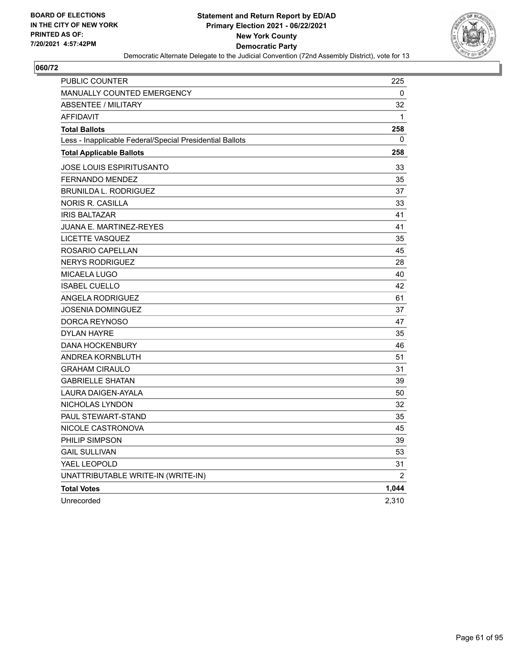

| PUBLIC COUNTER                                           | 225          |
|----------------------------------------------------------|--------------|
| <b>MANUALLY COUNTED EMERGENCY</b>                        | 0            |
| <b>ABSENTEE / MILITARY</b>                               | 32           |
| <b>AFFIDAVIT</b>                                         | $\mathbf{1}$ |
| <b>Total Ballots</b>                                     | 258          |
| Less - Inapplicable Federal/Special Presidential Ballots | 0            |
| <b>Total Applicable Ballots</b>                          | 258          |
| <b>JOSE LOUIS ESPIRITUSANTO</b>                          | 33           |
| <b>FERNANDO MENDEZ</b>                                   | 35           |
| <b>BRUNILDA L. RODRIGUEZ</b>                             | 37           |
| <b>NORIS R. CASILLA</b>                                  | 33           |
| <b>IRIS BALTAZAR</b>                                     | 41           |
| <b>JUANA E. MARTINEZ-REYES</b>                           | 41           |
| LICETTE VASQUEZ                                          | 35           |
| ROSARIO CAPELLAN                                         | 45           |
| <b>NERYS RODRIGUEZ</b>                                   | 28           |
| MICAELA LUGO                                             | 40           |
| <b>ISABEL CUELLO</b>                                     | 42           |
| <b>ANGELA RODRIGUEZ</b>                                  | 61           |
| <b>JOSENIA DOMINGUEZ</b>                                 | 37           |
| DORCA REYNOSO                                            | 47           |
| <b>DYLAN HAYRE</b>                                       | 35           |
| <b>DANA HOCKENBURY</b>                                   | 46           |
| ANDREA KORNBLUTH                                         | 51           |
| <b>GRAHAM CIRAULO</b>                                    | 31           |
| <b>GABRIELLE SHATAN</b>                                  | 39           |
| LAURA DAIGEN-AYALA                                       | 50           |
| NICHOLAS LYNDON                                          | 32           |
| <b>PAUL STEWART-STAND</b>                                | 35           |
| NICOLE CASTRONOVA                                        | 45           |
| PHILIP SIMPSON                                           | 39           |
| <b>GAIL SULLIVAN</b>                                     | 53           |
| YAEL LEOPOLD                                             | 31           |
| UNATTRIBUTABLE WRITE-IN (WRITE-IN)                       | 2            |
| <b>Total Votes</b>                                       | 1,044        |
| Unrecorded                                               | 2,310        |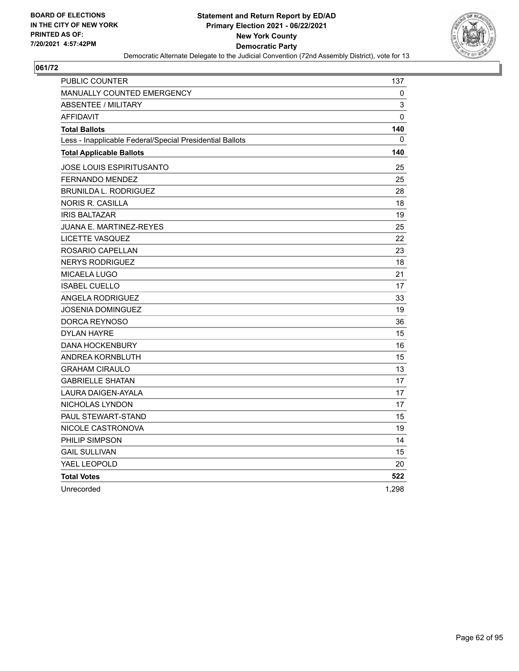

| PUBLIC COUNTER                                           | 137          |
|----------------------------------------------------------|--------------|
| <b>MANUALLY COUNTED EMERGENCY</b>                        | 0            |
| <b>ABSENTEE / MILITARY</b>                               | 3            |
| <b>AFFIDAVIT</b>                                         | $\Omega$     |
| <b>Total Ballots</b>                                     | 140          |
| Less - Inapplicable Federal/Special Presidential Ballots | $\mathbf{0}$ |
| <b>Total Applicable Ballots</b>                          | 140          |
| JOSE LOUIS ESPIRITUSANTO                                 | 25           |
| FERNANDO MENDEZ                                          | 25           |
| <b>BRUNILDA L. RODRIGUEZ</b>                             | 28           |
| <b>NORIS R. CASILLA</b>                                  | 18           |
| <b>IRIS BALTAZAR</b>                                     | 19           |
| JUANA E. MARTINEZ-REYES                                  | 25           |
| <b>LICETTE VASQUEZ</b>                                   | 22           |
| ROSARIO CAPELLAN                                         | 23           |
| <b>NERYS RODRIGUEZ</b>                                   | 18           |
| MICAELA LUGO                                             | 21           |
| <b>ISABEL CUELLO</b>                                     | 17           |
| <b>ANGELA RODRIGUEZ</b>                                  | 33           |
| JOSENIA DOMINGUEZ                                        | 19           |
| DORCA REYNOSO                                            | 36           |
| <b>DYLAN HAYRE</b>                                       | 15           |
| <b>DANA HOCKENBURY</b>                                   | 16           |
| ANDREA KORNBLUTH                                         | 15           |
| <b>GRAHAM CIRAULO</b>                                    | 13           |
| <b>GABRIELLE SHATAN</b>                                  | 17           |
| <b>LAURA DAIGEN-AYALA</b>                                | 17           |
| NICHOLAS LYNDON                                          | 17           |
| PAUL STEWART-STAND                                       | 15           |
| NICOLE CASTRONOVA                                        | 19           |
| PHILIP SIMPSON                                           | 14           |
| <b>GAIL SULLIVAN</b>                                     | 15           |
| YAEL LEOPOLD                                             | 20           |
| <b>Total Votes</b>                                       | 522          |
| Unrecorded                                               | 1,298        |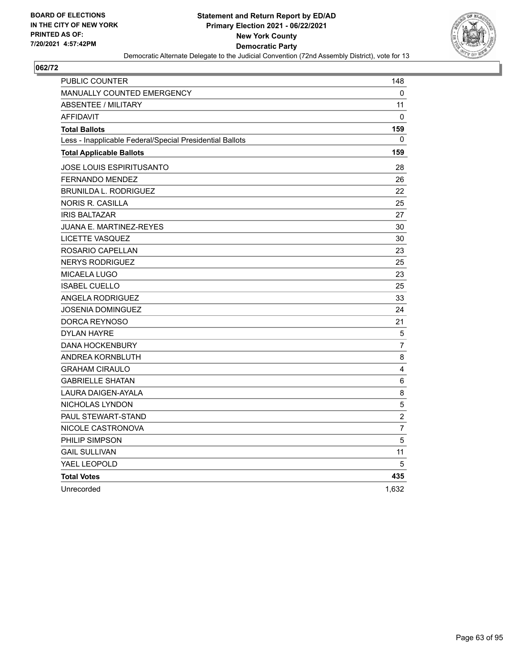

| <b>PUBLIC COUNTER</b>                                    | 148            |
|----------------------------------------------------------|----------------|
| <b>MANUALLY COUNTED EMERGENCY</b>                        | 0              |
| <b>ABSENTEE / MILITARY</b>                               | 11             |
| <b>AFFIDAVIT</b>                                         | $\mathbf{0}$   |
| <b>Total Ballots</b>                                     | 159            |
| Less - Inapplicable Federal/Special Presidential Ballots | 0              |
| <b>Total Applicable Ballots</b>                          | 159            |
| JOSE LOUIS ESPIRITUSANTO                                 | 28             |
| <b>FERNANDO MENDEZ</b>                                   | 26             |
| <b>BRUNILDA L. RODRIGUEZ</b>                             | 22             |
| <b>NORIS R. CASILLA</b>                                  | 25             |
| <b>IRIS BALTAZAR</b>                                     | 27             |
| JUANA E. MARTINEZ-REYES                                  | 30             |
| <b>LICETTE VASQUEZ</b>                                   | 30             |
| ROSARIO CAPELLAN                                         | 23             |
| <b>NERYS RODRIGUEZ</b>                                   | 25             |
| MICAELA LUGO                                             | 23             |
| <b>ISABEL CUELLO</b>                                     | 25             |
| <b>ANGELA RODRIGUEZ</b>                                  | 33             |
| JOSENIA DOMINGUEZ                                        | 24             |
| DORCA REYNOSO                                            | 21             |
| <b>DYLAN HAYRE</b>                                       | 5              |
| <b>DANA HOCKENBURY</b>                                   | $\overline{7}$ |
| ANDREA KORNBLUTH                                         | 8              |
| <b>GRAHAM CIRAULO</b>                                    | 4              |
| <b>GABRIELLE SHATAN</b>                                  | 6              |
| <b>LAURA DAIGEN-AYALA</b>                                | 8              |
| NICHOLAS LYNDON                                          | $\sqrt{5}$     |
| PAUL STEWART-STAND                                       | $\overline{c}$ |
| NICOLE CASTRONOVA                                        | $\overline{7}$ |
| PHILIP SIMPSON                                           | 5              |
| <b>GAIL SULLIVAN</b>                                     | 11             |
| YAEL LEOPOLD                                             | 5              |
| <b>Total Votes</b>                                       | 435            |
| Unrecorded                                               | 1,632          |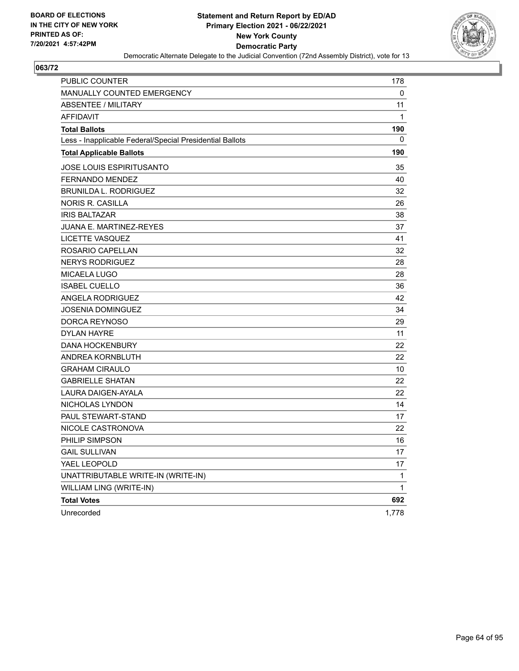

| <b>PUBLIC COUNTER</b>                                    | 178   |
|----------------------------------------------------------|-------|
| MANUALLY COUNTED EMERGENCY                               | 0     |
| <b>ABSENTEE / MILITARY</b>                               | 11    |
| <b>AFFIDAVIT</b>                                         | 1     |
| <b>Total Ballots</b>                                     | 190   |
| Less - Inapplicable Federal/Special Presidential Ballots | 0     |
| <b>Total Applicable Ballots</b>                          | 190   |
| <b>JOSE LOUIS ESPIRITUSANTO</b>                          | 35    |
| <b>FERNANDO MENDEZ</b>                                   | 40    |
| <b>BRUNILDA L. RODRIGUEZ</b>                             | 32    |
| <b>NORIS R. CASILLA</b>                                  | 26    |
| <b>IRIS BALTAZAR</b>                                     | 38    |
| <b>JUANA E. MARTINEZ-REYES</b>                           | 37    |
| LICETTE VASQUEZ                                          | 41    |
| ROSARIO CAPELLAN                                         | 32    |
| <b>NERYS RODRIGUEZ</b>                                   | 28    |
| <b>MICAELA LUGO</b>                                      | 28    |
| <b>ISABEL CUELLO</b>                                     | 36    |
| ANGELA RODRIGUEZ                                         | 42    |
| <b>JOSENIA DOMINGUEZ</b>                                 | 34    |
| DORCA REYNOSO                                            | 29    |
| <b>DYLAN HAYRE</b>                                       | 11    |
| <b>DANA HOCKENBURY</b>                                   | 22    |
| ANDREA KORNBLUTH                                         | 22    |
| <b>GRAHAM CIRAULO</b>                                    | 10    |
| <b>GABRIELLE SHATAN</b>                                  | 22    |
| LAURA DAIGEN-AYALA                                       | 22    |
| NICHOLAS LYNDON                                          | 14    |
| PAUL STEWART-STAND                                       | 17    |
| NICOLE CASTRONOVA                                        | 22    |
| PHILIP SIMPSON                                           | 16    |
| <b>GAIL SULLIVAN</b>                                     | 17    |
| YAEL LEOPOLD                                             | 17    |
| UNATTRIBUTABLE WRITE-IN (WRITE-IN)                       | 1     |
| WILLIAM LING (WRITE-IN)                                  | 1     |
| <b>Total Votes</b>                                       | 692   |
| Unrecorded                                               | 1,778 |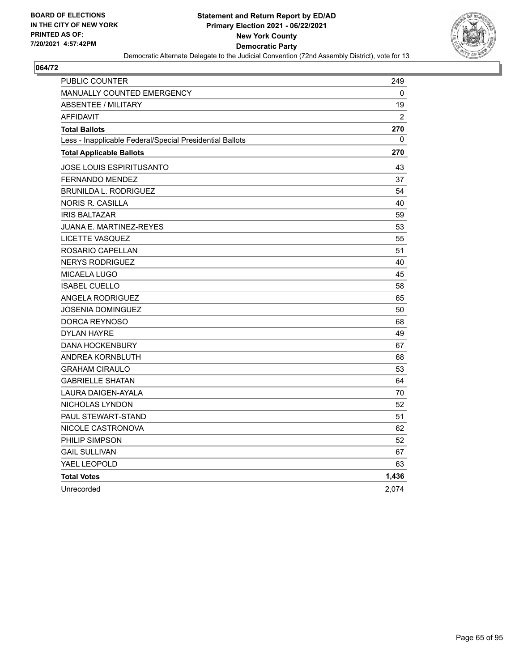

| <b>PUBLIC COUNTER</b>                                    | 249           |
|----------------------------------------------------------|---------------|
| <b>MANUALLY COUNTED EMERGENCY</b>                        | 0             |
| <b>ABSENTEE / MILITARY</b>                               | 19            |
| <b>AFFIDAVIT</b>                                         | $\mathcal{P}$ |
| <b>Total Ballots</b>                                     | 270           |
| Less - Inapplicable Federal/Special Presidential Ballots | 0             |
| <b>Total Applicable Ballots</b>                          | 270           |
| JOSE LOUIS ESPIRITUSANTO                                 | 43            |
| <b>FERNANDO MENDEZ</b>                                   | 37            |
| <b>BRUNILDA L. RODRIGUEZ</b>                             | 54            |
| NORIS R. CASILLA                                         | 40            |
| <b>IRIS BALTAZAR</b>                                     | 59            |
| JUANA E. MARTINEZ-REYES                                  | 53            |
| <b>LICETTE VASQUEZ</b>                                   | 55            |
| ROSARIO CAPELLAN                                         | 51            |
| <b>NERYS RODRIGUEZ</b>                                   | 40            |
| MICAELA LUGO                                             | 45            |
| <b>ISABEL CUELLO</b>                                     | 58            |
| <b>ANGELA RODRIGUEZ</b>                                  | 65            |
| JOSENIA DOMINGUEZ                                        | 50            |
| DORCA REYNOSO                                            | 68            |
| <b>DYLAN HAYRE</b>                                       | 49            |
| <b>DANA HOCKENBURY</b>                                   | 67            |
| ANDREA KORNBLUTH                                         | 68            |
| <b>GRAHAM CIRAULO</b>                                    | 53            |
| <b>GABRIELLE SHATAN</b>                                  | 64            |
| <b>LAURA DAIGEN-AYALA</b>                                | 70            |
| NICHOLAS LYNDON                                          | 52            |
| PAUL STEWART-STAND                                       | 51            |
| NICOLE CASTRONOVA                                        | 62            |
| PHILIP SIMPSON                                           | 52            |
| <b>GAIL SULLIVAN</b>                                     | 67            |
| YAEL LEOPOLD                                             | 63            |
| <b>Total Votes</b>                                       | 1,436         |
| Unrecorded                                               | 2,074         |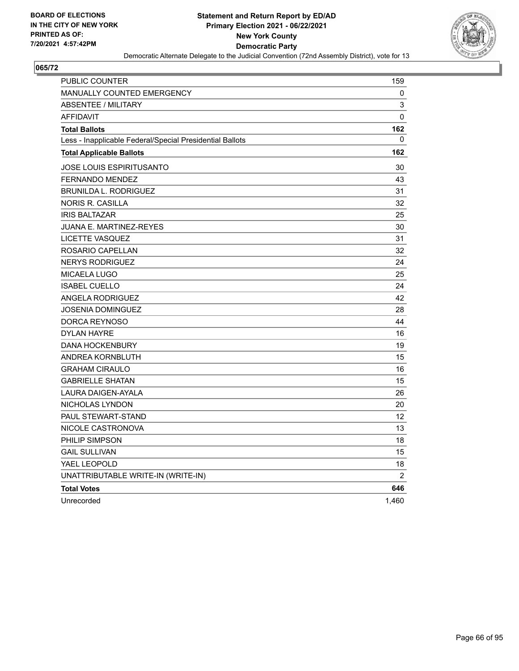

| PUBLIC COUNTER                                           | 159            |
|----------------------------------------------------------|----------------|
| <b>MANUALLY COUNTED EMERGENCY</b>                        | 0              |
| <b>ABSENTEE / MILITARY</b>                               | 3              |
| <b>AFFIDAVIT</b>                                         | 0              |
| <b>Total Ballots</b>                                     | 162            |
| Less - Inapplicable Federal/Special Presidential Ballots | 0              |
| <b>Total Applicable Ballots</b>                          | 162            |
| JOSE LOUIS ESPIRITUSANTO                                 | 30             |
| <b>FERNANDO MENDEZ</b>                                   | 43             |
| <b>BRUNILDA L. RODRIGUEZ</b>                             | 31             |
| <b>NORIS R. CASILLA</b>                                  | 32             |
| <b>IRIS BALTAZAR</b>                                     | 25             |
| JUANA E. MARTINEZ-REYES                                  | 30             |
| LICETTE VASQUEZ                                          | 31             |
| ROSARIO CAPELLAN                                         | 32             |
| <b>NERYS RODRIGUEZ</b>                                   | 24             |
| MICAELA LUGO                                             | 25             |
| <b>ISABEL CUELLO</b>                                     | 24             |
| <b>ANGELA RODRIGUEZ</b>                                  | 42             |
| <b>JOSENIA DOMINGUEZ</b>                                 | 28             |
| DORCA REYNOSO                                            | 44             |
| <b>DYLAN HAYRE</b>                                       | 16             |
| <b>DANA HOCKENBURY</b>                                   | 19             |
| ANDREA KORNBLUTH                                         | 15             |
| <b>GRAHAM CIRAULO</b>                                    | 16             |
| <b>GABRIELLE SHATAN</b>                                  | 15             |
| <b>LAURA DAIGEN-AYALA</b>                                | 26             |
| NICHOLAS LYNDON                                          | 20             |
| PAUL STEWART-STAND                                       | 12             |
| NICOLE CASTRONOVA                                        | 13             |
| PHILIP SIMPSON                                           | 18             |
| <b>GAIL SULLIVAN</b>                                     | 15             |
| YAEL LEOPOLD                                             | 18             |
| UNATTRIBUTABLE WRITE-IN (WRITE-IN)                       | $\overline{c}$ |
| <b>Total Votes</b>                                       | 646            |
| Unrecorded                                               | 1,460          |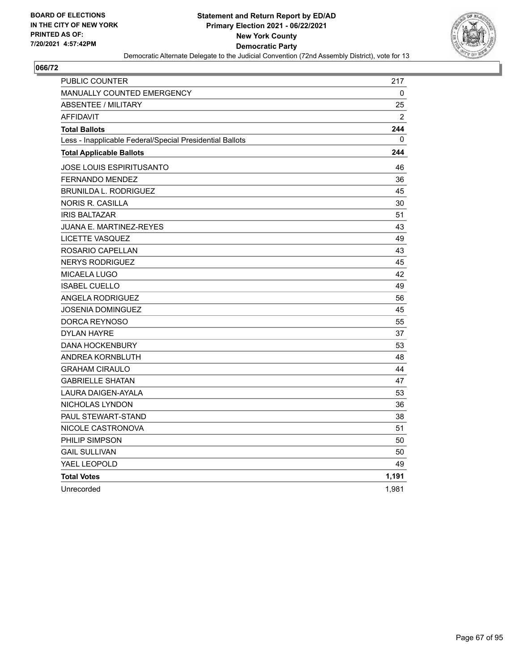

| PUBLIC COUNTER                                           | 217          |
|----------------------------------------------------------|--------------|
| <b>MANUALLY COUNTED EMERGENCY</b>                        | 0            |
| <b>ABSENTEE / MILITARY</b>                               | 25           |
| <b>AFFIDAVIT</b>                                         | 2            |
| <b>Total Ballots</b>                                     | 244          |
| Less - Inapplicable Federal/Special Presidential Ballots | $\mathbf{0}$ |
| <b>Total Applicable Ballots</b>                          | 244          |
| JOSE LOUIS ESPIRITUSANTO                                 | 46           |
| <b>FERNANDO MENDEZ</b>                                   | 36           |
| <b>BRUNILDA L. RODRIGUEZ</b>                             | 45           |
| <b>NORIS R. CASILLA</b>                                  | 30           |
| <b>IRIS BALTAZAR</b>                                     | 51           |
| JUANA E. MARTINEZ-REYES                                  | 43           |
| LICETTE VASQUEZ                                          | 49           |
| ROSARIO CAPELLAN                                         | 43           |
| <b>NERYS RODRIGUEZ</b>                                   | 45           |
| <b>MICAELA LUGO</b>                                      | 42           |
| <b>ISABEL CUELLO</b>                                     | 49           |
| <b>ANGELA RODRIGUEZ</b>                                  | 56           |
| JOSENIA DOMINGUEZ                                        | 45           |
| DORCA REYNOSO                                            | 55           |
| <b>DYLAN HAYRE</b>                                       | 37           |
| <b>DANA HOCKENBURY</b>                                   | 53           |
| ANDREA KORNBLUTH                                         | 48           |
| <b>GRAHAM CIRAULO</b>                                    | 44           |
| <b>GABRIELLE SHATAN</b>                                  | 47           |
| <b>LAURA DAIGEN-AYALA</b>                                | 53           |
| NICHOLAS LYNDON                                          | 36           |
| <b>PAUL STEWART-STAND</b>                                | 38           |
| NICOLE CASTRONOVA                                        | 51           |
| PHILIP SIMPSON                                           | 50           |
| <b>GAIL SULLIVAN</b>                                     | 50           |
| YAEL LEOPOLD                                             | 49           |
| <b>Total Votes</b>                                       | 1,191        |
| Unrecorded                                               | 1,981        |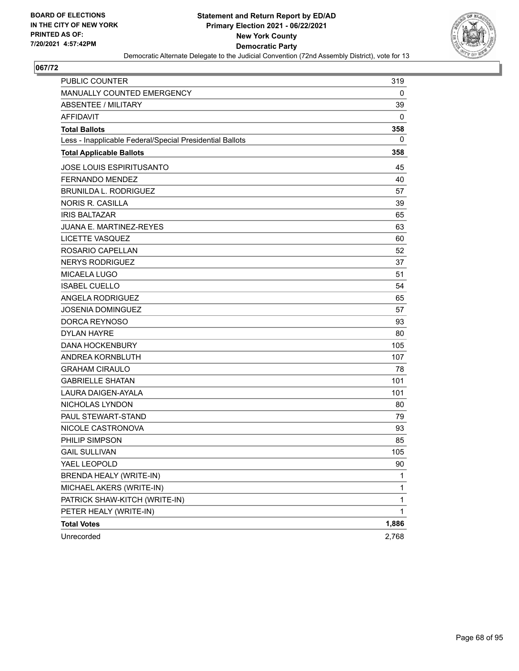

| PUBLIC COUNTER                                           | 319   |
|----------------------------------------------------------|-------|
| MANUALLY COUNTED EMERGENCY                               | 0     |
| <b>ABSENTEE / MILITARY</b>                               | 39    |
| <b>AFFIDAVIT</b>                                         | 0     |
| <b>Total Ballots</b>                                     | 358   |
| Less - Inapplicable Federal/Special Presidential Ballots | 0     |
| <b>Total Applicable Ballots</b>                          | 358   |
| <b>JOSE LOUIS ESPIRITUSANTO</b>                          | 45    |
| FERNANDO MENDEZ                                          | 40    |
| BRUNILDA L. RODRIGUEZ                                    | 57    |
| <b>NORIS R. CASILLA</b>                                  | 39    |
| <b>IRIS BALTAZAR</b>                                     | 65    |
| <b>JUANA E. MARTINEZ-REYES</b>                           | 63    |
| LICETTE VASQUEZ                                          | 60    |
| ROSARIO CAPELLAN                                         | 52    |
| <b>NERYS RODRIGUEZ</b>                                   | 37    |
| <b>MICAELA LUGO</b>                                      | 51    |
| <b>ISABEL CUELLO</b>                                     | 54    |
| ANGELA RODRIGUEZ                                         | 65    |
| <b>JOSENIA DOMINGUEZ</b>                                 | 57    |
| DORCA REYNOSO                                            | 93    |
| <b>DYLAN HAYRE</b>                                       | 80    |
| <b>DANA HOCKENBURY</b>                                   | 105   |
| ANDREA KORNBLUTH                                         | 107   |
| <b>GRAHAM CIRAULO</b>                                    | 78    |
| <b>GABRIELLE SHATAN</b>                                  | 101   |
| LAURA DAIGEN-AYALA                                       | 101   |
| NICHOLAS LYNDON                                          | 80    |
| PAUL STEWART-STAND                                       | 79    |
| NICOLE CASTRONOVA                                        | 93    |
| PHILIP SIMPSON                                           | 85    |
| <b>GAIL SULLIVAN</b>                                     | 105   |
| YAEL LEOPOLD                                             | 90    |
| BRENDA HEALY (WRITE-IN)                                  | 1     |
| MICHAEL AKERS (WRITE-IN)                                 | 1     |
| PATRICK SHAW-KITCH (WRITE-IN)                            | 1     |
| PETER HEALY (WRITE-IN)                                   | 1     |
| <b>Total Votes</b>                                       | 1,886 |
| Unrecorded                                               | 2,768 |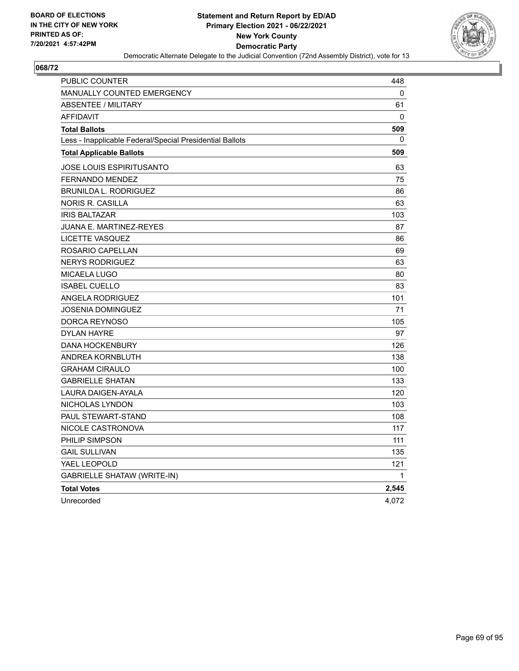

| PUBLIC COUNTER                                           | 448   |
|----------------------------------------------------------|-------|
| <b>MANUALLY COUNTED EMERGENCY</b>                        | 0     |
| <b>ABSENTEE / MILITARY</b>                               | 61    |
| <b>AFFIDAVIT</b>                                         | 0     |
| <b>Total Ballots</b>                                     | 509   |
| Less - Inapplicable Federal/Special Presidential Ballots | 0     |
| <b>Total Applicable Ballots</b>                          | 509   |
| <b>JOSE LOUIS ESPIRITUSANTO</b>                          | 63    |
| FERNANDO MENDEZ                                          | 75    |
| <b>BRUNILDA L. RODRIGUEZ</b>                             | 86    |
| NORIS R. CASILLA                                         | 63    |
| <b>IRIS BALTAZAR</b>                                     | 103   |
| <b>JUANA E. MARTINEZ-REYES</b>                           | 87    |
| LICETTE VASQUEZ                                          | 86    |
| ROSARIO CAPELLAN                                         | 69    |
| <b>NERYS RODRIGUEZ</b>                                   | 63    |
| <b>MICAELA LUGO</b>                                      | 80    |
| <b>ISABEL CUELLO</b>                                     | 83    |
| ANGELA RODRIGUEZ                                         | 101   |
| JOSENIA DOMINGUEZ                                        | 71    |
| DORCA REYNOSO                                            | 105   |
| <b>DYLAN HAYRE</b>                                       | 97    |
| <b>DANA HOCKENBURY</b>                                   | 126   |
| <b>ANDREA KORNBLUTH</b>                                  | 138   |
| <b>GRAHAM CIRAULO</b>                                    | 100   |
| <b>GABRIELLE SHATAN</b>                                  | 133   |
| LAURA DAIGEN-AYALA                                       | 120   |
| NICHOLAS LYNDON                                          | 103   |
| <b>PAUL STEWART-STAND</b>                                | 108   |
| NICOLE CASTRONOVA                                        | 117   |
| PHILIP SIMPSON                                           | 111   |
| <b>GAIL SULLIVAN</b>                                     | 135   |
| YAEL LEOPOLD                                             | 121   |
| <b>GABRIELLE SHATAW (WRITE-IN)</b>                       | 1     |
| <b>Total Votes</b>                                       | 2,545 |
| Unrecorded                                               | 4,072 |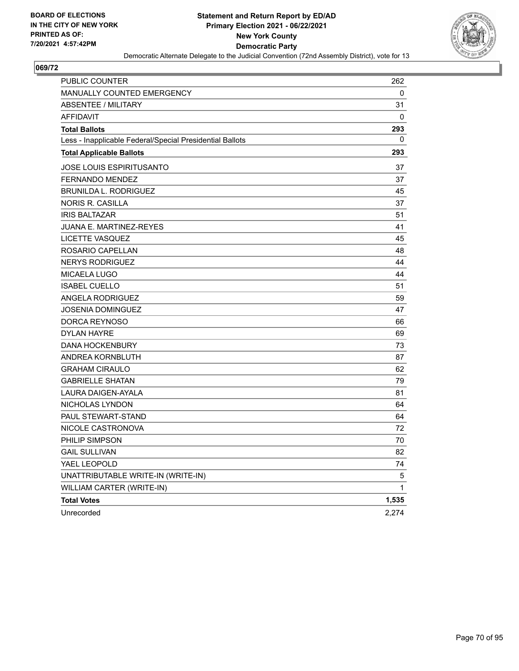

| PUBLIC COUNTER                                           | 262          |
|----------------------------------------------------------|--------------|
| MANUALLY COUNTED EMERGENCY                               | 0            |
| <b>ABSENTEE / MILITARY</b>                               | 31           |
| <b>AFFIDAVIT</b>                                         | 0            |
| <b>Total Ballots</b>                                     | 293          |
| Less - Inapplicable Federal/Special Presidential Ballots | 0            |
| <b>Total Applicable Ballots</b>                          | 293          |
| <b>JOSE LOUIS ESPIRITUSANTO</b>                          | 37           |
| <b>FERNANDO MENDEZ</b>                                   | 37           |
| <b>BRUNILDA L. RODRIGUEZ</b>                             | 45           |
| <b>NORIS R. CASILLA</b>                                  | 37           |
| <b>IRIS BALTAZAR</b>                                     | 51           |
| <b>JUANA E. MARTINEZ-REYES</b>                           | 41           |
| <b>LICETTE VASQUEZ</b>                                   | 45           |
| ROSARIO CAPELLAN                                         | 48           |
| <b>NERYS RODRIGUEZ</b>                                   | 44           |
| <b>MICAELA LUGO</b>                                      | 44           |
| <b>ISABEL CUELLO</b>                                     | 51           |
| <b>ANGELA RODRIGUEZ</b>                                  | 59           |
| <b>JOSENIA DOMINGUEZ</b>                                 | 47           |
| DORCA REYNOSO                                            | 66           |
| <b>DYLAN HAYRE</b>                                       | 69           |
| <b>DANA HOCKENBURY</b>                                   | 73           |
| ANDREA KORNBLUTH                                         | 87           |
| <b>GRAHAM CIRAULO</b>                                    | 62           |
| <b>GABRIELLE SHATAN</b>                                  | 79           |
| <b>LAURA DAIGEN-AYALA</b>                                | 81           |
| NICHOLAS LYNDON                                          | 64           |
| PAUL STEWART-STAND                                       | 64           |
| NICOLE CASTRONOVA                                        | 72           |
| PHILIP SIMPSON                                           | 70           |
| <b>GAIL SULLIVAN</b>                                     | 82           |
| YAEL LEOPOLD                                             | 74           |
| UNATTRIBUTABLE WRITE-IN (WRITE-IN)                       | 5            |
| WILLIAM CARTER (WRITE-IN)                                | $\mathbf{1}$ |
| <b>Total Votes</b>                                       | 1,535        |
| Unrecorded                                               | 2,274        |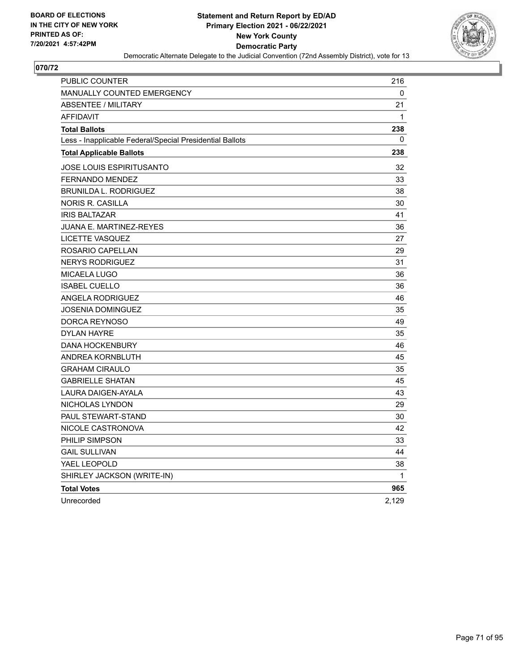

| PUBLIC COUNTER                                           | 216         |
|----------------------------------------------------------|-------------|
| <b>MANUALLY COUNTED EMERGENCY</b>                        | 0           |
| <b>ABSENTEE / MILITARY</b>                               | 21          |
| <b>AFFIDAVIT</b>                                         | $\mathbf 1$ |
| <b>Total Ballots</b>                                     | 238         |
| Less - Inapplicable Federal/Special Presidential Ballots | 0           |
| <b>Total Applicable Ballots</b>                          | 238         |
| JOSE LOUIS ESPIRITUSANTO                                 | 32          |
| <b>FERNANDO MENDEZ</b>                                   | 33          |
| <b>BRUNILDA L. RODRIGUEZ</b>                             | 38          |
| <b>NORIS R. CASILLA</b>                                  | 30          |
| <b>IRIS BALTAZAR</b>                                     | 41          |
| JUANA E. MARTINEZ-REYES                                  | 36          |
| LICETTE VASQUEZ                                          | 27          |
| ROSARIO CAPELLAN                                         | 29          |
| <b>NERYS RODRIGUEZ</b>                                   | 31          |
| MICAELA LUGO                                             | 36          |
| <b>ISABEL CUELLO</b>                                     | 36          |
| ANGELA RODRIGUEZ                                         | 46          |
| JOSENIA DOMINGUEZ                                        | 35          |
| DORCA REYNOSO                                            | 49          |
| <b>DYLAN HAYRE</b>                                       | 35          |
| <b>DANA HOCKENBURY</b>                                   | 46          |
| ANDREA KORNBLUTH                                         | 45          |
| <b>GRAHAM CIRAULO</b>                                    | 35          |
| <b>GABRIELLE SHATAN</b>                                  | 45          |
| <b>LAURA DAIGEN-AYALA</b>                                | 43          |
| NICHOLAS LYNDON                                          | 29          |
| PAUL STEWART-STAND                                       | 30          |
| NICOLE CASTRONOVA                                        | 42          |
| PHILIP SIMPSON                                           | 33          |
| <b>GAIL SULLIVAN</b>                                     | 44          |
| YAEL LEOPOLD                                             | 38          |
| SHIRLEY JACKSON (WRITE-IN)                               | 1           |
| <b>Total Votes</b>                                       | 965         |
| Unrecorded                                               | 2,129       |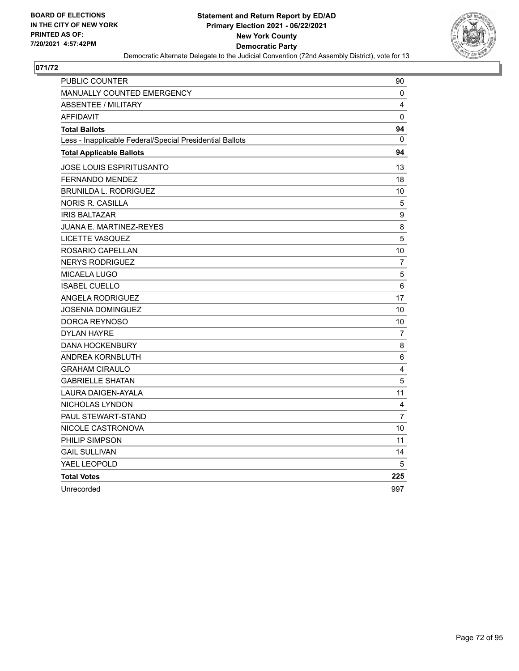

| PUBLIC COUNTER                                           | 90               |
|----------------------------------------------------------|------------------|
| <b>MANUALLY COUNTED EMERGENCY</b>                        | 0                |
| <b>ABSENTEE / MILITARY</b>                               | 4                |
| <b>AFFIDAVIT</b>                                         | 0                |
| <b>Total Ballots</b>                                     | 94               |
| Less - Inapplicable Federal/Special Presidential Ballots | $\mathbf{0}$     |
| <b>Total Applicable Ballots</b>                          | 94               |
| JOSE LOUIS ESPIRITUSANTO                                 | 13               |
| FERNANDO MENDEZ                                          | 18               |
| <b>BRUNILDA L. RODRIGUEZ</b>                             | 10               |
| <b>NORIS R. CASILLA</b>                                  | 5                |
| <b>IRIS BALTAZAR</b>                                     | $\boldsymbol{9}$ |
| JUANA E. MARTINEZ-REYES                                  | 8                |
| LICETTE VASQUEZ                                          | 5                |
| ROSARIO CAPELLAN                                         | 10               |
| <b>NERYS RODRIGUEZ</b>                                   | $\overline{7}$   |
| MICAELA LUGO                                             | 5                |
| <b>ISABEL CUELLO</b>                                     | 6                |
| <b>ANGELA RODRIGUEZ</b>                                  | 17               |
| JOSENIA DOMINGUEZ                                        | 10               |
| DORCA REYNOSO                                            | 10               |
| DYLAN HAYRE                                              | 7                |
| <b>DANA HOCKENBURY</b>                                   | 8                |
| <b>ANDREA KORNBLUTH</b>                                  | $\,6$            |
| <b>GRAHAM CIRAULO</b>                                    | 4                |
| <b>GABRIELLE SHATAN</b>                                  | 5                |
| <b>LAURA DAIGEN-AYALA</b>                                | 11               |
| NICHOLAS LYNDON                                          | 4                |
| PAUL STEWART-STAND                                       | $\overline{7}$   |
| NICOLE CASTRONOVA                                        | 10               |
| PHILIP SIMPSON                                           | 11               |
| <b>GAIL SULLIVAN</b>                                     | 14               |
| YAEL LEOPOLD                                             | 5                |
| <b>Total Votes</b>                                       | 225              |
| Unrecorded                                               | 997              |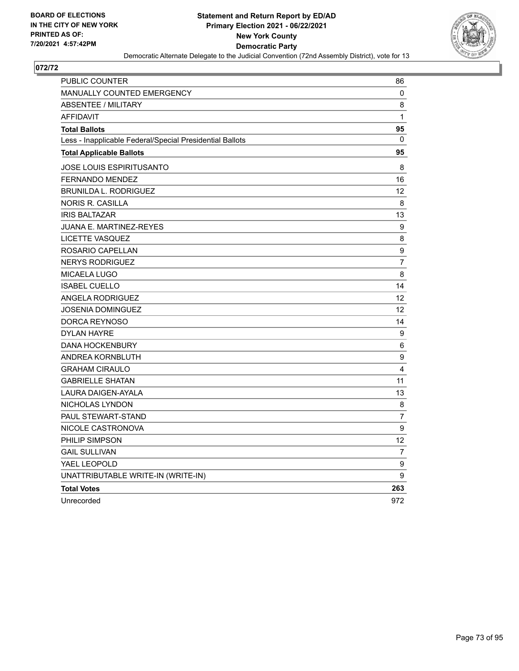

| PUBLIC COUNTER                                           | 86             |
|----------------------------------------------------------|----------------|
| <b>MANUALLY COUNTED EMERGENCY</b>                        | 0              |
| <b>ABSENTEE / MILITARY</b>                               | 8              |
| <b>AFFIDAVIT</b>                                         | $\mathbf{1}$   |
| <b>Total Ballots</b>                                     | 95             |
| Less - Inapplicable Federal/Special Presidential Ballots | 0              |
| <b>Total Applicable Ballots</b>                          | 95             |
| <b>JOSE LOUIS ESPIRITUSANTO</b>                          | 8              |
| <b>FERNANDO MENDEZ</b>                                   | 16             |
| BRUNILDA L. RODRIGUEZ                                    | 12             |
| NORIS R. CASILLA                                         | 8              |
| <b>IRIS BALTAZAR</b>                                     | 13             |
| <b>JUANA E. MARTINEZ-REYES</b>                           | 9              |
| LICETTE VASQUEZ                                          | 8              |
| ROSARIO CAPELLAN                                         | 9              |
| <b>NERYS RODRIGUEZ</b>                                   | $\overline{7}$ |
| MICAELA LUGO                                             | 8              |
| <b>ISABEL CUELLO</b>                                     | 14             |
| ANGELA RODRIGUEZ                                         | 12             |
| JOSENIA DOMINGUEZ                                        | 12             |
| DORCA REYNOSO                                            | 14             |
| <b>DYLAN HAYRE</b>                                       | 9              |
| <b>DANA HOCKENBURY</b>                                   | 6              |
| ANDREA KORNBLUTH                                         | 9              |
| <b>GRAHAM CIRAULO</b>                                    | 4              |
| <b>GABRIELLE SHATAN</b>                                  | 11             |
| LAURA DAIGEN-AYALA                                       | 13             |
| NICHOLAS LYNDON                                          | 8              |
| PAUL STEWART-STAND                                       | 7              |
| NICOLE CASTRONOVA                                        | 9              |
| PHILIP SIMPSON                                           | 12             |
| <b>GAIL SULLIVAN</b>                                     | 7              |
| YAEL LEOPOLD                                             | 9              |
| UNATTRIBUTABLE WRITE-IN (WRITE-IN)                       | 9              |
| <b>Total Votes</b>                                       | 263            |
| Unrecorded                                               | 972            |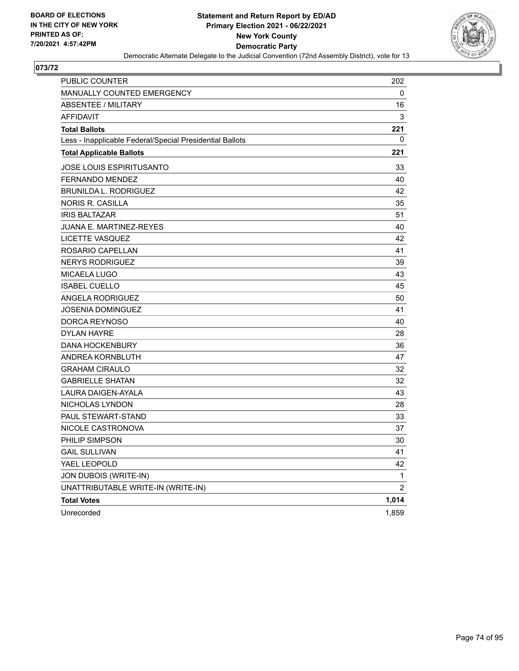

| PUBLIC COUNTER                                           | 202   |
|----------------------------------------------------------|-------|
| <b>MANUALLY COUNTED EMERGENCY</b>                        | 0     |
| <b>ABSENTEE / MILITARY</b>                               | 16    |
| <b>AFFIDAVIT</b>                                         | 3     |
| <b>Total Ballots</b>                                     | 221   |
| Less - Inapplicable Federal/Special Presidential Ballots | 0     |
| <b>Total Applicable Ballots</b>                          | 221   |
| JOSE LOUIS ESPIRITUSANTO                                 | 33    |
| <b>FERNANDO MENDEZ</b>                                   | 40    |
| <b>BRUNILDA L. RODRIGUEZ</b>                             | 42    |
| <b>NORIS R. CASILLA</b>                                  | 35    |
| <b>IRIS BALTAZAR</b>                                     | 51    |
| <b>JUANA E. MARTINEZ-REYES</b>                           | 40    |
| LICETTE VASQUEZ                                          | 42    |
| ROSARIO CAPELLAN                                         | 41    |
| <b>NERYS RODRIGUEZ</b>                                   | 39    |
| MICAELA LUGO                                             | 43    |
| <b>ISABEL CUELLO</b>                                     | 45    |
| <b>ANGELA RODRIGUEZ</b>                                  | 50    |
| <b>JOSENIA DOMINGUEZ</b>                                 | 41    |
| DORCA REYNOSO                                            | 40    |
| <b>DYLAN HAYRE</b>                                       | 28    |
| <b>DANA HOCKENBURY</b>                                   | 36    |
| ANDREA KORNBLUTH                                         | 47    |
| <b>GRAHAM CIRAULO</b>                                    | 32    |
| <b>GABRIELLE SHATAN</b>                                  | 32    |
| LAURA DAIGEN-AYALA                                       | 43    |
| NICHOLAS LYNDON                                          | 28    |
| <b>PAUL STEWART-STAND</b>                                | 33    |
| NICOLE CASTRONOVA                                        | 37    |
| PHILIP SIMPSON                                           | 30    |
| <b>GAIL SULLIVAN</b>                                     | 41    |
| YAEL LEOPOLD                                             | 42    |
| JON DUBOIS (WRITE-IN)                                    | 1     |
| UNATTRIBUTABLE WRITE-IN (WRITE-IN)                       | 2     |
| <b>Total Votes</b>                                       | 1,014 |
| Unrecorded                                               | 1,859 |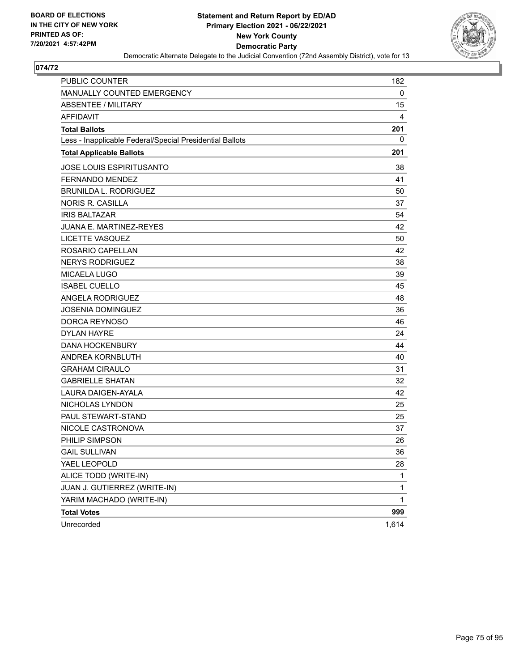

| <b>PUBLIC COUNTER</b>                                    | 182          |
|----------------------------------------------------------|--------------|
| MANUALLY COUNTED EMERGENCY                               | 0            |
| ABSENTEE / MILITARY                                      | 15           |
| <b>AFFIDAVIT</b>                                         | 4            |
| <b>Total Ballots</b>                                     | 201          |
| Less - Inapplicable Federal/Special Presidential Ballots | 0            |
| <b>Total Applicable Ballots</b>                          | 201          |
| <b>JOSE LOUIS ESPIRITUSANTO</b>                          | 38           |
| FERNANDO MENDEZ                                          | 41           |
| <b>BRUNILDA L. RODRIGUEZ</b>                             | 50           |
| <b>NORIS R. CASILLA</b>                                  | 37           |
| <b>IRIS BALTAZAR</b>                                     | 54           |
| <b>JUANA E. MARTINEZ-REYES</b>                           | 42           |
| LICETTE VASQUEZ                                          | 50           |
| ROSARIO CAPELLAN                                         | 42           |
| <b>NERYS RODRIGUEZ</b>                                   | 38           |
| <b>MICAELA LUGO</b>                                      | 39           |
| <b>ISABEL CUELLO</b>                                     | 45           |
| <b>ANGELA RODRIGUEZ</b>                                  | 48           |
| JOSENIA DOMINGUEZ                                        | 36           |
| DORCA REYNOSO                                            | 46           |
| <b>DYLAN HAYRE</b>                                       | 24           |
| <b>DANA HOCKENBURY</b>                                   | 44           |
| ANDREA KORNBLUTH                                         | 40           |
| <b>GRAHAM CIRAULO</b>                                    | 31           |
| <b>GABRIELLE SHATAN</b>                                  | 32           |
| LAURA DAIGEN-AYALA                                       | 42           |
| NICHOLAS LYNDON                                          | 25           |
| PAUL STEWART-STAND                                       | 25           |
| NICOLE CASTRONOVA                                        | 37           |
| PHILIP SIMPSON                                           | 26           |
| <b>GAIL SULLIVAN</b>                                     | 36           |
| YAEL LEOPOLD                                             | 28           |
| ALICE TODD (WRITE-IN)                                    | 1            |
| JUAN J. GUTIERREZ (WRITE-IN)                             | 1            |
| YARIM MACHADO (WRITE-IN)                                 | $\mathbf{1}$ |
| <b>Total Votes</b>                                       | 999          |
| Unrecorded                                               | 1,614        |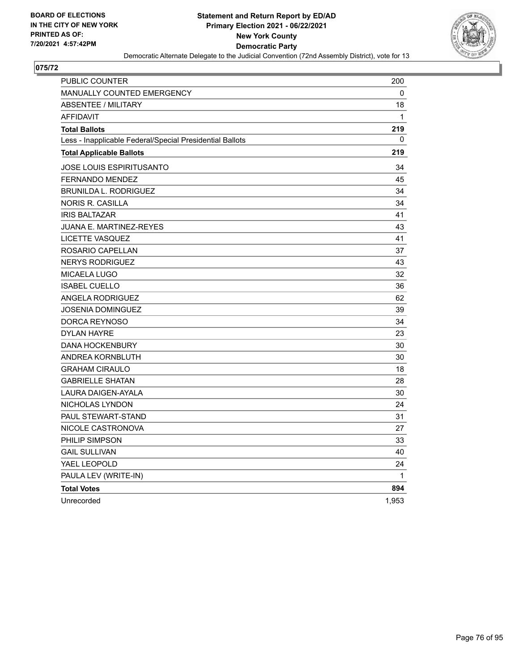

| <b>PUBLIC COUNTER</b>                                    | 200   |
|----------------------------------------------------------|-------|
| <b>MANUALLY COUNTED EMERGENCY</b>                        | 0     |
| <b>ABSENTEE / MILITARY</b>                               | 18    |
| <b>AFFIDAVIT</b>                                         | 1     |
| <b>Total Ballots</b>                                     | 219   |
| Less - Inapplicable Federal/Special Presidential Ballots | 0     |
| <b>Total Applicable Ballots</b>                          | 219   |
| <b>JOSE LOUIS ESPIRITUSANTO</b>                          | 34    |
| <b>FERNANDO MENDEZ</b>                                   | 45    |
| <b>BRUNILDA L. RODRIGUEZ</b>                             | 34    |
| <b>NORIS R. CASILLA</b>                                  | 34    |
| <b>IRIS BALTAZAR</b>                                     | 41    |
| JUANA E. MARTINEZ-REYES                                  | 43    |
| <b>LICETTE VASQUEZ</b>                                   | 41    |
| ROSARIO CAPELLAN                                         | 37    |
| <b>NERYS RODRIGUEZ</b>                                   | 43    |
| MICAELA LUGO                                             | 32    |
| <b>ISABEL CUELLO</b>                                     | 36    |
| ANGELA RODRIGUEZ                                         | 62    |
| <b>JOSENIA DOMINGUEZ</b>                                 | 39    |
| DORCA REYNOSO                                            | 34    |
| <b>DYLAN HAYRE</b>                                       | 23    |
| <b>DANA HOCKENBURY</b>                                   | 30    |
| ANDREA KORNBLUTH                                         | 30    |
| <b>GRAHAM CIRAULO</b>                                    | 18    |
| <b>GABRIELLE SHATAN</b>                                  | 28    |
| LAURA DAIGEN-AYALA                                       | 30    |
| NICHOLAS LYNDON                                          | 24    |
| <b>PAUL STEWART-STAND</b>                                | 31    |
| NICOLE CASTRONOVA                                        | 27    |
| PHILIP SIMPSON                                           | 33    |
| <b>GAIL SULLIVAN</b>                                     | 40    |
| YAEL LEOPOLD                                             | 24    |
| PAULA LEV (WRITE-IN)                                     | 1     |
| <b>Total Votes</b>                                       | 894   |
| Unrecorded                                               | 1,953 |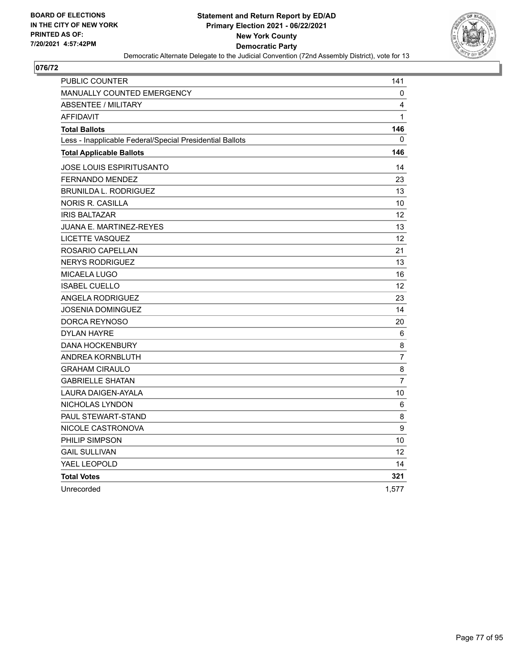

| <b>PUBLIC COUNTER</b>                                    | 141               |
|----------------------------------------------------------|-------------------|
| <b>MANUALLY COUNTED EMERGENCY</b>                        | 0                 |
| <b>ABSENTEE / MILITARY</b>                               | 4                 |
| <b>AFFIDAVIT</b>                                         | $\mathbf{1}$      |
| <b>Total Ballots</b>                                     | 146               |
| Less - Inapplicable Federal/Special Presidential Ballots | $\Omega$          |
| <b>Total Applicable Ballots</b>                          | 146               |
| JOSE LOUIS ESPIRITUSANTO                                 | 14                |
| <b>FERNANDO MENDEZ</b>                                   | 23                |
| <b>BRUNILDA L. RODRIGUEZ</b>                             | 13                |
| NORIS R. CASILLA                                         | 10                |
| <b>IRIS BALTAZAR</b>                                     | $12 \overline{ }$ |
| <b>JUANA E. MARTINEZ-REYES</b>                           | 13                |
| <b>LICETTE VASQUEZ</b>                                   | $12 \overline{ }$ |
| ROSARIO CAPELLAN                                         | 21                |
| <b>NERYS RODRIGUEZ</b>                                   | 13                |
| <b>MICAELA LUGO</b>                                      | 16                |
| <b>ISABEL CUELLO</b>                                     | 12                |
| <b>ANGELA RODRIGUEZ</b>                                  | 23                |
| JOSENIA DOMINGUEZ                                        | 14                |
| DORCA REYNOSO                                            | 20                |
| <b>DYLAN HAYRE</b>                                       | 6                 |
| <b>DANA HOCKENBURY</b>                                   | 8                 |
| ANDREA KORNBLUTH                                         | 7                 |
| <b>GRAHAM CIRAULO</b>                                    | 8                 |
| <b>GABRIELLE SHATAN</b>                                  | $\overline{7}$    |
| LAURA DAIGEN-AYALA                                       | 10                |
| NICHOLAS LYNDON                                          | 6                 |
| PAUL STEWART-STAND                                       | 8                 |
| NICOLE CASTRONOVA                                        | 9                 |
| PHILIP SIMPSON                                           | 10                |
| <b>GAIL SULLIVAN</b>                                     | 12                |
| YAEL LEOPOLD                                             | 14                |
| <b>Total Votes</b>                                       | 321               |
| Unrecorded                                               | 1.577             |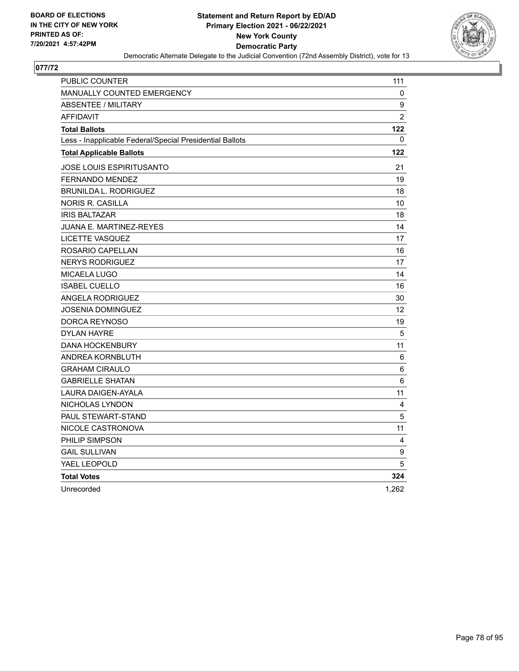

| PUBLIC COUNTER                                           | 111            |
|----------------------------------------------------------|----------------|
| <b>MANUALLY COUNTED EMERGENCY</b>                        | 0              |
| <b>ABSENTEE / MILITARY</b>                               | 9              |
| <b>AFFIDAVIT</b>                                         | $\overline{2}$ |
| <b>Total Ballots</b>                                     | 122            |
| Less - Inapplicable Federal/Special Presidential Ballots | $\Omega$       |
| <b>Total Applicable Ballots</b>                          | 122            |
| JOSE LOUIS ESPIRITUSANTO                                 | 21             |
| <b>FERNANDO MENDEZ</b>                                   | 19             |
| <b>BRUNILDA L. RODRIGUEZ</b>                             | 18             |
| NORIS R. CASILLA                                         | 10             |
| <b>IRIS BALTAZAR</b>                                     | 18             |
| <b>JUANA E. MARTINEZ-REYES</b>                           | 14             |
| LICETTE VASQUEZ                                          | 17             |
| ROSARIO CAPELLAN                                         | 16             |
| <b>NERYS RODRIGUEZ</b>                                   | 17             |
| <b>MICAELA LUGO</b>                                      | 14             |
| <b>ISABEL CUELLO</b>                                     | 16             |
| <b>ANGELA RODRIGUEZ</b>                                  | 30             |
| JOSENIA DOMINGUEZ                                        | 12             |
| DORCA REYNOSO                                            | 19             |
| <b>DYLAN HAYRE</b>                                       | 5              |
| <b>DANA HOCKENBURY</b>                                   | 11             |
| ANDREA KORNBLUTH                                         | 6              |
| <b>GRAHAM CIRAULO</b>                                    | 6              |
| <b>GABRIELLE SHATAN</b>                                  | 6              |
| LAURA DAIGEN-AYALA                                       | 11             |
| NICHOLAS LYNDON                                          | 4              |
| PAUL STEWART-STAND                                       | 5              |
| NICOLE CASTRONOVA                                        | 11             |
| PHILIP SIMPSON                                           | 4              |
| <b>GAIL SULLIVAN</b>                                     | 9              |
| YAEL LEOPOLD                                             | 5              |
| <b>Total Votes</b>                                       | 324            |
| Unrecorded                                               | 1,262          |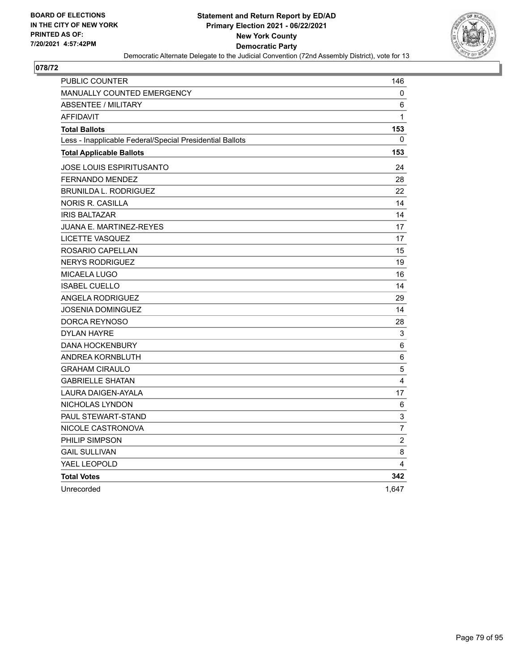

| PUBLIC COUNTER                                           | 146            |
|----------------------------------------------------------|----------------|
| <b>MANUALLY COUNTED EMERGENCY</b>                        | 0              |
| <b>ABSENTEE / MILITARY</b>                               | 6              |
| <b>AFFIDAVIT</b>                                         | $\mathbf{1}$   |
| <b>Total Ballots</b>                                     | 153            |
| Less - Inapplicable Federal/Special Presidential Ballots | $\mathbf{0}$   |
| <b>Total Applicable Ballots</b>                          | 153            |
| JOSE LOUIS ESPIRITUSANTO                                 | 24             |
| <b>FERNANDO MENDEZ</b>                                   | 28             |
| <b>BRUNILDA L. RODRIGUEZ</b>                             | 22             |
| <b>NORIS R. CASILLA</b>                                  | 14             |
| <b>IRIS BALTAZAR</b>                                     | 14             |
| JUANA E. MARTINEZ-REYES                                  | 17             |
| <b>LICETTE VASQUEZ</b>                                   | 17             |
| ROSARIO CAPELLAN                                         | 15             |
| <b>NERYS RODRIGUEZ</b>                                   | 19             |
| <b>MICAELA LUGO</b>                                      | 16             |
| <b>ISABEL CUELLO</b>                                     | 14             |
| <b>ANGELA RODRIGUEZ</b>                                  | 29             |
| <b>JOSENIA DOMINGUEZ</b>                                 | 14             |
| DORCA REYNOSO                                            | 28             |
| <b>DYLAN HAYRE</b>                                       | 3              |
| <b>DANA HOCKENBURY</b>                                   | 6              |
| <b>ANDREA KORNBLUTH</b>                                  | 6              |
| <b>GRAHAM CIRAULO</b>                                    | 5              |
| <b>GABRIELLE SHATAN</b>                                  | 4              |
| LAURA DAIGEN-AYALA                                       | 17             |
| NICHOLAS LYNDON                                          | 6              |
| PAUL STEWART-STAND                                       | 3              |
| NICOLE CASTRONOVA                                        | $\overline{7}$ |
| PHILIP SIMPSON                                           | $\overline{c}$ |
| <b>GAIL SULLIVAN</b>                                     | 8              |
| YAEL LEOPOLD                                             | 4              |
| <b>Total Votes</b>                                       | 342            |
| Unrecorded                                               | 1,647          |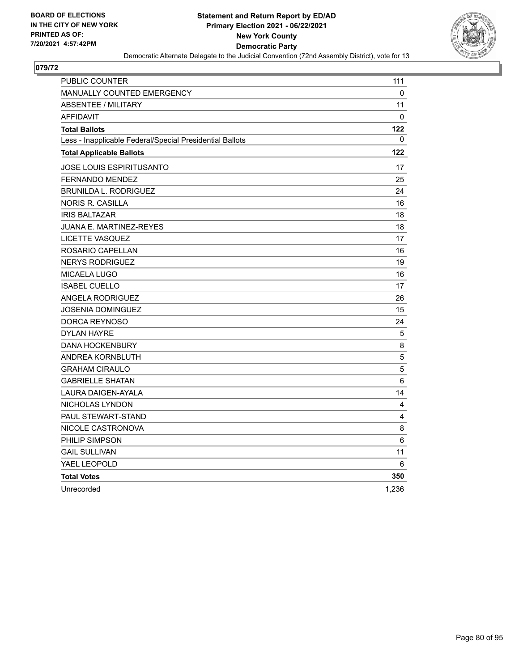

| PUBLIC COUNTER                                           | 111                     |
|----------------------------------------------------------|-------------------------|
| <b>MANUALLY COUNTED EMERGENCY</b>                        | 0                       |
| <b>ABSENTEE / MILITARY</b>                               | 11                      |
| <b>AFFIDAVIT</b>                                         | $\Omega$                |
| <b>Total Ballots</b>                                     | 122                     |
| Less - Inapplicable Federal/Special Presidential Ballots | $\mathbf{0}$            |
| <b>Total Applicable Ballots</b>                          | 122                     |
| JOSE LOUIS ESPIRITUSANTO                                 | 17                      |
| FERNANDO MENDEZ                                          | 25                      |
| <b>BRUNILDA L. RODRIGUEZ</b>                             | 24                      |
| <b>NORIS R. CASILLA</b>                                  | 16                      |
| <b>IRIS BALTAZAR</b>                                     | 18                      |
| JUANA E. MARTINEZ-REYES                                  | 18                      |
| <b>LICETTE VASQUEZ</b>                                   | 17                      |
| ROSARIO CAPELLAN                                         | 16                      |
| <b>NERYS RODRIGUEZ</b>                                   | 19                      |
| MICAELA LUGO                                             | 16                      |
| <b>ISABEL CUELLO</b>                                     | 17                      |
| <b>ANGELA RODRIGUEZ</b>                                  | 26                      |
| JOSENIA DOMINGUEZ                                        | 15                      |
| DORCA REYNOSO                                            | 24                      |
| <b>DYLAN HAYRE</b>                                       | 5                       |
| <b>DANA HOCKENBURY</b>                                   | 8                       |
| ANDREA KORNBLUTH                                         | $\sqrt{5}$              |
| <b>GRAHAM CIRAULO</b>                                    | 5                       |
| <b>GABRIELLE SHATAN</b>                                  | 6                       |
| <b>LAURA DAIGEN-AYALA</b>                                | 14                      |
| NICHOLAS LYNDON                                          | 4                       |
| PAUL STEWART-STAND                                       | $\overline{\mathbf{4}}$ |
| NICOLE CASTRONOVA                                        | 8                       |
| PHILIP SIMPSON                                           | 6                       |
| <b>GAIL SULLIVAN</b>                                     | 11                      |
| YAEL LEOPOLD                                             | 6                       |
| <b>Total Votes</b>                                       | 350                     |
| Unrecorded                                               | 1,236                   |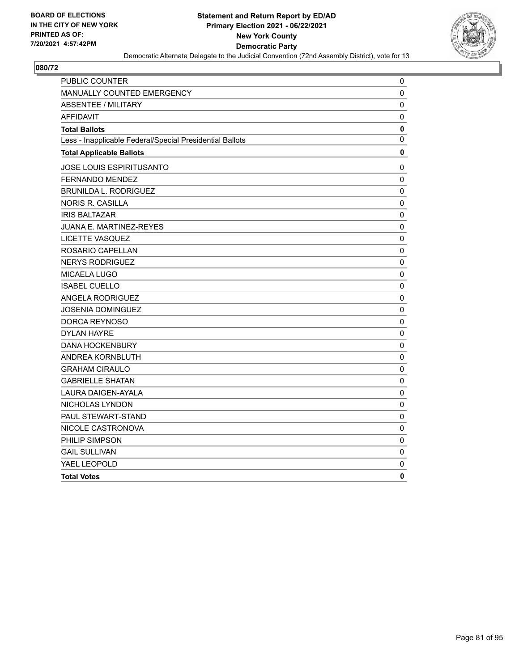

| <b>PUBLIC COUNTER</b>                                    | 0           |
|----------------------------------------------------------|-------------|
| MANUALLY COUNTED EMERGENCY                               | 0           |
| <b>ABSENTEE / MILITARY</b>                               | 0           |
| <b>AFFIDAVIT</b>                                         | 0           |
| <b>Total Ballots</b>                                     | 0           |
| Less - Inapplicable Federal/Special Presidential Ballots | 0           |
| <b>Total Applicable Ballots</b>                          | 0           |
| JOSE LOUIS ESPIRITUSANTO                                 | 0           |
| FERNANDO MENDEZ                                          | 0           |
| <b>BRUNILDA L. RODRIGUEZ</b>                             | 0           |
| NORIS R. CASILLA                                         | 0           |
| <b>IRIS BALTAZAR</b>                                     | $\mathbf 0$ |
| JUANA E. MARTINEZ-REYES                                  | 0           |
| <b>LICETTE VASQUEZ</b>                                   | $\mathbf 0$ |
| ROSARIO CAPELLAN                                         | 0           |
| <b>NERYS RODRIGUEZ</b>                                   | 0           |
| <b>MICAELA LUGO</b>                                      | 0           |
| <b>ISABEL CUELLO</b>                                     | 0           |
| ANGELA RODRIGUEZ                                         | 0           |
| <b>JOSENIA DOMINGUEZ</b>                                 | $\mathbf 0$ |
| DORCA REYNOSO                                            | 0           |
| <b>DYLAN HAYRE</b>                                       | 0           |
| <b>DANA HOCKENBURY</b>                                   | $\pmb{0}$   |
| ANDREA KORNBLUTH                                         | 0           |
| <b>GRAHAM CIRAULO</b>                                    | 0           |
| <b>GABRIELLE SHATAN</b>                                  | 0           |
| <b>LAURA DAIGEN-AYALA</b>                                | 0           |
| NICHOLAS LYNDON                                          | 0           |
| PAUL STEWART-STAND                                       | 0           |
| NICOLE CASTRONOVA                                        | $\pmb{0}$   |
| PHILIP SIMPSON                                           | $\mathbf 0$ |
| <b>GAIL SULLIVAN</b>                                     | 0           |
| YAEL LEOPOLD                                             | 0           |
| <b>Total Votes</b>                                       | 0           |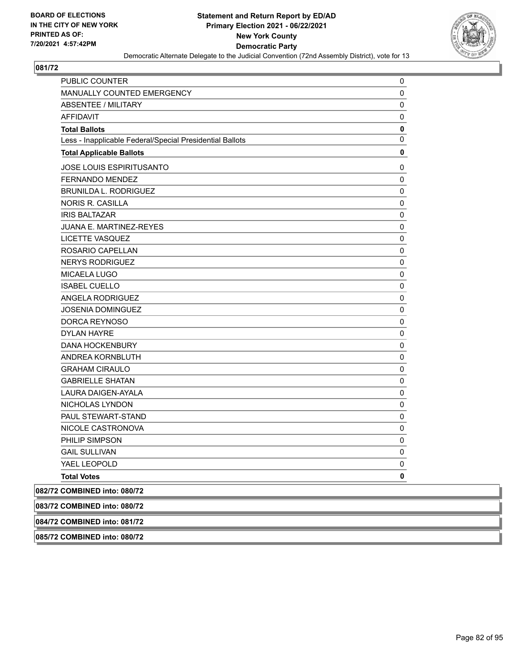

| <b>MANUALLY COUNTED EMERGENCY</b><br>0<br>ABSENTEE / MILITARY<br>0<br><b>AFFIDAVIT</b><br>0<br>0<br><b>Total Ballots</b><br>0<br>Less - Inapplicable Federal/Special Presidential Ballots<br><b>Total Applicable Ballots</b><br>0<br>JOSE LOUIS ESPIRITUSANTO<br>0<br><b>FERNANDO MENDEZ</b><br>$\pmb{0}$<br><b>BRUNILDA L. RODRIGUEZ</b><br>0<br><b>NORIS R. CASILLA</b><br>0<br><b>IRIS BALTAZAR</b><br>0<br>JUANA E. MARTINEZ-REYES<br>0<br>LICETTE VASQUEZ<br>0<br>ROSARIO CAPELLAN<br>0<br><b>NERYS RODRIGUEZ</b><br>0<br>MICAELA LUGO<br>0<br><b>ISABEL CUELLO</b><br>0<br>ANGELA RODRIGUEZ<br>0<br><b>JOSENIA DOMINGUEZ</b><br>0<br>DORCA REYNOSO<br>0<br><b>DYLAN HAYRE</b><br>0<br><b>DANA HOCKENBURY</b><br>0<br>ANDREA KORNBLUTH<br>0<br><b>GRAHAM CIRAULO</b><br>0<br><b>GABRIELLE SHATAN</b><br>0<br>LAURA DAIGEN-AYALA<br>0<br>NICHOLAS LYNDON<br>0<br>PAUL STEWART-STAND<br>0<br>0<br>NICOLE CASTRONOVA<br>PHILIP SIMPSON<br>0<br><b>GAIL SULLIVAN</b><br>0<br>YAEL LEOPOLD<br>0<br>0<br><b>Total Votes</b> | PUBLIC COUNTER               | 0 |
|----------------------------------------------------------------------------------------------------------------------------------------------------------------------------------------------------------------------------------------------------------------------------------------------------------------------------------------------------------------------------------------------------------------------------------------------------------------------------------------------------------------------------------------------------------------------------------------------------------------------------------------------------------------------------------------------------------------------------------------------------------------------------------------------------------------------------------------------------------------------------------------------------------------------------------------------------------------------------------------------------------------------------|------------------------------|---|
|                                                                                                                                                                                                                                                                                                                                                                                                                                                                                                                                                                                                                                                                                                                                                                                                                                                                                                                                                                                                                            |                              |   |
|                                                                                                                                                                                                                                                                                                                                                                                                                                                                                                                                                                                                                                                                                                                                                                                                                                                                                                                                                                                                                            |                              |   |
|                                                                                                                                                                                                                                                                                                                                                                                                                                                                                                                                                                                                                                                                                                                                                                                                                                                                                                                                                                                                                            |                              |   |
|                                                                                                                                                                                                                                                                                                                                                                                                                                                                                                                                                                                                                                                                                                                                                                                                                                                                                                                                                                                                                            |                              |   |
|                                                                                                                                                                                                                                                                                                                                                                                                                                                                                                                                                                                                                                                                                                                                                                                                                                                                                                                                                                                                                            |                              |   |
|                                                                                                                                                                                                                                                                                                                                                                                                                                                                                                                                                                                                                                                                                                                                                                                                                                                                                                                                                                                                                            |                              |   |
|                                                                                                                                                                                                                                                                                                                                                                                                                                                                                                                                                                                                                                                                                                                                                                                                                                                                                                                                                                                                                            |                              |   |
|                                                                                                                                                                                                                                                                                                                                                                                                                                                                                                                                                                                                                                                                                                                                                                                                                                                                                                                                                                                                                            |                              |   |
|                                                                                                                                                                                                                                                                                                                                                                                                                                                                                                                                                                                                                                                                                                                                                                                                                                                                                                                                                                                                                            |                              |   |
|                                                                                                                                                                                                                                                                                                                                                                                                                                                                                                                                                                                                                                                                                                                                                                                                                                                                                                                                                                                                                            |                              |   |
|                                                                                                                                                                                                                                                                                                                                                                                                                                                                                                                                                                                                                                                                                                                                                                                                                                                                                                                                                                                                                            |                              |   |
|                                                                                                                                                                                                                                                                                                                                                                                                                                                                                                                                                                                                                                                                                                                                                                                                                                                                                                                                                                                                                            |                              |   |
|                                                                                                                                                                                                                                                                                                                                                                                                                                                                                                                                                                                                                                                                                                                                                                                                                                                                                                                                                                                                                            |                              |   |
|                                                                                                                                                                                                                                                                                                                                                                                                                                                                                                                                                                                                                                                                                                                                                                                                                                                                                                                                                                                                                            |                              |   |
|                                                                                                                                                                                                                                                                                                                                                                                                                                                                                                                                                                                                                                                                                                                                                                                                                                                                                                                                                                                                                            |                              |   |
|                                                                                                                                                                                                                                                                                                                                                                                                                                                                                                                                                                                                                                                                                                                                                                                                                                                                                                                                                                                                                            |                              |   |
|                                                                                                                                                                                                                                                                                                                                                                                                                                                                                                                                                                                                                                                                                                                                                                                                                                                                                                                                                                                                                            |                              |   |
|                                                                                                                                                                                                                                                                                                                                                                                                                                                                                                                                                                                                                                                                                                                                                                                                                                                                                                                                                                                                                            |                              |   |
|                                                                                                                                                                                                                                                                                                                                                                                                                                                                                                                                                                                                                                                                                                                                                                                                                                                                                                                                                                                                                            |                              |   |
|                                                                                                                                                                                                                                                                                                                                                                                                                                                                                                                                                                                                                                                                                                                                                                                                                                                                                                                                                                                                                            |                              |   |
|                                                                                                                                                                                                                                                                                                                                                                                                                                                                                                                                                                                                                                                                                                                                                                                                                                                                                                                                                                                                                            |                              |   |
|                                                                                                                                                                                                                                                                                                                                                                                                                                                                                                                                                                                                                                                                                                                                                                                                                                                                                                                                                                                                                            |                              |   |
|                                                                                                                                                                                                                                                                                                                                                                                                                                                                                                                                                                                                                                                                                                                                                                                                                                                                                                                                                                                                                            |                              |   |
|                                                                                                                                                                                                                                                                                                                                                                                                                                                                                                                                                                                                                                                                                                                                                                                                                                                                                                                                                                                                                            |                              |   |
|                                                                                                                                                                                                                                                                                                                                                                                                                                                                                                                                                                                                                                                                                                                                                                                                                                                                                                                                                                                                                            |                              |   |
|                                                                                                                                                                                                                                                                                                                                                                                                                                                                                                                                                                                                                                                                                                                                                                                                                                                                                                                                                                                                                            |                              |   |
|                                                                                                                                                                                                                                                                                                                                                                                                                                                                                                                                                                                                                                                                                                                                                                                                                                                                                                                                                                                                                            |                              |   |
|                                                                                                                                                                                                                                                                                                                                                                                                                                                                                                                                                                                                                                                                                                                                                                                                                                                                                                                                                                                                                            |                              |   |
|                                                                                                                                                                                                                                                                                                                                                                                                                                                                                                                                                                                                                                                                                                                                                                                                                                                                                                                                                                                                                            |                              |   |
|                                                                                                                                                                                                                                                                                                                                                                                                                                                                                                                                                                                                                                                                                                                                                                                                                                                                                                                                                                                                                            |                              |   |
|                                                                                                                                                                                                                                                                                                                                                                                                                                                                                                                                                                                                                                                                                                                                                                                                                                                                                                                                                                                                                            |                              |   |
|                                                                                                                                                                                                                                                                                                                                                                                                                                                                                                                                                                                                                                                                                                                                                                                                                                                                                                                                                                                                                            |                              |   |
|                                                                                                                                                                                                                                                                                                                                                                                                                                                                                                                                                                                                                                                                                                                                                                                                                                                                                                                                                                                                                            |                              |   |
|                                                                                                                                                                                                                                                                                                                                                                                                                                                                                                                                                                                                                                                                                                                                                                                                                                                                                                                                                                                                                            | 082/72 COMBINED into: 080/72 |   |
|                                                                                                                                                                                                                                                                                                                                                                                                                                                                                                                                                                                                                                                                                                                                                                                                                                                                                                                                                                                                                            | 083/72 COMBINED into: 080/72 |   |

**084/72 COMBINED into: 081/72**

**085/72 COMBINED into: 080/72**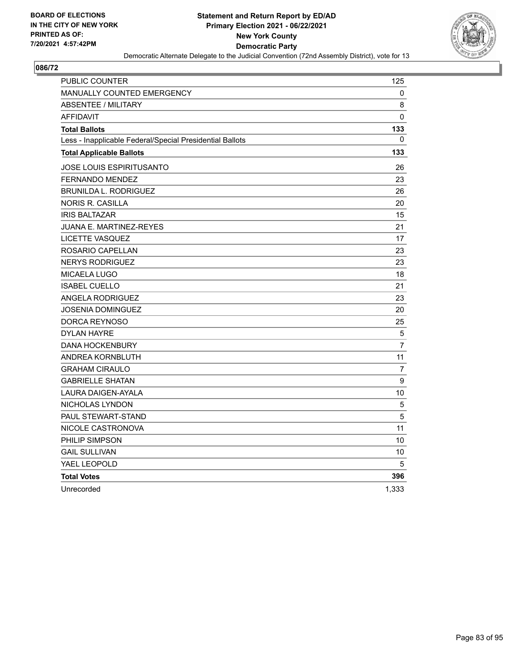

| <b>PUBLIC COUNTER</b>                                    | 125            |
|----------------------------------------------------------|----------------|
| <b>MANUALLY COUNTED EMERGENCY</b>                        | 0              |
| <b>ABSENTEE / MILITARY</b>                               | 8              |
| <b>AFFIDAVIT</b>                                         | $\mathbf{0}$   |
| <b>Total Ballots</b>                                     | 133            |
| Less - Inapplicable Federal/Special Presidential Ballots | 0              |
| <b>Total Applicable Ballots</b>                          | 133            |
| JOSE LOUIS ESPIRITUSANTO                                 | 26             |
| <b>FERNANDO MENDEZ</b>                                   | 23             |
| <b>BRUNILDA L. RODRIGUEZ</b>                             | 26             |
| <b>NORIS R. CASILLA</b>                                  | 20             |
| <b>IRIS BALTAZAR</b>                                     | 15             |
| <b>JUANA E. MARTINEZ-REYES</b>                           | 21             |
| LICETTE VASQUEZ                                          | 17             |
| ROSARIO CAPELLAN                                         | 23             |
| <b>NERYS RODRIGUEZ</b>                                   | 23             |
| <b>MICAELA LUGO</b>                                      | 18             |
| <b>ISABEL CUELLO</b>                                     | 21             |
| <b>ANGELA RODRIGUEZ</b>                                  | 23             |
| JOSENIA DOMINGUEZ                                        | 20             |
| DORCA REYNOSO                                            | 25             |
| <b>DYLAN HAYRE</b>                                       | $\overline{5}$ |
| <b>DANA HOCKENBURY</b>                                   | $\overline{7}$ |
| <b>ANDREA KORNBLUTH</b>                                  | 11             |
| <b>GRAHAM CIRAULO</b>                                    | 7              |
| <b>GABRIELLE SHATAN</b>                                  | 9              |
| LAURA DAIGEN-AYALA                                       | 10             |
| NICHOLAS LYNDON                                          | 5              |
| <b>PAUL STEWART-STAND</b>                                | 5              |
| NICOLE CASTRONOVA                                        | 11             |
| PHILIP SIMPSON                                           | 10             |
| <b>GAIL SULLIVAN</b>                                     | 10             |
| YAEL LEOPOLD                                             | 5              |
| <b>Total Votes</b>                                       | 396            |
| Unrecorded                                               | 1,333          |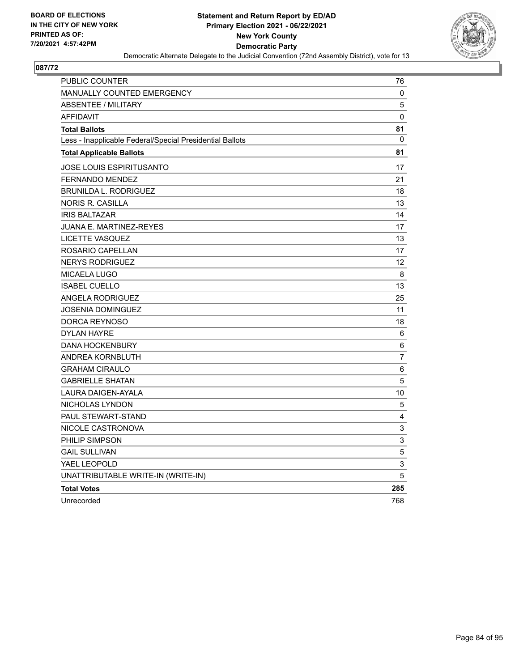

| PUBLIC COUNTER                                           | 76          |
|----------------------------------------------------------|-------------|
| <b>MANUALLY COUNTED EMERGENCY</b>                        | 0           |
| <b>ABSENTEE / MILITARY</b>                               | $\mathbf 5$ |
| <b>AFFIDAVIT</b>                                         | 0           |
| <b>Total Ballots</b>                                     | 81          |
| Less - Inapplicable Federal/Special Presidential Ballots | 0           |
| <b>Total Applicable Ballots</b>                          | 81          |
| <b>JOSE LOUIS ESPIRITUSANTO</b>                          | 17          |
| <b>FERNANDO MENDEZ</b>                                   | 21          |
| BRUNILDA L. RODRIGUEZ                                    | 18          |
| NORIS R. CASILLA                                         | 13          |
| <b>IRIS BALTAZAR</b>                                     | 14          |
| JUANA E. MARTINEZ-REYES                                  | 17          |
| LICETTE VASQUEZ                                          | 13          |
| ROSARIO CAPELLAN                                         | 17          |
| <b>NERYS RODRIGUEZ</b>                                   | 12          |
| MICAELA LUGO                                             | 8           |
| <b>ISABEL CUELLO</b>                                     | 13          |
| ANGELA RODRIGUEZ                                         | 25          |
| <b>JOSENIA DOMINGUEZ</b>                                 | 11          |
| DORCA REYNOSO                                            | 18          |
| <b>DYLAN HAYRE</b>                                       | 6           |
| <b>DANA HOCKENBURY</b>                                   | 6           |
| ANDREA KORNBLUTH                                         | 7           |
| <b>GRAHAM CIRAULO</b>                                    | 6           |
| <b>GABRIELLE SHATAN</b>                                  | 5           |
| LAURA DAIGEN-AYALA                                       | 10          |
| NICHOLAS LYNDON                                          | 5           |
| PAUL STEWART-STAND                                       | 4           |
| NICOLE CASTRONOVA                                        | 3           |
| PHILIP SIMPSON                                           | 3           |
| <b>GAIL SULLIVAN</b>                                     | 5           |
| YAEL LEOPOLD                                             | 3           |
| UNATTRIBUTABLE WRITE-IN (WRITE-IN)                       | 5           |
| <b>Total Votes</b>                                       | 285         |
| Unrecorded                                               | 768         |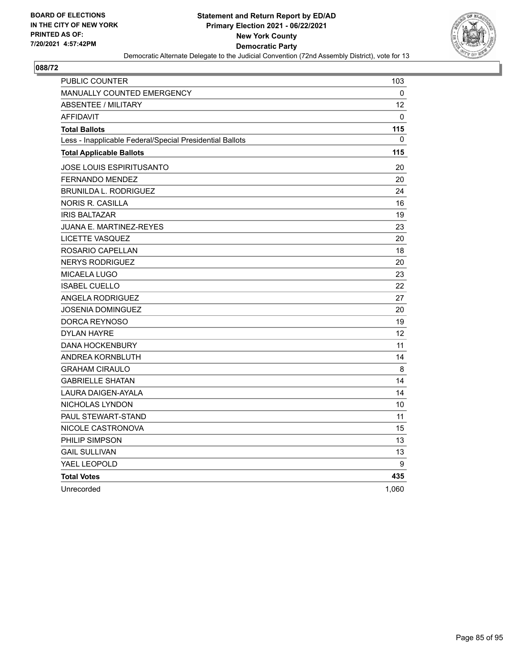

| PUBLIC COUNTER                                           | 103          |
|----------------------------------------------------------|--------------|
| <b>MANUALLY COUNTED EMERGENCY</b>                        | 0            |
| <b>ABSENTEE / MILITARY</b>                               | 12           |
| <b>AFFIDAVIT</b>                                         | $\Omega$     |
| <b>Total Ballots</b>                                     | 115          |
| Less - Inapplicable Federal/Special Presidential Ballots | $\mathbf{0}$ |
| <b>Total Applicable Ballots</b>                          | 115          |
| JOSE LOUIS ESPIRITUSANTO                                 | 20           |
| <b>FERNANDO MENDEZ</b>                                   | 20           |
| <b>BRUNILDA L. RODRIGUEZ</b>                             | 24           |
| <b>NORIS R. CASILLA</b>                                  | 16           |
| <b>IRIS BALTAZAR</b>                                     | 19           |
| JUANA E. MARTINEZ-REYES                                  | 23           |
| <b>LICETTE VASQUEZ</b>                                   | 20           |
| ROSARIO CAPELLAN                                         | 18           |
| <b>NERYS RODRIGUEZ</b>                                   | 20           |
| <b>MICAELA LUGO</b>                                      | 23           |
| <b>ISABEL CUELLO</b>                                     | 22           |
| <b>ANGELA RODRIGUEZ</b>                                  | 27           |
| <b>JOSENIA DOMINGUEZ</b>                                 | 20           |
| DORCA REYNOSO                                            | 19           |
| <b>DYLAN HAYRE</b>                                       | 12           |
| <b>DANA HOCKENBURY</b>                                   | 11           |
| ANDREA KORNBLUTH                                         | 14           |
| <b>GRAHAM CIRAULO</b>                                    | 8            |
| <b>GABRIELLE SHATAN</b>                                  | 14           |
| LAURA DAIGEN-AYALA                                       | 14           |
| NICHOLAS LYNDON                                          | 10           |
| PAUL STEWART-STAND                                       | 11           |
| NICOLE CASTRONOVA                                        | 15           |
| PHILIP SIMPSON                                           | 13           |
| <b>GAIL SULLIVAN</b>                                     | 13           |
| YAEL LEOPOLD                                             | 9            |
| <b>Total Votes</b>                                       | 435          |
| Unrecorded                                               | 1,060        |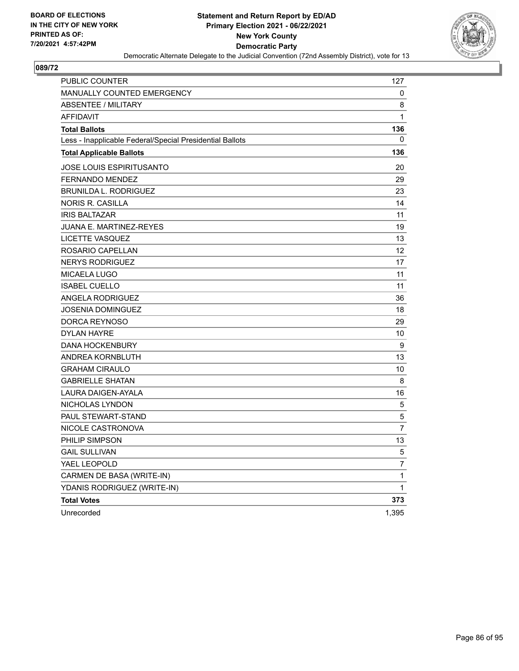

| PUBLIC COUNTER                                           | 127            |
|----------------------------------------------------------|----------------|
| MANUALLY COUNTED EMERGENCY                               | 0              |
| ABSENTEE / MILITARY                                      | 8              |
| <b>AFFIDAVIT</b>                                         | 1              |
| <b>Total Ballots</b>                                     | 136            |
| Less - Inapplicable Federal/Special Presidential Ballots | 0              |
| <b>Total Applicable Ballots</b>                          | 136            |
| <b>JOSE LOUIS ESPIRITUSANTO</b>                          | 20             |
| <b>FERNANDO MENDEZ</b>                                   | 29             |
| <b>BRUNILDA L. RODRIGUEZ</b>                             | 23             |
| <b>NORIS R. CASILLA</b>                                  | 14             |
| <b>IRIS BALTAZAR</b>                                     | 11             |
| <b>JUANA E. MARTINEZ-REYES</b>                           | 19             |
| LICETTE VASQUEZ                                          | 13             |
| ROSARIO CAPELLAN                                         | 12             |
| <b>NERYS RODRIGUEZ</b>                                   | 17             |
| <b>MICAELA LUGO</b>                                      | 11             |
| <b>ISABEL CUELLO</b>                                     | 11             |
| <b>ANGELA RODRIGUEZ</b>                                  | 36             |
| <b>JOSENIA DOMINGUEZ</b>                                 | 18             |
| DORCA REYNOSO                                            | 29             |
| <b>DYLAN HAYRE</b>                                       | 10             |
| <b>DANA HOCKENBURY</b>                                   | 9              |
| ANDREA KORNBLUTH                                         | 13             |
| <b>GRAHAM CIRAULO</b>                                    | 10             |
| <b>GABRIELLE SHATAN</b>                                  | 8              |
| LAURA DAIGEN-AYALA                                       | 16             |
| NICHOLAS LYNDON                                          | 5              |
| PAUL STEWART-STAND                                       | 5              |
| NICOLE CASTRONOVA                                        | $\overline{7}$ |
| PHILIP SIMPSON                                           | 13             |
| <b>GAIL SULLIVAN</b>                                     | 5              |
| YAEL LEOPOLD                                             | 7              |
| CARMEN DE BASA (WRITE-IN)                                | $\mathbf{1}$   |
| YDANIS RODRIGUEZ (WRITE-IN)                              | $\mathbf{1}$   |
| <b>Total Votes</b>                                       | 373            |
| Unrecorded                                               | 1,395          |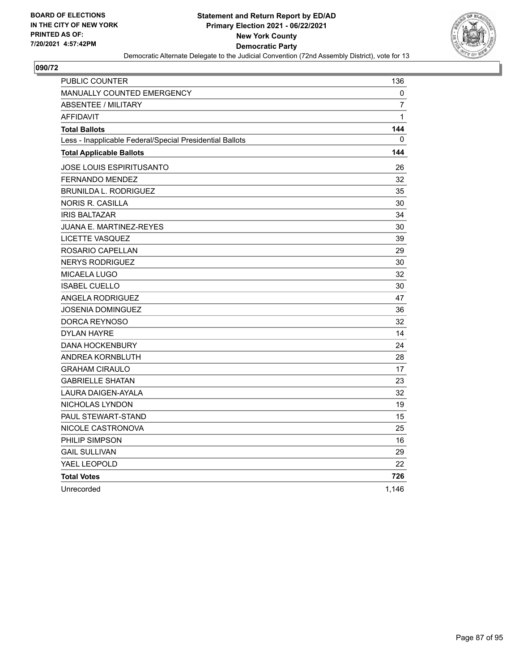

| PUBLIC COUNTER                                           | 136            |
|----------------------------------------------------------|----------------|
| <b>MANUALLY COUNTED EMERGENCY</b>                        | 0              |
| <b>ABSENTEE / MILITARY</b>                               | $\overline{7}$ |
| <b>AFFIDAVIT</b>                                         | $\mathbf{1}$   |
| <b>Total Ballots</b>                                     | 144            |
| Less - Inapplicable Federal/Special Presidential Ballots | 0              |
| <b>Total Applicable Ballots</b>                          | 144            |
| JOSE LOUIS ESPIRITUSANTO                                 | 26             |
| <b>FERNANDO MENDEZ</b>                                   | 32             |
| <b>BRUNILDA L. RODRIGUEZ</b>                             | 35             |
| <b>NORIS R. CASILLA</b>                                  | 30             |
| <b>IRIS BALTAZAR</b>                                     | 34             |
| <b>JUANA E. MARTINEZ-REYES</b>                           | 30             |
| LICETTE VASQUEZ                                          | 39             |
| ROSARIO CAPELLAN                                         | 29             |
| <b>NERYS RODRIGUEZ</b>                                   | 30             |
| <b>MICAELA LUGO</b>                                      | 32             |
| <b>ISABEL CUELLO</b>                                     | 30             |
| <b>ANGELA RODRIGUEZ</b>                                  | 47             |
| JOSENIA DOMINGUEZ                                        | 36             |
| DORCA REYNOSO                                            | 32             |
| <b>DYLAN HAYRE</b>                                       | 14             |
| <b>DANA HOCKENBURY</b>                                   | 24             |
| <b>ANDREA KORNBLUTH</b>                                  | 28             |
| <b>GRAHAM CIRAULO</b>                                    | 17             |
| <b>GABRIELLE SHATAN</b>                                  | 23             |
| LAURA DAIGEN-AYALA                                       | 32             |
| NICHOLAS LYNDON                                          | 19             |
| <b>PAUL STEWART-STAND</b>                                | 15             |
| NICOLE CASTRONOVA                                        | 25             |
| PHILIP SIMPSON                                           | 16             |
| <b>GAIL SULLIVAN</b>                                     | 29             |
| YAEL LEOPOLD                                             | 22             |
| <b>Total Votes</b>                                       | 726            |
| Unrecorded                                               | 1,146          |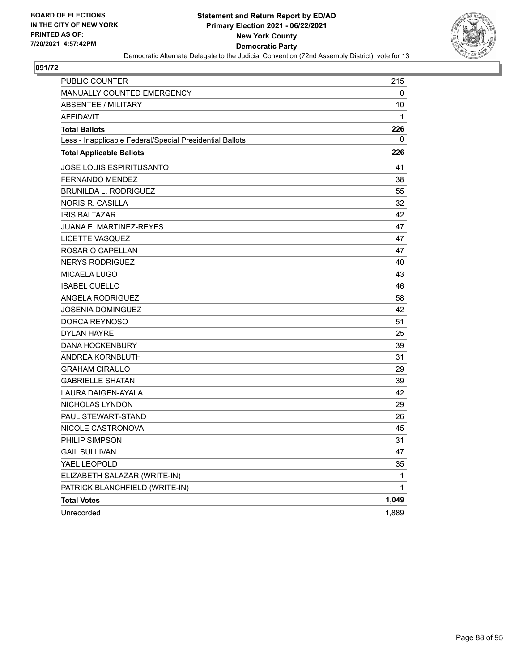

| PUBLIC COUNTER                                           | 215   |
|----------------------------------------------------------|-------|
| MANUALLY COUNTED EMERGENCY                               | 0     |
| ABSENTEE / MILITARY                                      | 10    |
| <b>AFFIDAVIT</b>                                         | 1     |
| <b>Total Ballots</b>                                     | 226   |
| Less - Inapplicable Federal/Special Presidential Ballots | 0     |
| <b>Total Applicable Ballots</b>                          | 226   |
| <b>JOSE LOUIS ESPIRITUSANTO</b>                          | 41    |
| <b>FERNANDO MENDEZ</b>                                   | 38    |
| <b>BRUNILDA L. RODRIGUEZ</b>                             | 55    |
| <b>NORIS R. CASILLA</b>                                  | 32    |
| <b>IRIS BALTAZAR</b>                                     | 42    |
| <b>JUANA E. MARTINEZ-REYES</b>                           | 47    |
| LICETTE VASQUEZ                                          | 47    |
| ROSARIO CAPELLAN                                         | 47    |
| <b>NERYS RODRIGUEZ</b>                                   | 40    |
| <b>MICAELA LUGO</b>                                      | 43    |
| <b>ISABEL CUELLO</b>                                     | 46    |
| ANGELA RODRIGUEZ                                         | 58    |
| <b>JOSENIA DOMINGUEZ</b>                                 | 42    |
| DORCA REYNOSO                                            | 51    |
| <b>DYLAN HAYRE</b>                                       | 25    |
| <b>DANA HOCKENBURY</b>                                   | 39    |
| ANDREA KORNBLUTH                                         | 31    |
| <b>GRAHAM CIRAULO</b>                                    | 29    |
| <b>GABRIELLE SHATAN</b>                                  | 39    |
| LAURA DAIGEN-AYALA                                       | 42    |
| NICHOLAS LYNDON                                          | 29    |
| PAUL STEWART-STAND                                       | 26    |
| NICOLE CASTRONOVA                                        | 45    |
| PHILIP SIMPSON                                           | 31    |
| <b>GAIL SULLIVAN</b>                                     | 47    |
| YAEL LEOPOLD                                             | 35    |
| ELIZABETH SALAZAR (WRITE-IN)                             | 1     |
| PATRICK BLANCHFIELD (WRITE-IN)                           | 1     |
| <b>Total Votes</b>                                       | 1,049 |
| Unrecorded                                               | 1,889 |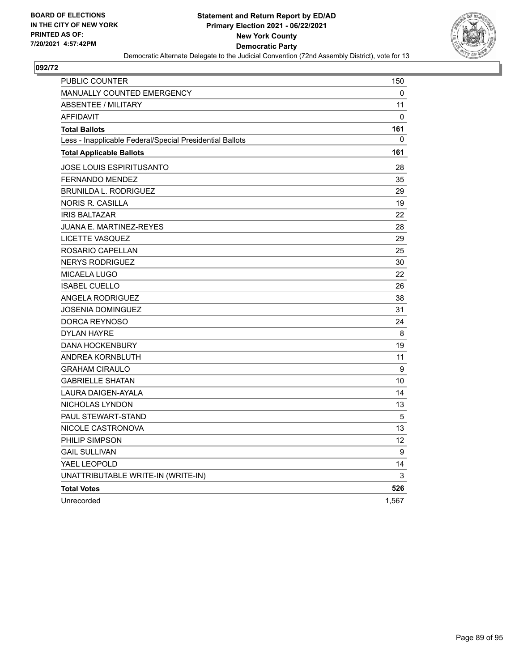

| <b>PUBLIC COUNTER</b>                                    | 150   |
|----------------------------------------------------------|-------|
| <b>MANUALLY COUNTED EMERGENCY</b>                        | 0     |
| <b>ABSENTEE / MILITARY</b>                               | 11    |
| <b>AFFIDAVIT</b>                                         | 0     |
| <b>Total Ballots</b>                                     | 161   |
| Less - Inapplicable Federal/Special Presidential Ballots | 0     |
| <b>Total Applicable Ballots</b>                          | 161   |
| JOSE LOUIS ESPIRITUSANTO                                 | 28    |
| <b>FERNANDO MENDEZ</b>                                   | 35    |
| <b>BRUNILDA L. RODRIGUEZ</b>                             | 29    |
| NORIS R. CASILLA                                         | 19    |
| <b>IRIS BALTAZAR</b>                                     | 22    |
| JUANA E. MARTINEZ-REYES                                  | 28    |
| LICETTE VASQUEZ                                          | 29    |
| ROSARIO CAPELLAN                                         | 25    |
| <b>NERYS RODRIGUEZ</b>                                   | 30    |
| MICAELA LUGO                                             | 22    |
| <b>ISABEL CUELLO</b>                                     | 26    |
| ANGELA RODRIGUEZ                                         | 38    |
| JOSENIA DOMINGUEZ                                        | 31    |
| <b>DORCA REYNOSO</b>                                     | 24    |
| <b>DYLAN HAYRE</b>                                       | 8     |
| <b>DANA HOCKENBURY</b>                                   | 19    |
| ANDREA KORNBLUTH                                         | 11    |
| <b>GRAHAM CIRAULO</b>                                    | 9     |
| <b>GABRIELLE SHATAN</b>                                  | 10    |
| LAURA DAIGEN-AYALA                                       | 14    |
| NICHOLAS LYNDON                                          | 13    |
| <b>PAUL STEWART-STAND</b>                                | 5     |
| NICOLE CASTRONOVA                                        | 13    |
| PHILIP SIMPSON                                           | 12    |
| <b>GAIL SULLIVAN</b>                                     | 9     |
| YAEL LEOPOLD                                             | 14    |
| UNATTRIBUTABLE WRITE-IN (WRITE-IN)                       | 3     |
| <b>Total Votes</b>                                       | 526   |
| Unrecorded                                               | 1,567 |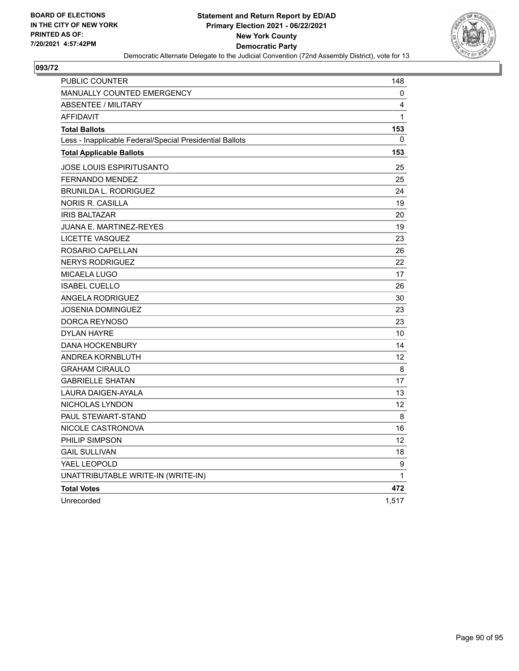

| PUBLIC COUNTER                                           | 148          |
|----------------------------------------------------------|--------------|
| <b>MANUALLY COUNTED EMERGENCY</b>                        | 0            |
| <b>ABSENTEE / MILITARY</b>                               | 4            |
| <b>AFFIDAVIT</b>                                         | $\mathbf{1}$ |
| <b>Total Ballots</b>                                     | 153          |
| Less - Inapplicable Federal/Special Presidential Ballots | 0            |
| <b>Total Applicable Ballots</b>                          | 153          |
| JOSE LOUIS ESPIRITUSANTO                                 | 25           |
| <b>FERNANDO MENDEZ</b>                                   | 25           |
| <b>BRUNILDA L. RODRIGUEZ</b>                             | 24           |
| <b>NORIS R. CASILLA</b>                                  | 19           |
| <b>IRIS BALTAZAR</b>                                     | 20           |
| JUANA E. MARTINEZ-REYES                                  | 19           |
| LICETTE VASQUEZ                                          | 23           |
| ROSARIO CAPELLAN                                         | 26           |
| <b>NERYS RODRIGUEZ</b>                                   | 22           |
| <b>MICAELA LUGO</b>                                      | 17           |
| <b>ISABEL CUELLO</b>                                     | 26           |
| ANGELA RODRIGUEZ                                         | 30           |
| JOSENIA DOMINGUEZ                                        | 23           |
| DORCA REYNOSO                                            | 23           |
| <b>DYLAN HAYRE</b>                                       | 10           |
| <b>DANA HOCKENBURY</b>                                   | 14           |
| ANDREA KORNBLUTH                                         | 12           |
| <b>GRAHAM CIRAULO</b>                                    | 8            |
| <b>GABRIELLE SHATAN</b>                                  | 17           |
| <b>LAURA DAIGEN-AYALA</b>                                | 13           |
| NICHOLAS LYNDON                                          | 12           |
| PAUL STEWART-STAND                                       | 8            |
| NICOLE CASTRONOVA                                        | 16           |
| PHILIP SIMPSON                                           | 12           |
| <b>GAIL SULLIVAN</b>                                     | 18           |
| YAEL LEOPOLD                                             | 9            |
| UNATTRIBUTABLE WRITE-IN (WRITE-IN)                       | 1            |
| <b>Total Votes</b>                                       | 472          |
| Unrecorded                                               | 1,517        |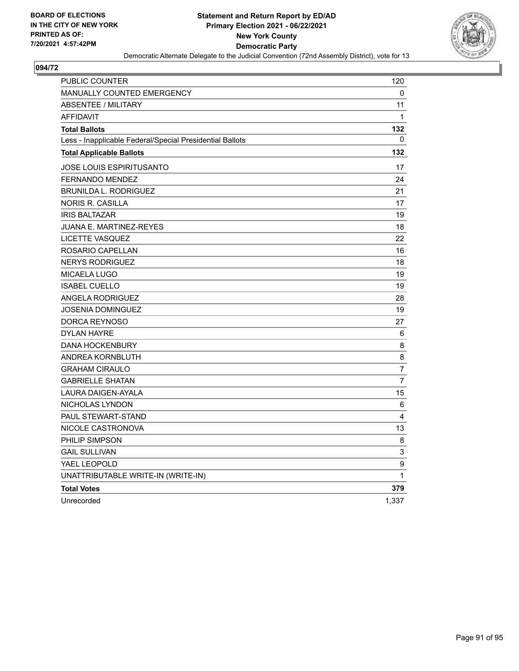

| PUBLIC COUNTER                                           | 120            |
|----------------------------------------------------------|----------------|
| <b>MANUALLY COUNTED EMERGENCY</b>                        | 0              |
| <b>ABSENTEE / MILITARY</b>                               | 11             |
| <b>AFFIDAVIT</b>                                         | $\mathbf{1}$   |
| <b>Total Ballots</b>                                     | 132            |
| Less - Inapplicable Federal/Special Presidential Ballots | 0              |
| <b>Total Applicable Ballots</b>                          | 132            |
| <b>JOSE LOUIS ESPIRITUSANTO</b>                          | 17             |
| FERNANDO MENDEZ                                          | 24             |
| <b>BRUNILDA L. RODRIGUEZ</b>                             | 21             |
| NORIS R. CASILLA                                         | 17             |
| <b>IRIS BALTAZAR</b>                                     | 19             |
| JUANA E. MARTINEZ-REYES                                  | 18             |
| LICETTE VASQUEZ                                          | 22             |
| ROSARIO CAPELLAN                                         | 16             |
| <b>NERYS RODRIGUEZ</b>                                   | 18             |
| <b>MICAELA LUGO</b>                                      | 19             |
| <b>ISABEL CUELLO</b>                                     | 19             |
| ANGELA RODRIGUEZ                                         | 28             |
| <b>JOSENIA DOMINGUEZ</b>                                 | 19             |
| DORCA REYNOSO                                            | 27             |
| <b>DYLAN HAYRE</b>                                       | 6              |
| <b>DANA HOCKENBURY</b>                                   | 8              |
| ANDREA KORNBLUTH                                         | 8              |
| <b>GRAHAM CIRAULO</b>                                    | $\overline{7}$ |
| <b>GABRIELLE SHATAN</b>                                  | $\overline{7}$ |
| LAURA DAIGEN-AYALA                                       | 15             |
| NICHOLAS LYNDON                                          | 6              |
| PAUL STEWART-STAND                                       | 4              |
| NICOLE CASTRONOVA                                        | 13             |
| PHILIP SIMPSON                                           | 8              |
| <b>GAIL SULLIVAN</b>                                     | 3              |
| YAEL LEOPOLD                                             | 9              |
| UNATTRIBUTABLE WRITE-IN (WRITE-IN)                       | $\mathbf{1}$   |
| <b>Total Votes</b>                                       | 379            |
| Unrecorded                                               | 1,337          |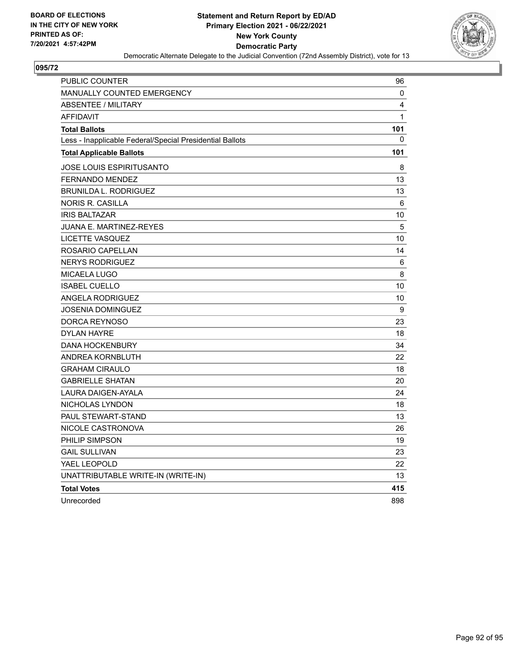

| <b>PUBLIC COUNTER</b>                                    | 96  |
|----------------------------------------------------------|-----|
| <b>MANUALLY COUNTED EMERGENCY</b>                        | 0   |
| <b>ABSENTEE / MILITARY</b>                               | 4   |
| <b>AFFIDAVIT</b>                                         | 1   |
| <b>Total Ballots</b>                                     | 101 |
| Less - Inapplicable Federal/Special Presidential Ballots | 0   |
| <b>Total Applicable Ballots</b>                          | 101 |
| JOSE LOUIS ESPIRITUSANTO                                 | 8   |
| FERNANDO MENDEZ                                          | 13  |
| <b>BRUNILDA L. RODRIGUEZ</b>                             | 13  |
| NORIS R. CASILLA                                         | 6   |
| <b>IRIS BALTAZAR</b>                                     | 10  |
| JUANA E. MARTINEZ-REYES                                  | 5   |
| LICETTE VASQUEZ                                          | 10  |
| ROSARIO CAPELLAN                                         | 14  |
| <b>NERYS RODRIGUEZ</b>                                   | 6   |
| <b>MICAELA LUGO</b>                                      | 8   |
| <b>ISABEL CUELLO</b>                                     | 10  |
| <b>ANGELA RODRIGUEZ</b>                                  | 10  |
| JOSENIA DOMINGUEZ                                        | 9   |
| DORCA REYNOSO                                            | 23  |
| <b>DYLAN HAYRE</b>                                       | 18  |
| <b>DANA HOCKENBURY</b>                                   | 34  |
| ANDREA KORNBLUTH                                         | 22  |
| <b>GRAHAM CIRAULO</b>                                    | 18  |
| <b>GABRIELLE SHATAN</b>                                  | 20  |
| LAURA DAIGEN-AYALA                                       | 24  |
| NICHOLAS LYNDON                                          | 18  |
| PAUL STEWART-STAND                                       | 13  |
| NICOLE CASTRONOVA                                        | 26  |
| PHILIP SIMPSON                                           | 19  |
| <b>GAIL SULLIVAN</b>                                     | 23  |
| YAEL LEOPOLD                                             | 22  |
| UNATTRIBUTABLE WRITE-IN (WRITE-IN)                       | 13  |
| <b>Total Votes</b>                                       | 415 |
| Unrecorded                                               | 898 |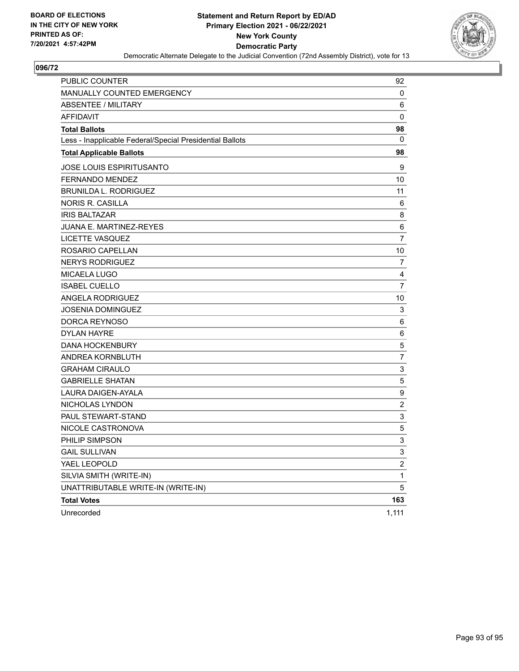

| PUBLIC COUNTER                                           | 92                      |
|----------------------------------------------------------|-------------------------|
| MANUALLY COUNTED EMERGENCY                               | $\mathbf 0$             |
| <b>ABSENTEE / MILITARY</b>                               | 6                       |
| <b>AFFIDAVIT</b>                                         | 0                       |
| <b>Total Ballots</b>                                     | 98                      |
| Less - Inapplicable Federal/Special Presidential Ballots | 0                       |
| <b>Total Applicable Ballots</b>                          | 98                      |
| <b>JOSE LOUIS ESPIRITUSANTO</b>                          | 9                       |
| FERNANDO MENDEZ                                          | 10                      |
| <b>BRUNILDA L. RODRIGUEZ</b>                             | 11                      |
| <b>NORIS R. CASILLA</b>                                  | 6                       |
| <b>IRIS BALTAZAR</b>                                     | 8                       |
| <b>JUANA E. MARTINEZ-REYES</b>                           | 6                       |
| LICETTE VASQUEZ                                          | $\overline{7}$          |
| ROSARIO CAPELLAN                                         | 10                      |
| <b>NERYS RODRIGUEZ</b>                                   | 7                       |
| MICAELA LUGO                                             | 4                       |
| <b>ISABEL CUELLO</b>                                     | $\overline{7}$          |
| <b>ANGELA RODRIGUEZ</b>                                  | 10                      |
| <b>JOSENIA DOMINGUEZ</b>                                 | 3                       |
| DORCA REYNOSO                                            | 6                       |
| <b>DYLAN HAYRE</b>                                       | 6                       |
| <b>DANA HOCKENBURY</b>                                   | 5                       |
| ANDREA KORNBLUTH                                         | $\overline{7}$          |
| <b>GRAHAM CIRAULO</b>                                    | $\mathsf 3$             |
| <b>GABRIELLE SHATAN</b>                                  | 5                       |
| LAURA DAIGEN-AYALA                                       | $\boldsymbol{9}$        |
| NICHOLAS LYNDON                                          | $\overline{2}$          |
| PAUL STEWART-STAND                                       | 3                       |
| NICOLE CASTRONOVA                                        | 5                       |
| PHILIP SIMPSON                                           | 3                       |
| <b>GAIL SULLIVAN</b>                                     | 3                       |
| YAEL LEOPOLD                                             | $\overline{\mathbf{c}}$ |
| SILVIA SMITH (WRITE-IN)                                  | $\mathbf{1}$            |
| UNATTRIBUTABLE WRITE-IN (WRITE-IN)                       | 5                       |
| <b>Total Votes</b>                                       | 163                     |
| Unrecorded                                               | 1,111                   |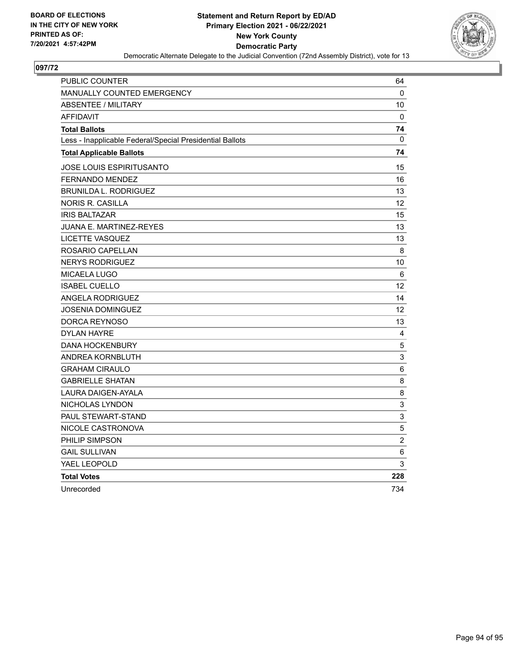

| PUBLIC COUNTER                                           | 64             |
|----------------------------------------------------------|----------------|
| <b>MANUALLY COUNTED EMERGENCY</b>                        | $\mathbf{0}$   |
| <b>ABSENTEE / MILITARY</b>                               | 10             |
| <b>AFFIDAVIT</b>                                         | $\Omega$       |
| <b>Total Ballots</b>                                     | 74             |
| Less - Inapplicable Federal/Special Presidential Ballots | $\mathbf{0}$   |
| <b>Total Applicable Ballots</b>                          | 74             |
| JOSE LOUIS ESPIRITUSANTO                                 | 15             |
| FERNANDO MENDEZ                                          | 16             |
| <b>BRUNILDA L. RODRIGUEZ</b>                             | 13             |
| <b>NORIS R. CASILLA</b>                                  | 12             |
| <b>IRIS BALTAZAR</b>                                     | 15             |
| JUANA E. MARTINEZ-REYES                                  | 13             |
| <b>LICETTE VASQUEZ</b>                                   | 13             |
| ROSARIO CAPELLAN                                         | $\,8\,$        |
| <b>NERYS RODRIGUEZ</b>                                   | 10             |
| <b>MICAELA LUGO</b>                                      | $\,6$          |
| <b>ISABEL CUELLO</b>                                     | 12             |
| <b>ANGELA RODRIGUEZ</b>                                  | 14             |
| <b>JOSENIA DOMINGUEZ</b>                                 | 12             |
| DORCA REYNOSO                                            | 13             |
| <b>DYLAN HAYRE</b>                                       | 4              |
| <b>DANA HOCKENBURY</b>                                   | $\mathbf 5$    |
| <b>ANDREA KORNBLUTH</b>                                  | 3              |
| <b>GRAHAM CIRAULO</b>                                    | $\,6$          |
| <b>GABRIELLE SHATAN</b>                                  | 8              |
| <b>LAURA DAIGEN-AYALA</b>                                | 8              |
| NICHOLAS LYNDON                                          | 3              |
| PAUL STEWART-STAND                                       | 3              |
| NICOLE CASTRONOVA                                        | 5              |
| PHILIP SIMPSON                                           | $\overline{c}$ |
| <b>GAIL SULLIVAN</b>                                     | $\,6$          |
| YAEL LEOPOLD                                             | 3              |
| <b>Total Votes</b>                                       | 228            |
| Unrecorded                                               | 734            |